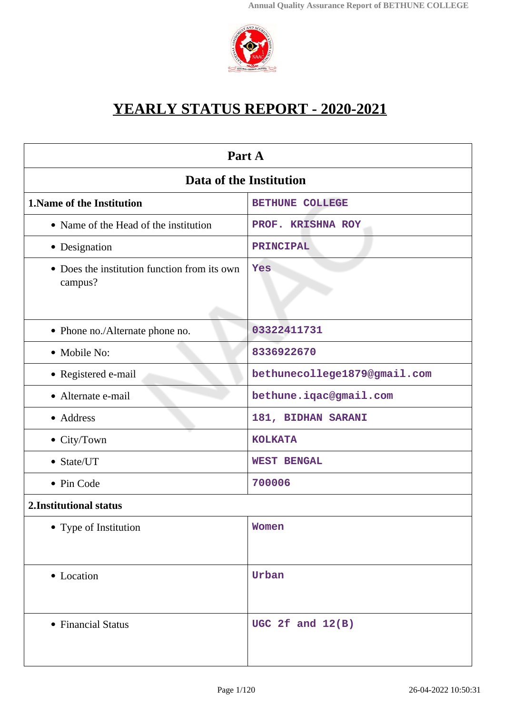

# **YEARLY STATUS REPORT - 2020-2021**

| Part A                                                  |                              |  |
|---------------------------------------------------------|------------------------------|--|
| Data of the Institution                                 |                              |  |
| <b>1. Name of the Institution</b>                       | <b>BETHUNE COLLEGE</b>       |  |
| • Name of the Head of the institution                   | PROF. KRISHNA ROY            |  |
| • Designation                                           | PRINCIPAL                    |  |
| • Does the institution function from its own<br>campus? | Yes                          |  |
| • Phone no./Alternate phone no.                         | 03322411731                  |  |
| • Mobile No:                                            | 8336922670                   |  |
| • Registered e-mail                                     | bethunecollege1879@gmail.com |  |
| • Alternate e-mail                                      | bethune.iqac@gmail.com       |  |
| • Address                                               | 181, BIDHAN SARANI           |  |
| • City/Town                                             | <b>KOLKATA</b>               |  |
| • State/UT                                              | <b>WEST BENGAL</b>           |  |
| • Pin Code                                              | 700006                       |  |
| 2. Institutional status                                 |                              |  |
| • Type of Institution                                   | Women                        |  |
| • Location                                              | Urban                        |  |
| • Financial Status                                      | UGC 2 $f$ and $12(B)$        |  |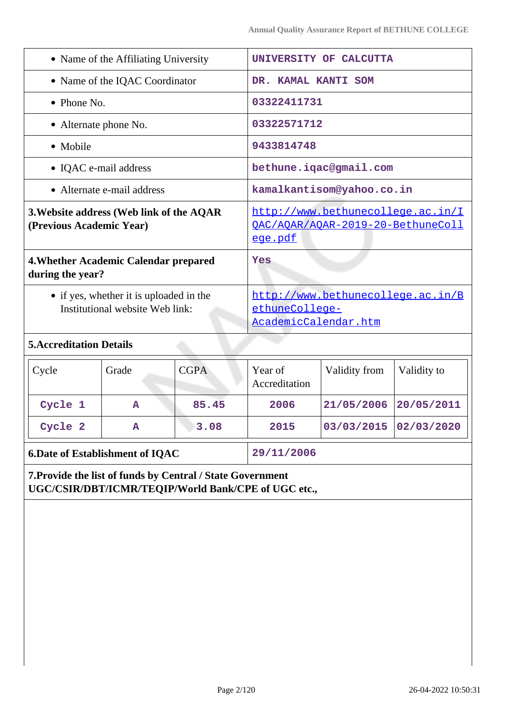| • Name of the Affiliating University                                                                              |                                                                   | UNIVERSITY OF CALCUTTA                                                      |                                                                        |                           |            |  |
|-------------------------------------------------------------------------------------------------------------------|-------------------------------------------------------------------|-----------------------------------------------------------------------------|------------------------------------------------------------------------|---------------------------|------------|--|
| • Name of the IQAC Coordinator                                                                                    |                                                                   |                                                                             | DR. KAMAL KANTI SOM                                                    |                           |            |  |
| $\bullet$ Phone No.                                                                                               |                                                                   |                                                                             |                                                                        | 03322411731               |            |  |
| • Alternate phone No.                                                                                             |                                                                   |                                                                             | 03322571712                                                            |                           |            |  |
| • Mobile                                                                                                          |                                                                   |                                                                             | 9433814748                                                             |                           |            |  |
|                                                                                                                   | • IQAC e-mail address                                             |                                                                             |                                                                        | bethune.iqac@gmail.com    |            |  |
|                                                                                                                   | • Alternate e-mail address                                        |                                                                             |                                                                        | kamalkantisom@yahoo.co.in |            |  |
| 3. Website address (Web link of the AQAR<br>(Previous Academic Year)                                              |                                                                   | ege.pdf                                                                     | http://www.bethunecollege.ac.in/I<br>OAC/AOAR/AOAR-2019-20-BethuneColl |                           |            |  |
| during the year?                                                                                                  | 4. Whether Academic Calendar prepared                             |                                                                             | Yes                                                                    |                           |            |  |
| • if yes, whether it is uploaded in the<br>Institutional website Web link:                                        |                                                                   | http://www.bethunecollege.ac.in/B<br>ethuneCollege-<br>AcademicCalendar.htm |                                                                        |                           |            |  |
| <b>5.Accreditation Details</b>                                                                                    |                                                                   |                                                                             |                                                                        |                           |            |  |
| Cycle                                                                                                             | <b>CGPA</b><br>Grade<br>Year of<br>Validity from<br>Accreditation |                                                                             | Validity to                                                            |                           |            |  |
| Cycle 1                                                                                                           | A                                                                 | 85.45                                                                       | 2006                                                                   | 21/05/2006                | 20/05/2011 |  |
| Cycle 2                                                                                                           | Α                                                                 | 3.08                                                                        | 2015                                                                   | 03/03/2015                | 02/03/2020 |  |
|                                                                                                                   | <b>6.Date of Establishment of IQAC</b>                            |                                                                             | 29/11/2006                                                             |                           |            |  |
| 7. Provide the list of funds by Central / State Government<br>UGC/CSIR/DBT/ICMR/TEQIP/World Bank/CPE of UGC etc., |                                                                   |                                                                             |                                                                        |                           |            |  |
|                                                                                                                   |                                                                   |                                                                             |                                                                        |                           |            |  |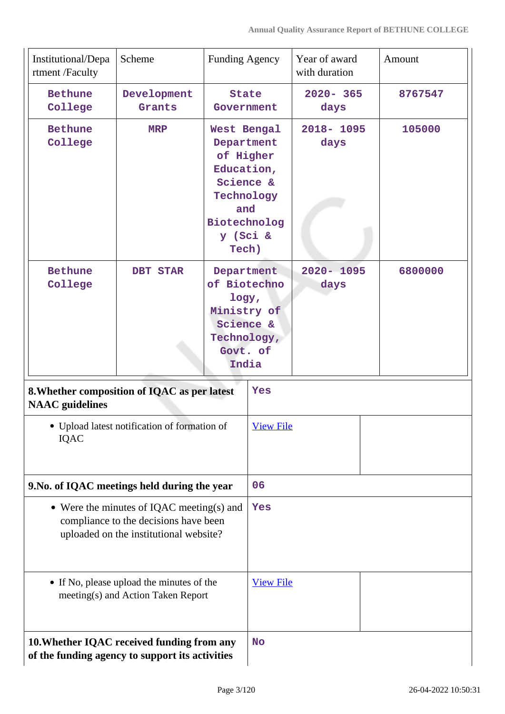| Institutional/Depa<br>rtment /Faculty                                                                                        | Scheme                                       | <b>Funding Agency</b>                                                                                                       |           | Year of award<br>with duration |  | Amount  |
|------------------------------------------------------------------------------------------------------------------------------|----------------------------------------------|-----------------------------------------------------------------------------------------------------------------------------|-----------|--------------------------------|--|---------|
| <b>Bethune</b><br>College                                                                                                    | Development<br>Grants                        | <b>State</b><br>Government                                                                                                  |           | $2020 - 365$<br>days           |  | 8767547 |
| <b>Bethune</b><br>College                                                                                                    | <b>MRP</b>                                   | West Bengal<br>Department<br>of Higher<br>Education,<br>Science &<br>Technology<br>and<br>Biotechnolog<br>y (Sci &<br>Tech) |           | 2018-1095<br>days              |  | 105000  |
| <b>Bethune</b><br>College                                                                                                    | <b>DBT STAR</b>                              | Department<br>of Biotechno<br>logy,<br>Ministry of<br>Science &<br>Technology,<br>Govt. of<br>India                         |           | $2020 - 1095$<br>days          |  | 6800000 |
| 8. Whether composition of IQAC as per latest<br><b>NAAC</b> guidelines                                                       |                                              |                                                                                                                             | Yes       |                                |  |         |
| • Upload latest notification of formation of<br>IQAC                                                                         |                                              | <b>View File</b>                                                                                                            |           |                                |  |         |
|                                                                                                                              | 9. No. of IQAC meetings held during the year |                                                                                                                             | 06        |                                |  |         |
| • Were the minutes of IQAC meeting(s) and<br>compliance to the decisions have been<br>uploaded on the institutional website? |                                              | <b>Yes</b>                                                                                                                  |           |                                |  |         |
| • If No, please upload the minutes of the<br>meeting(s) and Action Taken Report                                              |                                              | <b>View File</b>                                                                                                            |           |                                |  |         |
| 10. Whether IQAC received funding from any<br>of the funding agency to support its activities                                |                                              |                                                                                                                             | <b>No</b> |                                |  |         |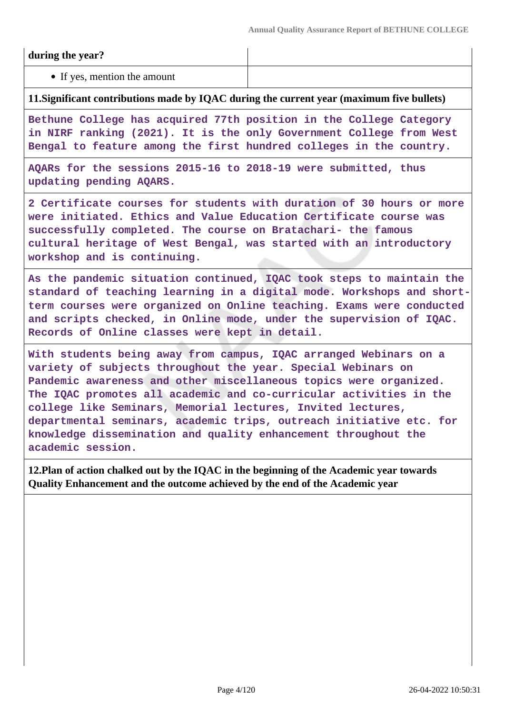#### **during the year?**

• If yes, mention the amount

#### **11.Significant contributions made by IQAC during the current year (maximum five bullets)**

**Bethune College has acquired 77th position in the College Category in NIRF ranking (2021). It is the only Government College from West Bengal to feature among the first hundred colleges in the country.**

**AQARs for the sessions 2015-16 to 2018-19 were submitted, thus updating pending AQARS.**

**2 Certificate courses for students with duration of 30 hours or more were initiated. Ethics and Value Education Certificate course was successfully completed. The course on Bratachari- the famous cultural heritage of West Bengal, was started with an introductory workshop and is continuing.**

**As the pandemic situation continued, IQAC took steps to maintain the standard of teaching learning in a digital mode. Workshops and shortterm courses were organized on Online teaching. Exams were conducted and scripts checked, in Online mode, under the supervision of IQAC. Records of Online classes were kept in detail.**

**With students being away from campus, IQAC arranged Webinars on a variety of subjects throughout the year. Special Webinars on Pandemic awareness and other miscellaneous topics were organized. The IQAC promotes all academic and co-curricular activities in the college like Seminars, Memorial lectures, Invited lectures, departmental seminars, academic trips, outreach initiative etc. for knowledge dissemination and quality enhancement throughout the academic session.**

**12.Plan of action chalked out by the IQAC in the beginning of the Academic year towards Quality Enhancement and the outcome achieved by the end of the Academic year**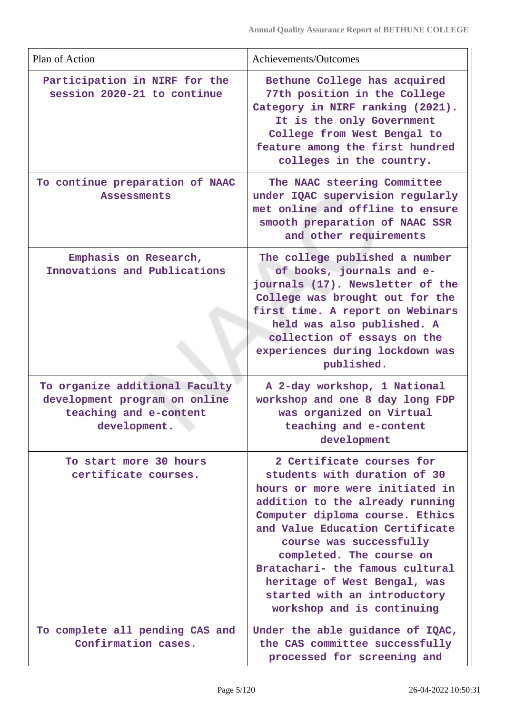| Plan of Action                                                                                            | Achievements/Outcomes                                                                                                                                                                                                                                                                                                                                                                         |
|-----------------------------------------------------------------------------------------------------------|-----------------------------------------------------------------------------------------------------------------------------------------------------------------------------------------------------------------------------------------------------------------------------------------------------------------------------------------------------------------------------------------------|
| Participation in NIRF for the<br>session 2020-21 to continue                                              | Bethune College has acquired<br>77th position in the College<br>Category in NIRF ranking (2021).<br>It is the only Government<br>College from West Bengal to<br>feature among the first hundred<br>colleges in the country.                                                                                                                                                                   |
| To continue preparation of NAAC<br><b>Assessments</b>                                                     | The NAAC steering Committee<br>under IQAC supervision regularly<br>met online and offline to ensure<br>smooth preparation of NAAC SSR<br>and other requirements                                                                                                                                                                                                                               |
| Emphasis on Research,<br>Innovations and Publications                                                     | The college published a number<br>of books, journals and e-<br>journals (17). Newsletter of the<br>College was brought out for the<br>first time. A report on Webinars<br>held was also published. A<br>collection of essays on the<br>experiences during lockdown was<br>published.                                                                                                          |
| To organize additional Faculty<br>development program on online<br>teaching and e-content<br>development. | A 2-day workshop, 1 National<br>workshop and one 8 day long FDP<br>was organized on Virtual<br>teaching and e-content<br>development                                                                                                                                                                                                                                                          |
| To start more 30 hours<br>certificate courses.                                                            | 2 Certificate courses for<br>students with duration of 30<br>hours or more were initiated in<br>addition to the already running<br>Computer diploma course. Ethics<br>and Value Education Certificate<br>course was successfully<br>completed. The course on<br>Bratachari- the famous cultural<br>heritage of West Bengal, was<br>started with an introductory<br>workshop and is continuing |
| To complete all pending CAS and<br>Confirmation cases.                                                    | Under the able guidance of IQAC,<br>the CAS committee successfully<br>processed for screening and                                                                                                                                                                                                                                                                                             |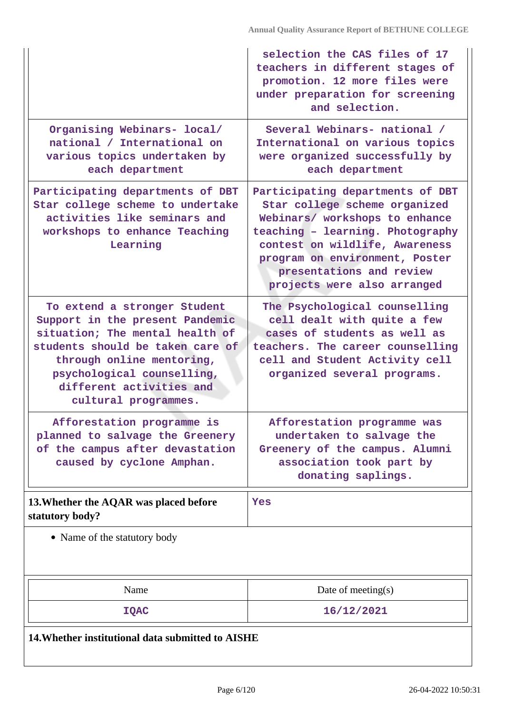|                                                                                                                                                                                                                                                       | selection the CAS files of 17<br>teachers in different stages of<br>promotion. 12 more files were<br>under preparation for screening<br>and selection.                                                                                                                 |
|-------------------------------------------------------------------------------------------------------------------------------------------------------------------------------------------------------------------------------------------------------|------------------------------------------------------------------------------------------------------------------------------------------------------------------------------------------------------------------------------------------------------------------------|
| Organising Webinars- local/<br>national / International on<br>various topics undertaken by<br>each department                                                                                                                                         | Several Webinars- national /<br>International on various topics<br>were organized successfully by<br>each department                                                                                                                                                   |
| Participating departments of DBT<br>Star college scheme to undertake<br>activities like seminars and<br>workshops to enhance Teaching<br>Learning                                                                                                     | Participating departments of DBT<br>Star college scheme organized<br>Webinars/ workshops to enhance<br>teaching - learning. Photography<br>contest on wildlife, Awareness<br>program on environment, Poster<br>presentations and review<br>projects were also arranged |
| To extend a stronger Student<br>Support in the present Pandemic<br>situation; The mental health of<br>students should be taken care of<br>through online mentoring,<br>psychological counselling,<br>different activities and<br>cultural programmes. | The Psychological counselling<br>cell dealt with quite a few<br>cases of students as well as<br>teachers. The career counselling<br>cell and Student Activity cell<br>organized several programs.                                                                      |
| Afforestation programme is<br>planned to salvage the Greenery<br>of the campus after devastation<br>caused by cyclone Amphan.                                                                                                                         | Afforestation programme was<br>undertaken to salvage the<br>Greenery of the campus. Alumni<br>association took part by<br>donating saplings.                                                                                                                           |
| 13. Whether the AQAR was placed before<br>statutory body?                                                                                                                                                                                             | Yes                                                                                                                                                                                                                                                                    |
| • Name of the statutory body                                                                                                                                                                                                                          |                                                                                                                                                                                                                                                                        |
| Name                                                                                                                                                                                                                                                  | Date of meeting(s)                                                                                                                                                                                                                                                     |
| <b>IQAC</b>                                                                                                                                                                                                                                           | 16/12/2021                                                                                                                                                                                                                                                             |
| 14. Whether institutional data submitted to AISHE                                                                                                                                                                                                     |                                                                                                                                                                                                                                                                        |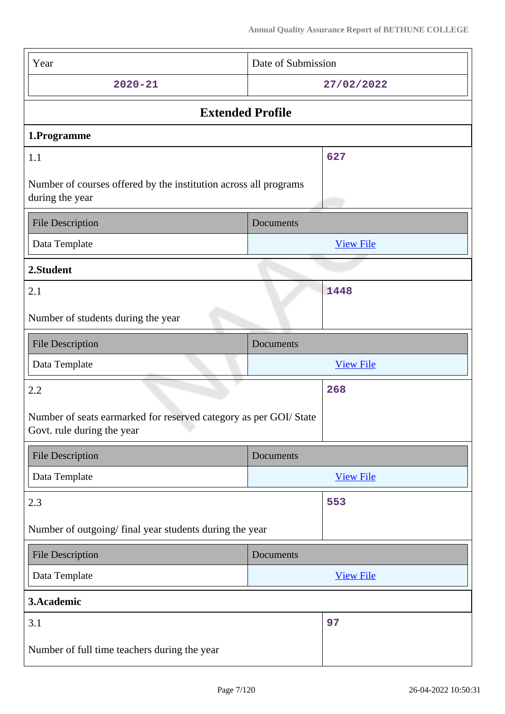| Year                                                                                            | Date of Submission |                  |
|-------------------------------------------------------------------------------------------------|--------------------|------------------|
| $2020 - 21$                                                                                     |                    | 27/02/2022       |
| <b>Extended Profile</b>                                                                         |                    |                  |
| 1.Programme                                                                                     |                    |                  |
| 1.1                                                                                             |                    | 627              |
| Number of courses offered by the institution across all programs<br>during the year             |                    |                  |
| <b>File Description</b>                                                                         | Documents          |                  |
| Data Template                                                                                   |                    | <b>View File</b> |
| 2.Student                                                                                       |                    |                  |
| 2.1                                                                                             |                    | 1448             |
| Number of students during the year                                                              |                    |                  |
| <b>File Description</b>                                                                         | Documents          |                  |
| Data Template                                                                                   |                    | <b>View File</b> |
| 2.2                                                                                             |                    | 268              |
| Number of seats earmarked for reserved category as per GOI/ State<br>Govt. rule during the year |                    |                  |
| <b>File Description</b>                                                                         | Documents          |                  |
| Data Template                                                                                   |                    | <b>View File</b> |
| 2.3                                                                                             |                    | 553              |
| Number of outgoing/ final year students during the year                                         |                    |                  |
|                                                                                                 |                    |                  |
| <b>File Description</b>                                                                         | Documents          |                  |
| Data Template                                                                                   |                    | <b>View File</b> |
| 3.Academic                                                                                      |                    |                  |
| 3.1                                                                                             |                    | 97               |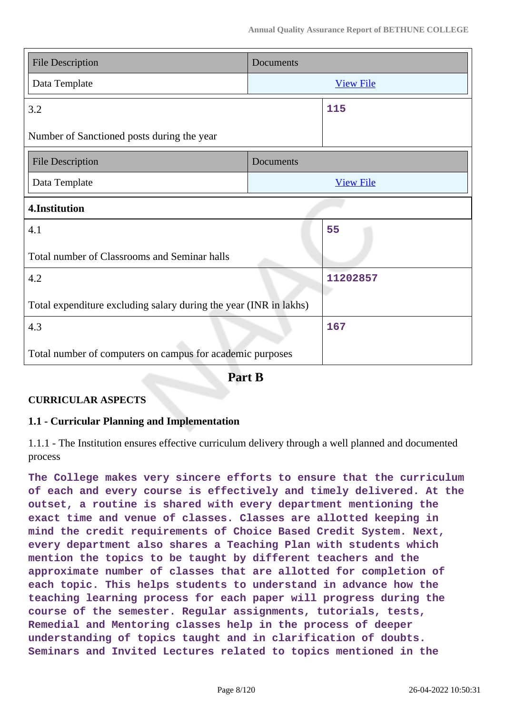| <b>File Description</b>                                           | Documents        |
|-------------------------------------------------------------------|------------------|
| Data Template                                                     | <b>View File</b> |
| 3.2                                                               | 115              |
| Number of Sanctioned posts during the year                        |                  |
| <b>File Description</b>                                           | Documents        |
| Data Template                                                     | <b>View File</b> |
| 4.Institution                                                     |                  |
| 4.1                                                               | 55               |
| Total number of Classrooms and Seminar halls                      |                  |
| 4.2                                                               | 11202857         |
| Total expenditure excluding salary during the year (INR in lakhs) |                  |
| 4.3                                                               | 167              |
| Total number of computers on campus for academic purposes         |                  |

**Part B**

# **CURRICULAR ASPECTS**

### **1.1 - Curricular Planning and Implementation**

1.1.1 - The Institution ensures effective curriculum delivery through a well planned and documented process

**The College makes very sincere efforts to ensure that the curriculum of each and every course is effectively and timely delivered. At the outset, a routine is shared with every department mentioning the exact time and venue of classes. Classes are allotted keeping in mind the credit requirements of Choice Based Credit System. Next, every department also shares a Teaching Plan with students which mention the topics to be taught by different teachers and the approximate number of classes that are allotted for completion of each topic. This helps students to understand in advance how the teaching learning process for each paper will progress during the course of the semester. Regular assignments, tutorials, tests, Remedial and Mentoring classes help in the process of deeper understanding of topics taught and in clarification of doubts. Seminars and Invited Lectures related to topics mentioned in the**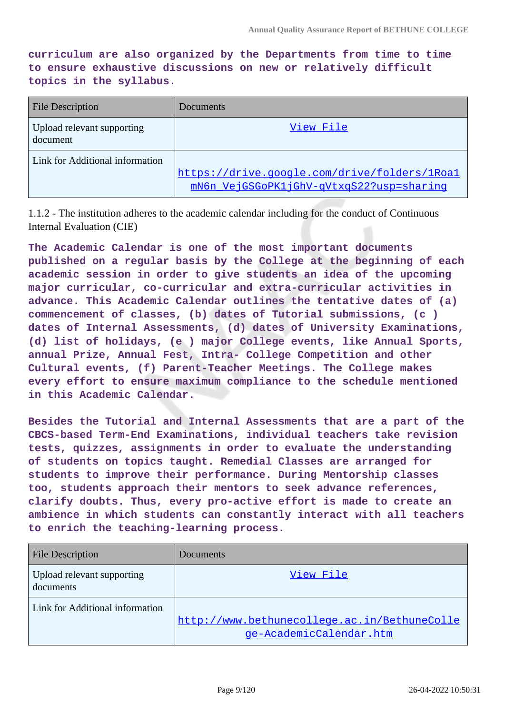**curriculum are also organized by the Departments from time to time to ensure exhaustive discussions on new or relatively difficult topics in the syllabus.**

| <b>File Description</b>                | Documents                                                                                |
|----------------------------------------|------------------------------------------------------------------------------------------|
| Upload relevant supporting<br>document | View File                                                                                |
| Link for Additional information        | https://drive.google.com/drive/folders/1Roal<br>mN6n VejGSGoPK1jGhV-qVtxqS22?usp=sharinq |

1.1.2 - The institution adheres to the academic calendar including for the conduct of Continuous Internal Evaluation (CIE)

**The Academic Calendar is one of the most important documents published on a regular basis by the College at the beginning of each academic session in order to give students an idea of the upcoming major curricular, co-curricular and extra-curricular activities in advance. This Academic Calendar outlines the tentative dates of (a) commencement of classes, (b) dates of Tutorial submissions, (c ) dates of Internal Assessments, (d) dates of University Examinations, (d) list of holidays, (e ) major College events, like Annual Sports, annual Prize, Annual Fest, Intra- College Competition and other Cultural events, (f) Parent-Teacher Meetings. The College makes every effort to ensure maximum compliance to the schedule mentioned in this Academic Calendar.**

**Besides the Tutorial and Internal Assessments that are a part of the CBCS-based Term-End Examinations, individual teachers take revision tests, quizzes, assignments in order to evaluate the understanding of students on topics taught. Remedial Classes are arranged for students to improve their performance. During Mentorship classes too, students approach their mentors to seek advance references, clarify doubts. Thus, every pro-active effort is made to create an ambience in which students can constantly interact with all teachers to enrich the teaching-learning process.**

| <b>File Description</b>                 | Documents                                                               |
|-----------------------------------------|-------------------------------------------------------------------------|
| Upload relevant supporting<br>documents | View File                                                               |
| Link for Additional information         | http://www.bethunecollege.ac.in/BethuneColle<br>ge-AcademicCalendar.htm |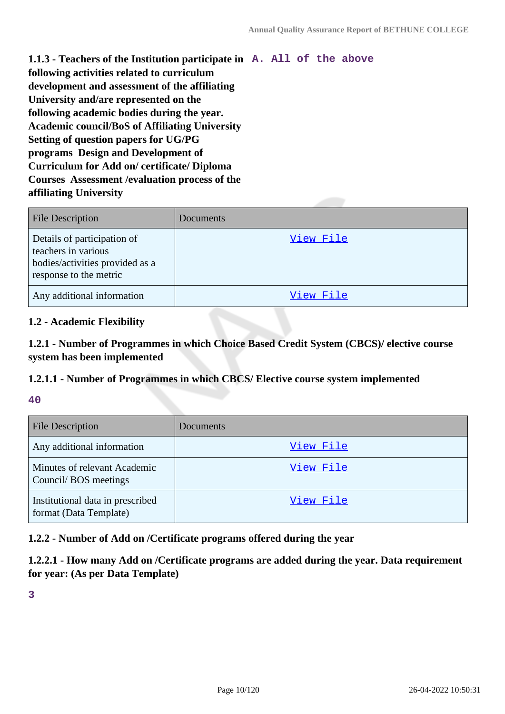**1.1.3 - Teachers of the Institution participate in A. All of the above following activities related to curriculum development and assessment of the affiliating University and/are represented on the following academic bodies during the year. Academic council/BoS of Affiliating University Setting of question papers for UG/PG programs Design and Development of Curriculum for Add on/ certificate/ Diploma Courses Assessment /evaluation process of the affiliating University**

| <b>File Description</b>                                                                                         | Documents |
|-----------------------------------------------------------------------------------------------------------------|-----------|
| Details of participation of<br>teachers in various<br>bodies/activities provided as a<br>response to the metric | View File |
| Any additional information                                                                                      | View File |

#### **1.2 - Academic Flexibility**

**1.2.1 - Number of Programmes in which Choice Based Credit System (CBCS)/ elective course system has been implemented**

### **1.2.1.1 - Number of Programmes in which CBCS/ Elective course system implemented**

**40**

| <b>File Description</b>                                    | <b>Documents</b> |
|------------------------------------------------------------|------------------|
| Any additional information                                 | View File        |
| Minutes of relevant Academic<br>Council/BOS meetings       | View File        |
| Institutional data in prescribed<br>format (Data Template) | View File        |

**1.2.2 - Number of Add on /Certificate programs offered during the year**

**1.2.2.1 - How many Add on /Certificate programs are added during the year. Data requirement for year: (As per Data Template)**

**3**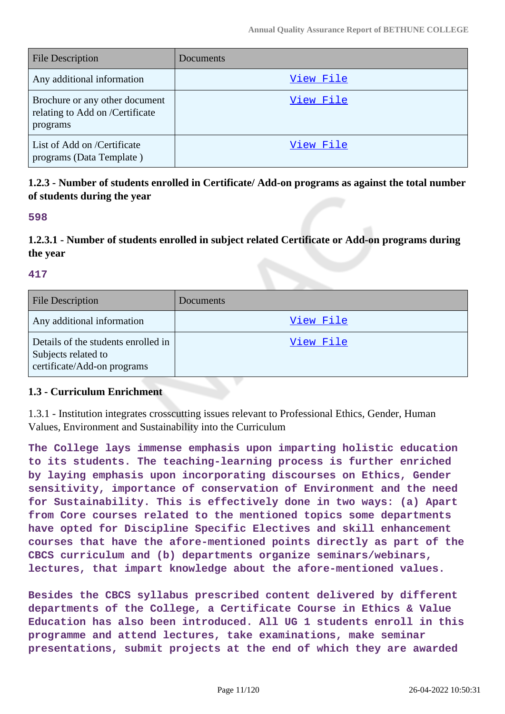| <b>File Description</b>                                                       | <b>Documents</b> |
|-------------------------------------------------------------------------------|------------------|
| Any additional information                                                    | View File        |
| Brochure or any other document<br>relating to Add on /Certificate<br>programs | View File        |
| List of Add on /Certificate<br>programs (Data Template)                       | View File        |

**1.2.3 - Number of students enrolled in Certificate/ Add-on programs as against the total number of students during the year**

#### **598**

**1.2.3.1 - Number of students enrolled in subject related Certificate or Add-on programs during the year**

#### **417**

| <b>File Description</b>                                                                   | Documents |
|-------------------------------------------------------------------------------------------|-----------|
| Any additional information                                                                | View File |
| Details of the students enrolled in<br>Subjects related to<br>certificate/Add-on programs | View File |

#### **1.3 - Curriculum Enrichment**

1.3.1 - Institution integrates crosscutting issues relevant to Professional Ethics, Gender, Human Values, Environment and Sustainability into the Curriculum

**The College lays immense emphasis upon imparting holistic education to its students. The teaching-learning process is further enriched by laying emphasis upon incorporating discourses on Ethics, Gender sensitivity, importance of conservation of Environment and the need for Sustainability. This is effectively done in two ways: (a) Apart from Core courses related to the mentioned topics some departments have opted for Discipline Specific Electives and skill enhancement courses that have the afore-mentioned points directly as part of the CBCS curriculum and (b) departments organize seminars/webinars, lectures, that impart knowledge about the afore-mentioned values.**

**Besides the CBCS syllabus prescribed content delivered by different departments of the College, a Certificate Course in Ethics & Value Education has also been introduced. All UG 1 students enroll in this programme and attend lectures, take examinations, make seminar presentations, submit projects at the end of which they are awarded**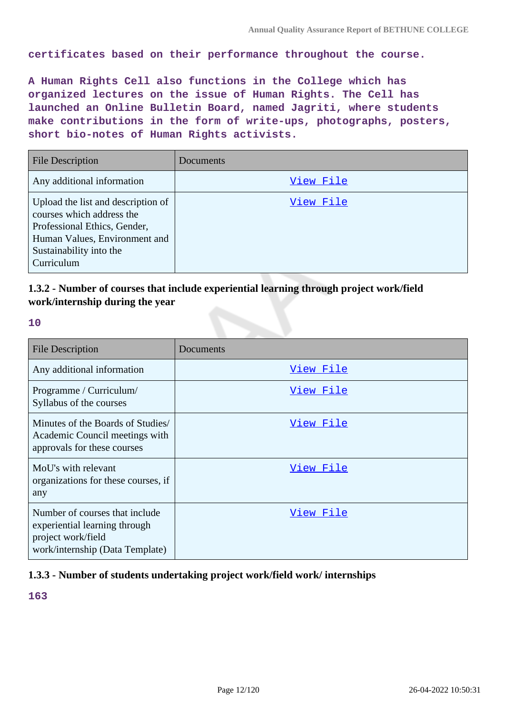**certificates based on their performance throughout the course.**

**A Human Rights Cell also functions in the College which has organized lectures on the issue of Human Rights. The Cell has launched an Online Bulletin Board, named Jagriti, where students make contributions in the form of write-ups, photographs, posters, short bio-notes of Human Rights activists.**

| <b>File Description</b>                                                                                                                                                   | <b>Documents</b> |
|---------------------------------------------------------------------------------------------------------------------------------------------------------------------------|------------------|
| Any additional information                                                                                                                                                | View File        |
| Upload the list and description of<br>courses which address the<br>Professional Ethics, Gender,<br>Human Values, Environment and<br>Sustainability into the<br>Curriculum | View File        |

# **1.3.2 - Number of courses that include experiential learning through project work/field work/internship during the year**

**10**

| <b>File Description</b>                                                                                                  | Documents |
|--------------------------------------------------------------------------------------------------------------------------|-----------|
| Any additional information                                                                                               | View File |
| Programme / Curriculum/<br>Syllabus of the courses                                                                       | View File |
| Minutes of the Boards of Studies/<br>Academic Council meetings with<br>approvals for these courses                       | View File |
| MoU's with relevant<br>organizations for these courses, if<br>any                                                        | View File |
| Number of courses that include<br>experiential learning through<br>project work/field<br>work/internship (Data Template) | View File |

### **1.3.3 - Number of students undertaking project work/field work/ internships**

**163**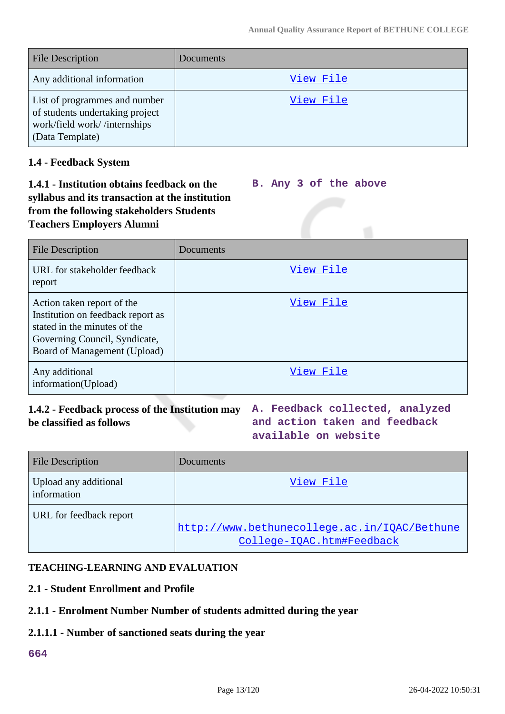| <b>File Description</b>                                                                                             | Documents |
|---------------------------------------------------------------------------------------------------------------------|-----------|
| Any additional information                                                                                          | View File |
| List of programmes and number<br>of students undertaking project<br>work/field work//internships<br>(Data Template) | View File |

#### **1.4 - Feedback System**

#### **1.4.1 - Institution obtains feedback on the syllabus and its transaction at the institution from the following stakeholders Students Teachers Employers Alumni B. Any 3 of the above**

| <b>File Description</b>                                                                                                                                          | Documents |
|------------------------------------------------------------------------------------------------------------------------------------------------------------------|-----------|
| URL for stakeholder feedback<br>report                                                                                                                           | View File |
| Action taken report of the<br>Institution on feedback report as<br>stated in the minutes of the<br>Governing Council, Syndicate,<br>Board of Management (Upload) | View File |
| Any additional<br>information(Upload)                                                                                                                            | View File |

# **1.4.2 - Feedback process of the Institution may A. Feedback collected, analyzed be classified as follows**

**and action taken and feedback available on website**

| <b>File Description</b>              | Documents                                                                 |
|--------------------------------------|---------------------------------------------------------------------------|
| Upload any additional<br>information | View File                                                                 |
| URL for feedback report              | http://www.bethunecollege.ac.in/IOAC/Bethune<br>College-IQAC.htm#Feedback |

### **TEACHING-LEARNING AND EVALUATION**

#### **2.1 - Student Enrollment and Profile**

### **2.1.1 - Enrolment Number Number of students admitted during the year**

### **2.1.1.1 - Number of sanctioned seats during the year**

### **664**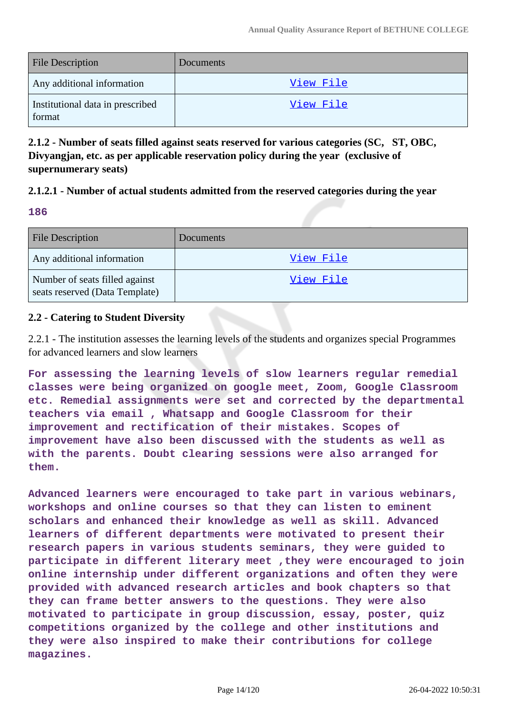| <b>File Description</b>                    | Documents |
|--------------------------------------------|-----------|
| Any additional information                 | View File |
| Institutional data in prescribed<br>format | View File |

**2.1.2 - Number of seats filled against seats reserved for various categories (SC, ST, OBC, Divyangjan, etc. as per applicable reservation policy during the year (exclusive of supernumerary seats)**

#### **2.1.2.1 - Number of actual students admitted from the reserved categories during the year**

**186**

| <b>File Description</b>                                          | Documents        |
|------------------------------------------------------------------|------------------|
| Any additional information                                       | View File        |
| Number of seats filled against<br>seats reserved (Data Template) | <u>View File</u> |

### **2.2 - Catering to Student Diversity**

2.2.1 - The institution assesses the learning levels of the students and organizes special Programmes for advanced learners and slow learners

**For assessing the learning levels of slow learners regular remedial classes were being organized on google meet, Zoom, Google Classroom etc. Remedial assignments were set and corrected by the departmental teachers via email , Whatsapp and Google Classroom for their improvement and rectification of their mistakes. Scopes of improvement have also been discussed with the students as well as with the parents. Doubt clearing sessions were also arranged for them.**

**Advanced learners were encouraged to take part in various webinars, workshops and online courses so that they can listen to eminent scholars and enhanced their knowledge as well as skill. Advanced learners of different departments were motivated to present their research papers in various students seminars, they were guided to participate in different literary meet ,they were encouraged to join online internship under different organizations and often they were provided with advanced research articles and book chapters so that they can frame better answers to the questions. They were also motivated to participate in group discussion, essay, poster, quiz competitions organized by the college and other institutions and they were also inspired to make their contributions for college magazines.**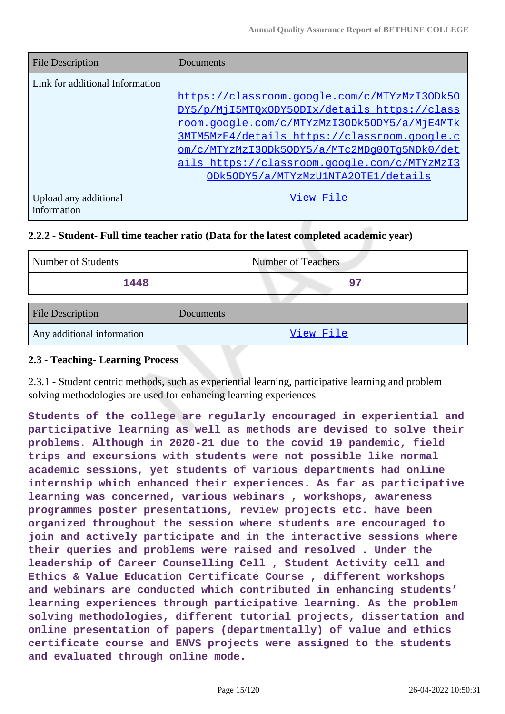| <b>File Description</b>              | Documents                                    |
|--------------------------------------|----------------------------------------------|
| Link for additional Information      |                                              |
|                                      | https://classroom.google.com/c/MTYzMzI3ODk50 |
|                                      | DY5/p/MjI5MTOxODY5ODIx/details https://class |
|                                      | room.google.com/c/MTYzMzI3ODk5ODY5/a/MjE4MTk |
|                                      | 3MTM5MzE4/details https://classroom.google.c |
|                                      | om/c/MTYzMzI3ODk5ODY5/a/MTc2MDq0OTq5NDk0/det |
|                                      | ails https://classroom.google.com/c/MTYzMzI3 |
|                                      | ODk5ODY5/a/MTYzMzU1NTA2OTE1/details          |
| Upload any additional<br>information | View File                                    |

## **2.2.2 - Student- Full time teacher ratio (Data for the latest completed academic year)**

| Number of Students | <b>Number of Teachers</b> |
|--------------------|---------------------------|
| 1448               | ר ס                       |

| <b>File Description</b>    | Documents |
|----------------------------|-----------|
| Any additional information | View File |

### **2.3 - Teaching- Learning Process**

2.3.1 - Student centric methods, such as experiential learning, participative learning and problem solving methodologies are used for enhancing learning experiences

**Students of the college are regularly encouraged in experiential and participative learning as well as methods are devised to solve their problems. Although in 2020-21 due to the covid 19 pandemic, field trips and excursions with students were not possible like normal academic sessions, yet students of various departments had online internship which enhanced their experiences. As far as participative learning was concerned, various webinars , workshops, awareness programmes poster presentations, review projects etc. have been organized throughout the session where students are encouraged to join and actively participate and in the interactive sessions where their queries and problems were raised and resolved . Under the leadership of Career Counselling Cell , Student Activity cell and Ethics & Value Education Certificate Course , different workshops and webinars are conducted which contributed in enhancing students' learning experiences through participative learning. As the problem solving methodologies, different tutorial projects, dissertation and online presentation of papers (departmentally) of value and ethics certificate course and ENVS projects were assigned to the students and evaluated through online mode.**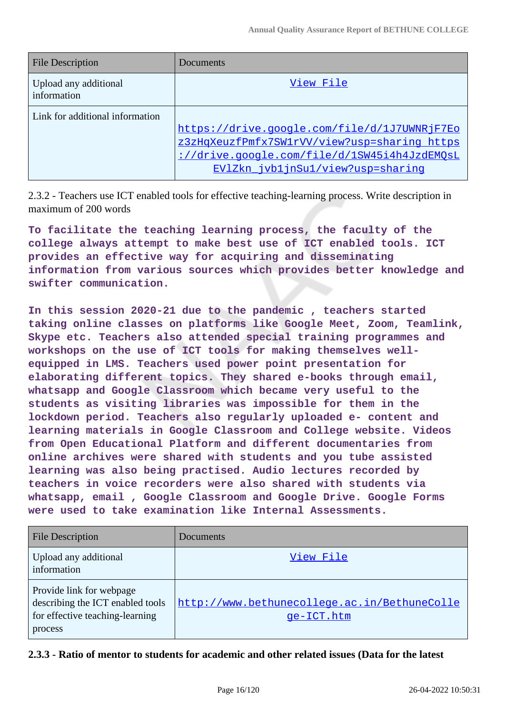| <b>File Description</b>              | Documents                                                                         |
|--------------------------------------|-----------------------------------------------------------------------------------|
| Upload any additional<br>information | View File                                                                         |
| Link for additional information      | https://drive.google.com/file/d/1J7UWNRjF7Eo                                      |
|                                      | z3zHqXeuzfPmfx7SW1rVV/view?usp=sharing https                                      |
|                                      | ://drive.google.com/file/d/1SW45i4h4JzdEMOsL<br>EV1Zkn jvb1jnSu1/view?usp=sharing |

2.3.2 - Teachers use ICT enabled tools for effective teaching-learning process. Write description in maximum of 200 words

**To facilitate the teaching learning process, the faculty of the college always attempt to make best use of ICT enabled tools. ICT provides an effective way for acquiring and disseminating information from various sources which provides better knowledge and swifter communication.**

**In this session 2020-21 due to the pandemic , teachers started taking online classes on platforms like Google Meet, Zoom, Teamlink, Skype etc. Teachers also attended special training programmes and workshops on the use of ICT tools for making themselves wellequipped in LMS. Teachers used power point presentation for elaborating different topics. They shared e-books through email, whatsapp and Google Classroom which became very useful to the students as visiting libraries was impossible for them in the lockdown period. Teachers also regularly uploaded e- content and learning materials in Google Classroom and College website. Videos from Open Educational Platform and different documentaries from online archives were shared with students and you tube assisted learning was also being practised. Audio lectures recorded by teachers in voice recorders were also shared with students via whatsapp, email , Google Classroom and Google Drive. Google Forms were used to take examination like Internal Assessments.**

| <b>File Description</b>                                                                                    | Documents                                                  |
|------------------------------------------------------------------------------------------------------------|------------------------------------------------------------|
| Upload any additional<br>information                                                                       | View File                                                  |
| Provide link for webpage<br>describing the ICT enabled tools<br>for effective teaching-learning<br>process | http://www.bethunecollege.ac.in/BethuneColle<br>ge-ICT.htm |

**2.3.3 - Ratio of mentor to students for academic and other related issues (Data for the latest**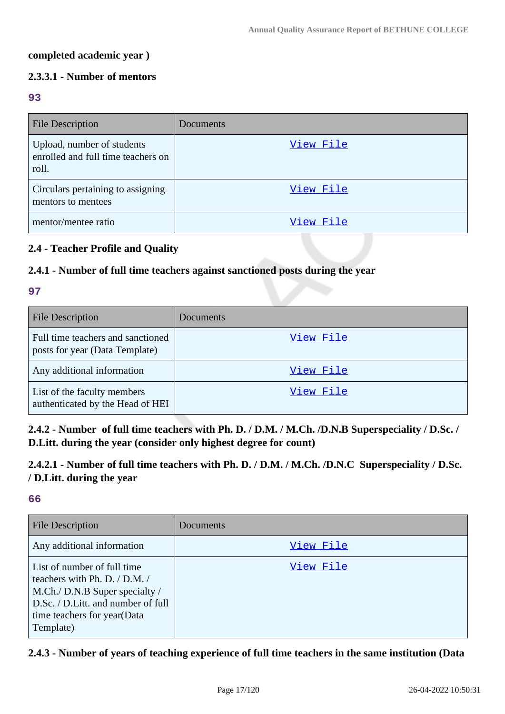#### **completed academic year )**

# **2.3.3.1 - Number of mentors**

#### **93**

| <b>File Description</b>                                                   | Documents |
|---------------------------------------------------------------------------|-----------|
| Upload, number of students<br>enrolled and full time teachers on<br>roll. | View File |
| Circulars pertaining to assigning<br>mentors to mentees                   | View File |
| mentor/mentee ratio                                                       | View File |

# **2.4 - Teacher Profile and Quality**

# **2.4.1 - Number of full time teachers against sanctioned posts during the year**

#### **97**

| <b>File Description</b>                                             | Documents |
|---------------------------------------------------------------------|-----------|
| Full time teachers and sanctioned<br>posts for year (Data Template) | View File |
| Any additional information                                          | View File |
| List of the faculty members<br>authenticated by the Head of HEI     | View File |

**2.4.2 - Number of full time teachers with Ph. D. / D.M. / M.Ch. /D.N.B Superspeciality / D.Sc. / D.Litt. during the year (consider only highest degree for count)**

**2.4.2.1 - Number of full time teachers with Ph. D. / D.M. / M.Ch. /D.N.C Superspeciality / D.Sc. / D.Litt. during the year**

### **66**

| <b>File Description</b>                                                                                                                                                              | Documents |
|--------------------------------------------------------------------------------------------------------------------------------------------------------------------------------------|-----------|
| Any additional information                                                                                                                                                           | View File |
| List of number of full time<br>teachers with Ph. D. $/$ D.M. $/$<br>M.Ch./ D.N.B Super specialty /<br>D.Sc. / D.Litt. and number of full<br>time teachers for year(Data<br>Template) | View File |

### **2.4.3 - Number of years of teaching experience of full time teachers in the same institution (Data**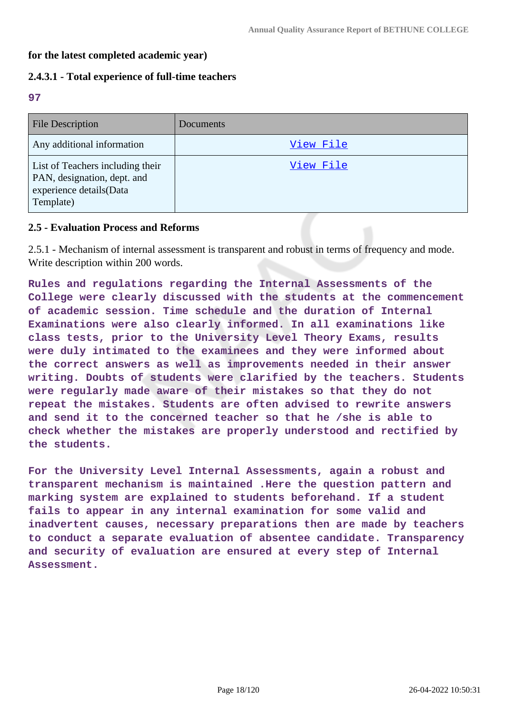### **for the latest completed academic year)**

#### **2.4.3.1 - Total experience of full-time teachers**

**97**

| <b>File Description</b>                                                                                 | <b>Documents</b> |
|---------------------------------------------------------------------------------------------------------|------------------|
| Any additional information                                                                              | View File        |
| List of Teachers including their<br>PAN, designation, dept. and<br>experience details(Data<br>Template) | View File        |

#### **2.5 - Evaluation Process and Reforms**

2.5.1 - Mechanism of internal assessment is transparent and robust in terms of frequency and mode. Write description within 200 words.

**Rules and regulations regarding the Internal Assessments of the College were clearly discussed with the students at the commencement of academic session. Time schedule and the duration of Internal Examinations were also clearly informed. In all examinations like class tests, prior to the University Level Theory Exams, results were duly intimated to the examinees and they were informed about the correct answers as well as improvements needed in their answer writing. Doubts of students were clarified by the teachers. Students were regularly made aware of their mistakes so that they do not repeat the mistakes. Students are often advised to rewrite answers and send it to the concerned teacher so that he /she is able to check whether the mistakes are properly understood and rectified by the students.**

**For the University Level Internal Assessments, again a robust and transparent mechanism is maintained .Here the question pattern and marking system are explained to students beforehand. If a student fails to appear in any internal examination for some valid and inadvertent causes, necessary preparations then are made by teachers to conduct a separate evaluation of absentee candidate. Transparency and security of evaluation are ensured at every step of Internal Assessment.**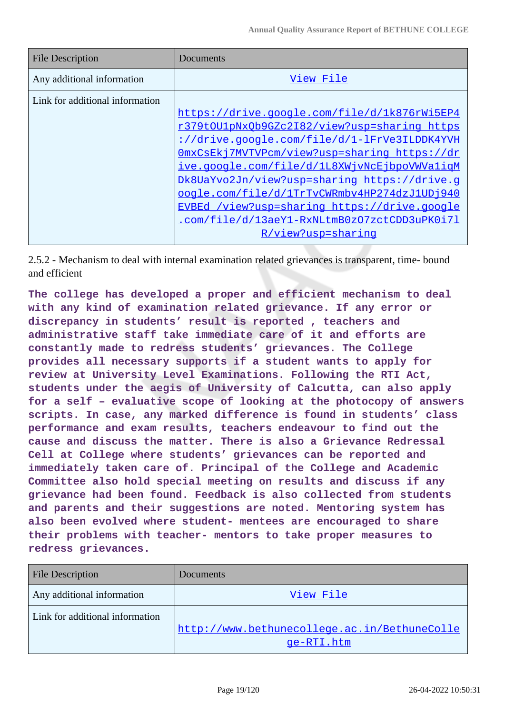| <b>File Description</b>         | Documents                                    |
|---------------------------------|----------------------------------------------|
| Any additional information      | View File                                    |
| Link for additional information |                                              |
|                                 | https://drive.google.com/file/d/1k876rWi5EP4 |
|                                 | r379t0U1pNx0b9GZc2I82/view?usp=sharing https |
|                                 | ://drive.google.com/file/d/1-lFrVe3ILDDK4YVH |
|                                 | OmxCsEkj7MVTVPcm/view?usp=sharing https://dr |
|                                 | ive.google.com/file/d/1L8XWjvNcEjbpoVWValigM |
|                                 | Dk8UaYvo2Jn/view?usp=sharing https://drive.q |
|                                 | oogle.com/file/d/1TrTvCWRmbv4HP274dzJ1UDj940 |
|                                 | EVBEd /view?usp=sharing https://drive.google |
|                                 | .com/file/d/13aeY1-RxNLtmB0z07zctCDD3uPK0i71 |
|                                 | R/view?usp=sharing                           |

2.5.2 - Mechanism to deal with internal examination related grievances is transparent, time- bound and efficient

**The college has developed a proper and efficient mechanism to deal with any kind of examination related grievance. If any error or discrepancy in students' result is reported , teachers and administrative staff take immediate care of it and efforts are constantly made to redress students' grievances. The College provides all necessary supports if a student wants to apply for review at University Level Examinations. Following the RTI Act, students under the aegis of University of Calcutta, can also apply for a self – evaluative scope of looking at the photocopy of answers scripts. In case, any marked difference is found in students' class performance and exam results, teachers endeavour to find out the cause and discuss the matter. There is also a Grievance Redressal Cell at College where students' grievances can be reported and immediately taken care of. Principal of the College and Academic Committee also hold special meeting on results and discuss if any grievance had been found. Feedback is also collected from students and parents and their suggestions are noted. Mentoring system has also been evolved where student- mentees are encouraged to share their problems with teacher- mentors to take proper measures to redress grievances.**

| <b>File Description</b>         | Documents                                                  |
|---------------------------------|------------------------------------------------------------|
| Any additional information      | View File                                                  |
| Link for additional information | http://www.bethunecollege.ac.in/BethuneColle<br>qe-RTI.htm |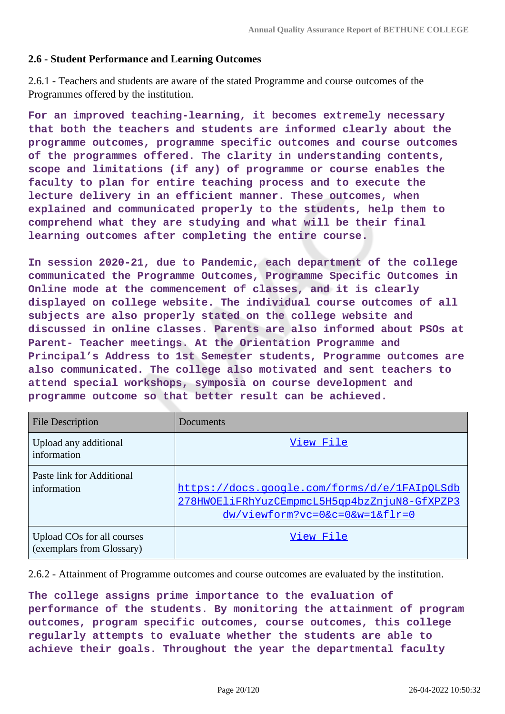#### **2.6 - Student Performance and Learning Outcomes**

2.6.1 - Teachers and students are aware of the stated Programme and course outcomes of the Programmes offered by the institution.

**For an improved teaching-learning, it becomes extremely necessary that both the teachers and students are informed clearly about the programme outcomes, programme specific outcomes and course outcomes of the programmes offered. The clarity in understanding contents, scope and limitations (if any) of programme or course enables the faculty to plan for entire teaching process and to execute the lecture delivery in an efficient manner. These outcomes, when explained and communicated properly to the students, help them to comprehend what they are studying and what will be their final learning outcomes after completing the entire course.**

**In session 2020-21, due to Pandemic, each department of the college communicated the Programme Outcomes, Programme Specific Outcomes in Online mode at the commencement of classes, and it is clearly displayed on college website. The individual course outcomes of all subjects are also properly stated on the college website and discussed in online classes. Parents are also informed about PSOs at Parent- Teacher meetings. At the Orientation Programme and Principal's Address to 1st Semester students, Programme outcomes are also communicated. The college also motivated and sent teachers to attend special workshops, symposia on course development and programme outcome so that better result can be achieved.**

| <b>File Description</b>                                 | Documents                                                                                                                         |
|---------------------------------------------------------|-----------------------------------------------------------------------------------------------------------------------------------|
| Upload any additional<br>information                    | View File                                                                                                                         |
| Paste link for Additional<br>information                | https://docs.google.com/forms/d/e/1FAIpQLSdb<br>278HWOEliFRhYuzCEmpmcL5H5qp4bzZnjuN8-GfXPZP3<br>$dw$ /viewform?vc=0&c=0&w=1&flr=0 |
| Upload COs for all courses<br>(exemplars from Glossary) | View File                                                                                                                         |

2.6.2 - Attainment of Programme outcomes and course outcomes are evaluated by the institution.

**The college assigns prime importance to the evaluation of performance of the students. By monitoring the attainment of program outcomes, program specific outcomes, course outcomes, this college regularly attempts to evaluate whether the students are able to achieve their goals. Throughout the year the departmental faculty**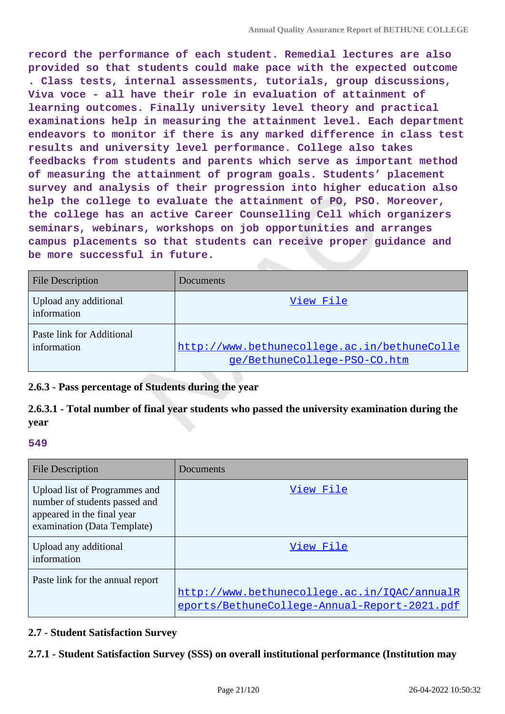**record the performance of each student. Remedial lectures are also provided so that students could make pace with the expected outcome . Class tests, internal assessments, tutorials, group discussions, Viva voce - all have their role in evaluation of attainment of learning outcomes. Finally university level theory and practical examinations help in measuring the attainment level. Each department endeavors to monitor if there is any marked difference in class test results and university level performance. College also takes feedbacks from students and parents which serve as important method of measuring the attainment of program goals. Students' placement survey and analysis of their progression into higher education also help the college to evaluate the attainment of PO, PSO. Moreover, the college has an active Career Counselling Cell which organizers seminars, webinars, workshops on job opportunities and arranges campus placements so that students can receive proper guidance and be more successful in future.**

| <b>File Description</b>                  | Documents                                                                    |
|------------------------------------------|------------------------------------------------------------------------------|
| Upload any additional<br>information     | View File                                                                    |
| Paste link for Additional<br>information | http://www.bethunecollege.ac.in/bethuneColle<br>ge/BethuneCollege-PSO-CO.htm |

# **2.6.3 - Pass percentage of Students during the year**

# **2.6.3.1 - Total number of final year students who passed the university examination during the year**

#### **549**

| <b>File Description</b>                                                                                                     | Documents                                                                                    |
|-----------------------------------------------------------------------------------------------------------------------------|----------------------------------------------------------------------------------------------|
| Upload list of Programmes and<br>number of students passed and<br>appeared in the final year<br>examination (Data Template) | View File                                                                                    |
| Upload any additional<br>information                                                                                        | View File                                                                                    |
| Paste link for the annual report                                                                                            | http://www.bethunecollege.ac.in/IOAC/annualR<br>eports/BethuneCollege-Annual-Report-2021.pdf |

### **2.7 - Student Satisfaction Survey**

# **2.7.1 - Student Satisfaction Survey (SSS) on overall institutional performance (Institution may**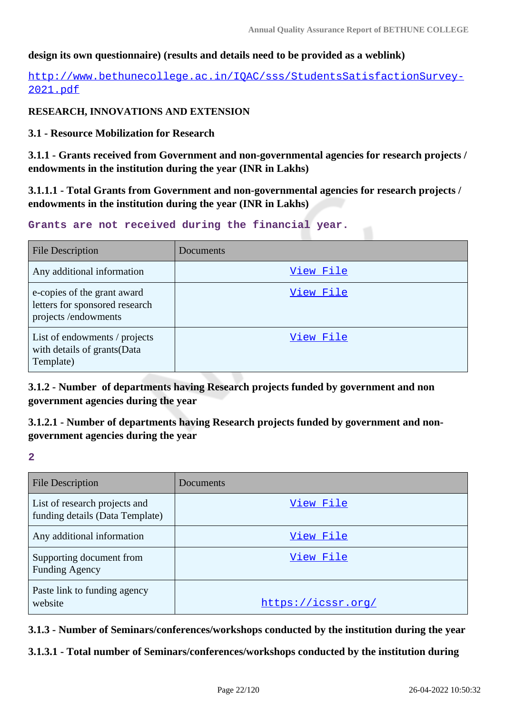### **design its own questionnaire) (results and details need to be provided as a weblink)**

[http://www.bethunecollege.ac.in/IQAC/sss/StudentsSatisfactionSurvey-](http://www.bethunecollege.ac.in/IQAC/sss/StudentsSatisfactionSurvey-2021.pdf)[2021.pdf](http://www.bethunecollege.ac.in/IQAC/sss/StudentsSatisfactionSurvey-2021.pdf)

### **RESEARCH, INNOVATIONS AND EXTENSION**

**3.1 - Resource Mobilization for Research**

**3.1.1 - Grants received from Government and non-governmental agencies for research projects / endowments in the institution during the year (INR in Lakhs)**

**3.1.1.1 - Total Grants from Government and non-governmental agencies for research projects / endowments in the institution during the year (INR in Lakhs)**

#### **Grants are not received during the financial year.**

| <b>File Description</b>                                                              | Documents |
|--------------------------------------------------------------------------------------|-----------|
| Any additional information                                                           | View File |
| e-copies of the grant award<br>letters for sponsored research<br>projects/endowments | View File |
| List of endowments / projects<br>with details of grants (Data<br>Template)           | View File |

**3.1.2 - Number of departments having Research projects funded by government and non government agencies during the year**

**3.1.2.1 - Number of departments having Research projects funded by government and nongovernment agencies during the year**

**2**

| <b>File Description</b>                                          | Documents          |
|------------------------------------------------------------------|--------------------|
| List of research projects and<br>funding details (Data Template) | View File          |
| Any additional information                                       | View File          |
| Supporting document from<br><b>Funding Agency</b>                | View File          |
| Paste link to funding agency<br>website                          | https://icssr.org/ |

**3.1.3 - Number of Seminars/conferences/workshops conducted by the institution during the year**

**3.1.3.1 - Total number of Seminars/conferences/workshops conducted by the institution during**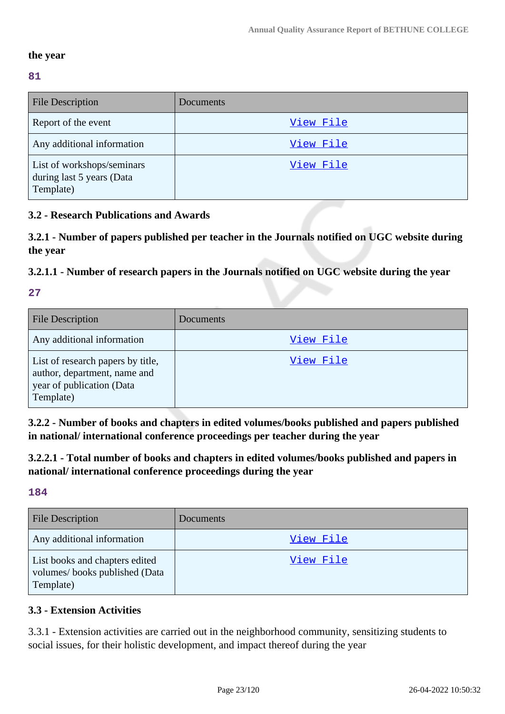### **the year**

### **81**

| <b>File Description</b>                                              | Documents |
|----------------------------------------------------------------------|-----------|
| Report of the event                                                  | View File |
| Any additional information                                           | View File |
| List of workshops/seminars<br>during last 5 years (Data<br>Template) | View File |

# **3.2 - Research Publications and Awards**

**3.2.1 - Number of papers published per teacher in the Journals notified on UGC website during the year**

### **3.2.1.1 - Number of research papers in the Journals notified on UGC website during the year**

# **27**

| <b>File Description</b>                                                                                     | Documents |
|-------------------------------------------------------------------------------------------------------------|-----------|
| Any additional information                                                                                  | View File |
| List of research papers by title,<br>author, department, name and<br>year of publication (Data<br>Template) | View File |

**3.2.2 - Number of books and chapters in edited volumes/books published and papers published in national/ international conference proceedings per teacher during the year**

**3.2.2.1 - Total number of books and chapters in edited volumes/books published and papers in national/ international conference proceedings during the year**

# **184**

| File Description                                                             | Documents |
|------------------------------------------------------------------------------|-----------|
| Any additional information                                                   | View File |
| List books and chapters edited<br>volumes/books published (Data<br>Template) | View File |

# **3.3 - Extension Activities**

3.3.1 - Extension activities are carried out in the neighborhood community, sensitizing students to social issues, for their holistic development, and impact thereof during the year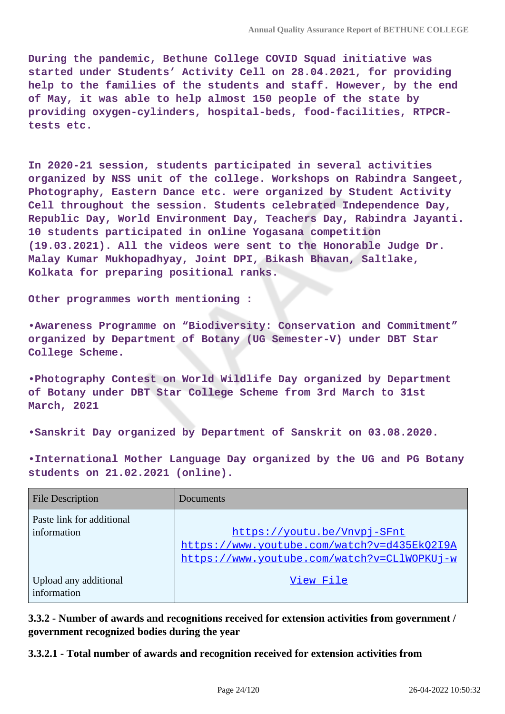**During the pandemic, Bethune College COVID Squad initiative was started under Students' Activity Cell on 28.04.2021, for providing help to the families of the students and staff. However, by the end of May, it was able to help almost 150 people of the state by providing oxygen-cylinders, hospital-beds, food-facilities, RTPCRtests etc.**

**In 2020-21 session, students participated in several activities organized by NSS unit of the college. Workshops on Rabindra Sangeet, Photography, Eastern Dance etc. were organized by Student Activity Cell throughout the session. Students celebrated Independence Day, Republic Day, World Environment Day, Teachers Day, Rabindra Jayanti. 10 students participated in online Yogasana competition (19.03.2021). All the videos were sent to the Honorable Judge Dr. Malay Kumar Mukhopadhyay, Joint DPI, Bikash Bhavan, Saltlake, Kolkata for preparing positional ranks.**

**Other programmes worth mentioning :**

**•Awareness Programme on "Biodiversity: Conservation and Commitment" organized by Department of Botany (UG Semester-V) under DBT Star College Scheme.**

**•Photography Contest on World Wildlife Day organized by Department of Botany under DBT Star College Scheme from 3rd March to 31st March, 2021**

**•Sanskrit Day organized by Department of Sanskrit on 03.08.2020.**

**•International Mother Language Day organized by the UG and PG Botany students on 21.02.2021 (online).**

| <b>File Description</b>                  | Documents                                                                                                                 |
|------------------------------------------|---------------------------------------------------------------------------------------------------------------------------|
| Paste link for additional<br>information | https://youtu.be/Vnvpj-SFnt<br>https://www.youtube.com/watch?v=d435Ek02I9A<br>https://www.youtube.com/watch?v=CLlWOPKUj-w |
| Upload any additional<br>information     | View File                                                                                                                 |

**3.3.2 - Number of awards and recognitions received for extension activities from government / government recognized bodies during the year**

**3.3.2.1 - Total number of awards and recognition received for extension activities from**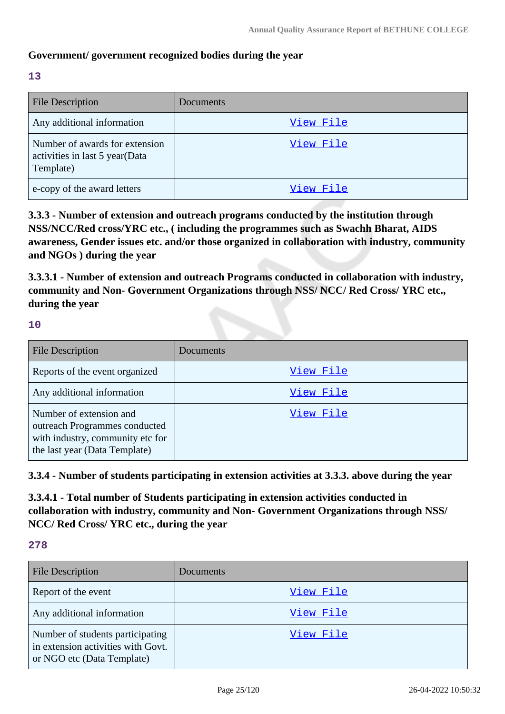### **Government/ government recognized bodies during the year**

**13**

| <b>File Description</b>                                                       | Documents |
|-------------------------------------------------------------------------------|-----------|
| Any additional information                                                    | View File |
| Number of awards for extension<br>activities in last 5 year(Data<br>Template) | View File |
| e-copy of the award letters                                                   | View File |

**3.3.3 - Number of extension and outreach programs conducted by the institution through NSS/NCC/Red cross/YRC etc., ( including the programmes such as Swachh Bharat, AIDS awareness, Gender issues etc. and/or those organized in collaboration with industry, community and NGOs ) during the year**

**3.3.3.1 - Number of extension and outreach Programs conducted in collaboration with industry, community and Non- Government Organizations through NSS/ NCC/ Red Cross/ YRC etc., during the year**

**10**

| File Description                                                                                                              | <b>Documents</b> |
|-------------------------------------------------------------------------------------------------------------------------------|------------------|
| Reports of the event organized                                                                                                | View File        |
| Any additional information                                                                                                    | View File        |
| Number of extension and<br>outreach Programmes conducted<br>with industry, community etc for<br>the last year (Data Template) | View File        |

**3.3.4 - Number of students participating in extension activities at 3.3.3. above during the year**

**3.3.4.1 - Total number of Students participating in extension activities conducted in collaboration with industry, community and Non- Government Organizations through NSS/ NCC/ Red Cross/ YRC etc., during the year**

**278**

| <b>File Description</b>                                                                              | <b>Documents</b> |
|------------------------------------------------------------------------------------------------------|------------------|
| Report of the event                                                                                  | View File        |
| Any additional information                                                                           | View File        |
| Number of students participating<br>in extension activities with Govt.<br>or NGO etc (Data Template) | View File        |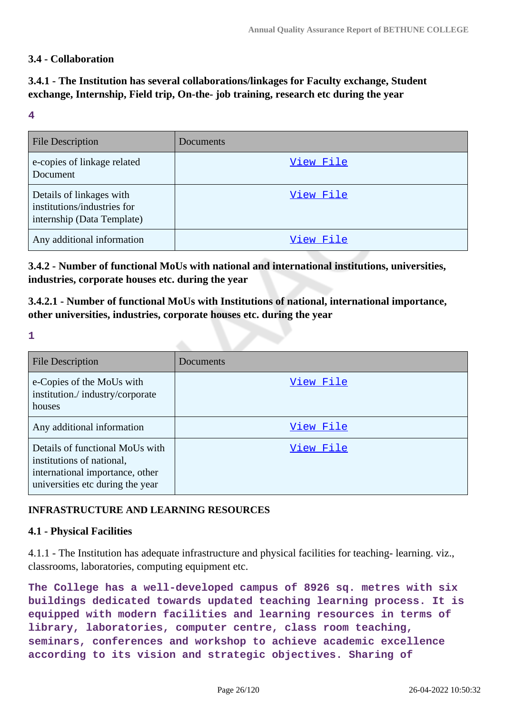### **3.4 - Collaboration**

# **3.4.1 - The Institution has several collaborations/linkages for Faculty exchange, Student exchange, Internship, Field trip, On-the- job training, research etc during the year**

#### **4**

| <b>File Description</b>                                                               | Documents |
|---------------------------------------------------------------------------------------|-----------|
| e-copies of linkage related<br>Document                                               | View File |
| Details of linkages with<br>institutions/industries for<br>internship (Data Template) | View File |
| Any additional information                                                            | View File |

**3.4.2 - Number of functional MoUs with national and international institutions, universities, industries, corporate houses etc. during the year**

**3.4.2.1 - Number of functional MoUs with Institutions of national, international importance, other universities, industries, corporate houses etc. during the year**

**1**

| File Description                                                                                                                    | Documents |
|-------------------------------------------------------------------------------------------------------------------------------------|-----------|
| e-Copies of the MoUs with<br>institution./industry/corporate<br>houses                                                              | View File |
| Any additional information                                                                                                          | View File |
| Details of functional MoUs with<br>institutions of national,<br>international importance, other<br>universities etc during the year | View File |

### **INFRASTRUCTURE AND LEARNING RESOURCES**

#### **4.1 - Physical Facilities**

4.1.1 - The Institution has adequate infrastructure and physical facilities for teaching- learning. viz., classrooms, laboratories, computing equipment etc.

**The College has a well-developed campus of 8926 sq. metres with six buildings dedicated towards updated teaching learning process. It is equipped with modern facilities and learning resources in terms of library, laboratories, computer centre, class room teaching, seminars, conferences and workshop to achieve academic excellence according to its vision and strategic objectives. Sharing of**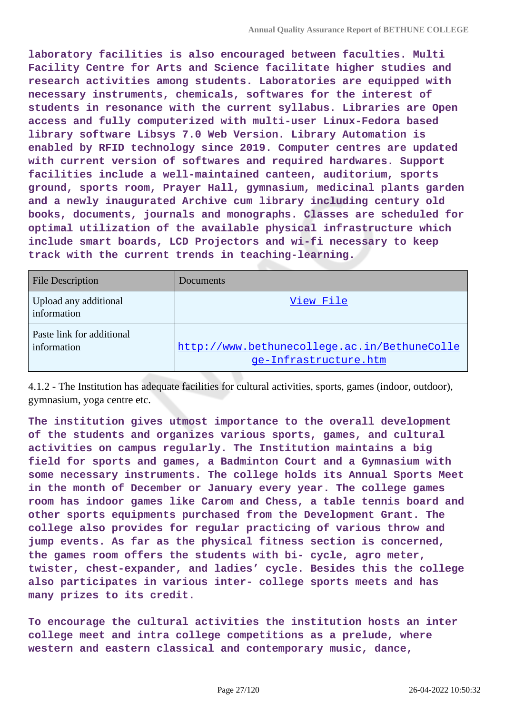**laboratory facilities is also encouraged between faculties. Multi Facility Centre for Arts and Science facilitate higher studies and research activities among students. Laboratories are equipped with necessary instruments, chemicals, softwares for the interest of students in resonance with the current syllabus. Libraries are Open access and fully computerized with multi-user Linux-Fedora based library software Libsys 7.0 Web Version. Library Automation is enabled by RFID technology since 2019. Computer centres are updated with current version of softwares and required hardwares. Support facilities include a well-maintained canteen, auditorium, sports ground, sports room, Prayer Hall, gymnasium, medicinal plants garden and a newly inaugurated Archive cum library including century old books, documents, journals and monographs. Classes are scheduled for optimal utilization of the available physical infrastructure which include smart boards, LCD Projectors and wi-fi necessary to keep track with the current trends in teaching-learning.**

| <b>File Description</b>                  | Documents                                                             |
|------------------------------------------|-----------------------------------------------------------------------|
| Upload any additional<br>information     | View File                                                             |
| Paste link for additional<br>information | http://www.bethunecollege.ac.in/BethuneColle<br>ge-Infrastructure.htm |

4.1.2 - The Institution has adequate facilities for cultural activities, sports, games (indoor, outdoor), gymnasium, yoga centre etc.

**The institution gives utmost importance to the overall development of the students and organizes various sports, games, and cultural activities on campus regularly. The Institution maintains a big field for sports and games, a Badminton Court and a Gymnasium with some necessary instruments. The college holds its Annual Sports Meet in the month of December or January every year. The college games room has indoor games like Carom and Chess, a table tennis board and other sports equipments purchased from the Development Grant. The college also provides for regular practicing of various throw and jump events. As far as the physical fitness section is concerned, the games room offers the students with bi- cycle, agro meter, twister, chest-expander, and ladies' cycle. Besides this the college also participates in various inter- college sports meets and has many prizes to its credit.**

**To encourage the cultural activities the institution hosts an inter college meet and intra college competitions as a prelude, where western and eastern classical and contemporary music, dance,**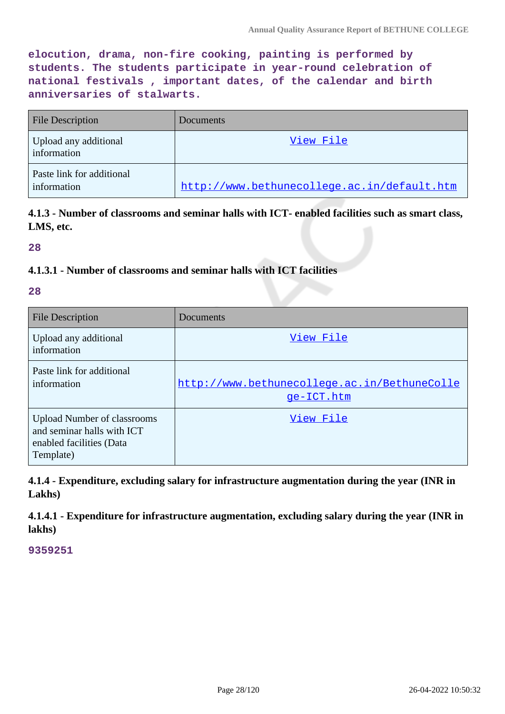**elocution, drama, non-fire cooking, painting is performed by students. The students participate in year-round celebration of national festivals , important dates, of the calendar and birth anniversaries of stalwarts.**

| <b>File Description</b>                  | Documents                                   |
|------------------------------------------|---------------------------------------------|
| Upload any additional<br>information     | View File                                   |
| Paste link for additional<br>information | http://www.bethunecollege.ac.in/default.htm |

**4.1.3 - Number of classrooms and seminar halls with ICT- enabled facilities such as smart class, LMS, etc.**

**28**

### **4.1.3.1 - Number of classrooms and seminar halls with ICT facilities**

#### **28**

| File Description                                                                                          | Documents                                                  |
|-----------------------------------------------------------------------------------------------------------|------------------------------------------------------------|
| Upload any additional<br>information                                                                      | View File                                                  |
| Paste link for additional<br>information                                                                  | http://www.bethunecollege.ac.in/BethuneColle<br>qe-ICT.htm |
| <b>Upload Number of classrooms</b><br>and seminar halls with ICT<br>enabled facilities (Data<br>Template) | View File                                                  |

**4.1.4 - Expenditure, excluding salary for infrastructure augmentation during the year (INR in Lakhs)**

**4.1.4.1 - Expenditure for infrastructure augmentation, excluding salary during the year (INR in lakhs)**

**9359251**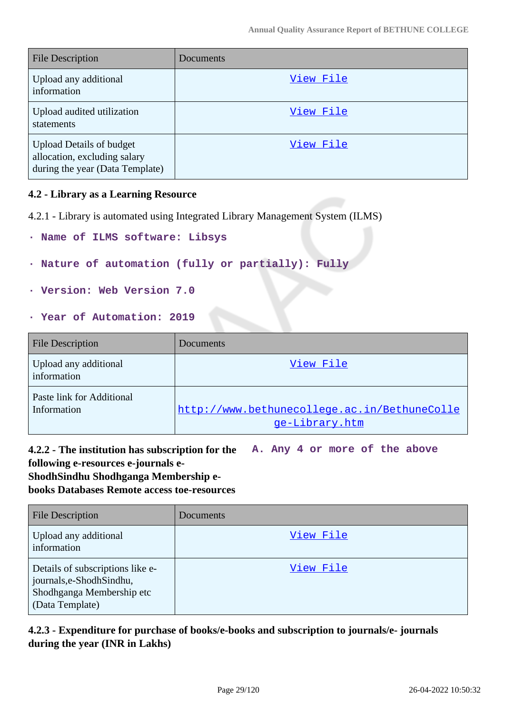| <b>File Description</b>                                                                            | Documents |
|----------------------------------------------------------------------------------------------------|-----------|
| Upload any additional<br>information                                                               | View File |
| Upload audited utilization<br>statements                                                           | View File |
| <b>Upload Details of budget</b><br>allocation, excluding salary<br>during the year (Data Template) | View File |

#### **4.2 - Library as a Learning Resource**

4.2.1 - Library is automated using Integrated Library Management System (ILMS)

- **· Name of ILMS software: Libsys**
- **· Nature of automation (fully or partially): Fully**
- **· Version: Web Version 7.0**
- **· Year of Automation: 2019**

| <b>File Description</b>                  | Documents                                                      |
|------------------------------------------|----------------------------------------------------------------|
| Upload any additional<br>information     | View File                                                      |
| Paste link for Additional<br>Information | http://www.bethunecollege.ac.in/BethuneColle<br>ge-Library.htm |

**4.2.2 - The institution has subscription for the A. Any 4 or more of the above following e-resources e-journals e-**

#### **ShodhSindhu Shodhganga Membership e-**

**books Databases Remote access toe-resources**

| <b>File Description</b>                                                                                       | Documents |
|---------------------------------------------------------------------------------------------------------------|-----------|
| Upload any additional<br>information                                                                          | View File |
| Details of subscriptions like e-<br>journals, e-Shodh Sindhu,<br>Shodhganga Membership etc<br>(Data Template) | View File |

# **4.2.3 - Expenditure for purchase of books/e-books and subscription to journals/e- journals during the year (INR in Lakhs)**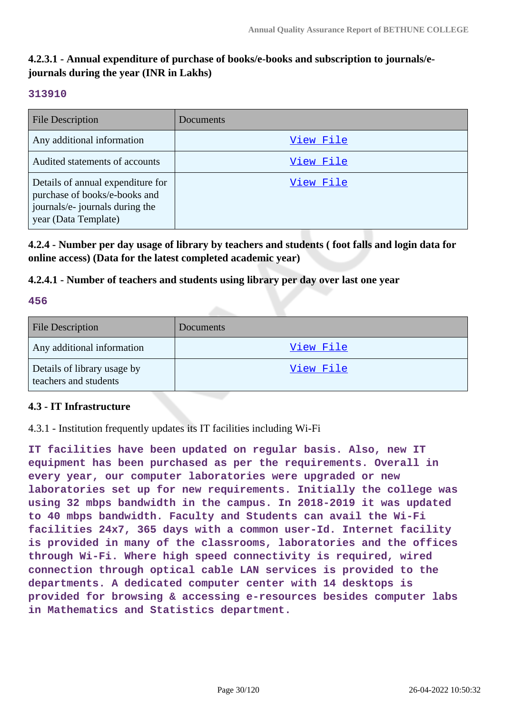# **4.2.3.1 - Annual expenditure of purchase of books/e-books and subscription to journals/ejournals during the year (INR in Lakhs)**

### **313910**

| <b>File Description</b>                                                                                                       | Documents |
|-------------------------------------------------------------------------------------------------------------------------------|-----------|
| Any additional information                                                                                                    | View File |
| Audited statements of accounts                                                                                                | View File |
| Details of annual expenditure for<br>purchase of books/e-books and<br>journals/e- journals during the<br>year (Data Template) | View File |

**4.2.4 - Number per day usage of library by teachers and students ( foot falls and login data for online access) (Data for the latest completed academic year)**

### **4.2.4.1 - Number of teachers and students using library per day over last one year**

#### **456**

| <b>File Description</b>                              | <b>Documents</b> |
|------------------------------------------------------|------------------|
| Any additional information                           | View File        |
| Details of library usage by<br>teachers and students | View File        |

### **4.3 - IT Infrastructure**

4.3.1 - Institution frequently updates its IT facilities including Wi-Fi

**IT facilities have been updated on regular basis. Also, new IT equipment has been purchased as per the requirements. Overall in every year, our computer laboratories were upgraded or new laboratories set up for new requirements. Initially the college was using 32 mbps bandwidth in the campus. In 2018-2019 it was updated to 40 mbps bandwidth. Faculty and Students can avail the Wi-Fi facilities 24x7, 365 days with a common user-Id. Internet facility is provided in many of the classrooms, laboratories and the offices through Wi-Fi. Where high speed connectivity is required, wired connection through optical cable LAN services is provided to the departments. A dedicated computer center with 14 desktops is provided for browsing & accessing e-resources besides computer labs in Mathematics and Statistics department.**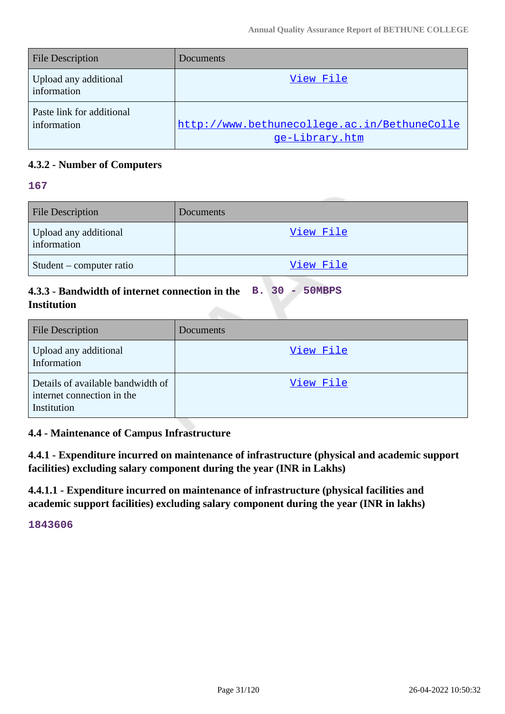| <b>File Description</b>                  | <b>Documents</b>                                               |
|------------------------------------------|----------------------------------------------------------------|
| Upload any additional<br>information     | View File                                                      |
| Paste link for additional<br>information | http://www.bethunecollege.ac.in/BethuneColle<br>ge-Library.htm |

# **4.3.2 - Number of Computers**

#### **167**

| <b>File Description</b>              | <b>Documents</b> |
|--------------------------------------|------------------|
| Upload any additional<br>information | View File        |
| Student – computer ratio             | View File        |

## **4.3.3 - Bandwidth of internet connection in the B. 30 - 50MBPS Institution**

| <b>File Description</b>                                                        | Documents |
|--------------------------------------------------------------------------------|-----------|
| Upload any additional<br>Information                                           | View File |
| Details of available bandwidth of<br>internet connection in the<br>Institution | View File |

**4.4 - Maintenance of Campus Infrastructure**

**4.4.1 - Expenditure incurred on maintenance of infrastructure (physical and academic support facilities) excluding salary component during the year (INR in Lakhs)**

**4.4.1.1 - Expenditure incurred on maintenance of infrastructure (physical facilities and academic support facilities) excluding salary component during the year (INR in lakhs)**

**1843606**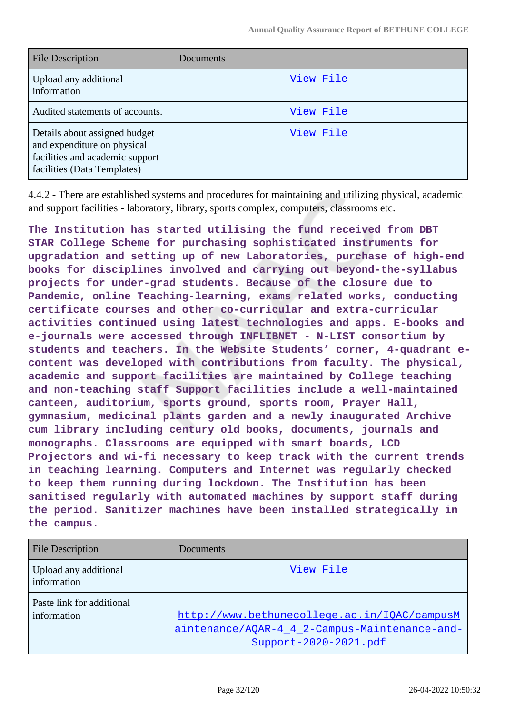| <b>File Description</b>                                                                                                        | Documents |
|--------------------------------------------------------------------------------------------------------------------------------|-----------|
| Upload any additional<br>information                                                                                           | View File |
| Audited statements of accounts.                                                                                                | View File |
| Details about assigned budget<br>and expenditure on physical<br>facilities and academic support<br>facilities (Data Templates) | View File |

4.4.2 - There are established systems and procedures for maintaining and utilizing physical, academic and support facilities - laboratory, library, sports complex, computers, classrooms etc.

**The Institution has started utilising the fund received from DBT STAR College Scheme for purchasing sophisticated instruments for upgradation and setting up of new Laboratories, purchase of high-end books for disciplines involved and carrying out beyond-the-syllabus projects for under-grad students. Because of the closure due to Pandemic, online Teaching-learning, exams related works, conducting certificate courses and other co-curricular and extra-curricular activities continued using latest technologies and apps. E-books and e-journals were accessed through INFLIBNET - N-LIST consortium by students and teachers. In the Website Students' corner, 4-quadrant econtent was developed with contributions from faculty. The physical, academic and support facilities are maintained by College teaching and non-teaching staff Support facilities include a well-maintained canteen, auditorium, sports ground, sports room, Prayer Hall, gymnasium, medicinal plants garden and a newly inaugurated Archive cum library including century old books, documents, journals and monographs. Classrooms are equipped with smart boards, LCD Projectors and wi-fi necessary to keep track with the current trends in teaching learning. Computers and Internet was regularly checked to keep them running during lockdown. The Institution has been sanitised regularly with automated machines by support staff during the period. Sanitizer machines have been installed strategically in the campus.**

| <b>File Description</b>                  | Documents                                                                                                              |
|------------------------------------------|------------------------------------------------------------------------------------------------------------------------|
| Upload any additional<br>information     | View File                                                                                                              |
| Paste link for additional<br>information | http://www.bethunecollege.ac.in/IOAC/campusM<br>aintenance/AQAR-4 4 2-Campus-Maintenance-and-<br>Support-2020-2021.pdf |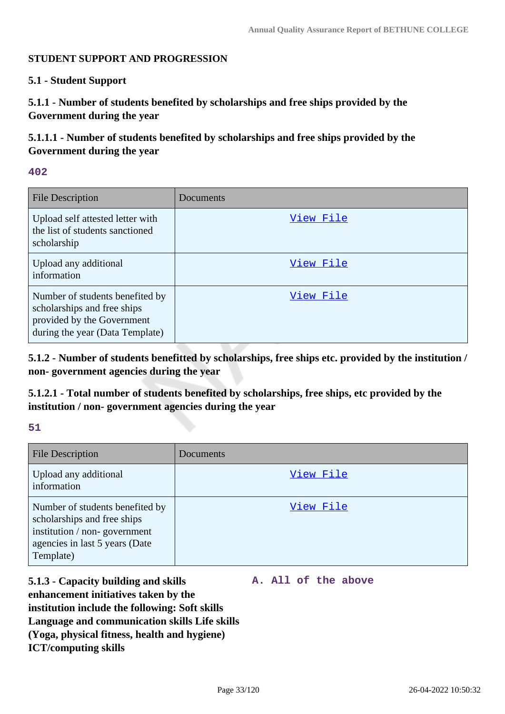#### **STUDENT SUPPORT AND PROGRESSION**

#### **5.1 - Student Support**

**5.1.1 - Number of students benefited by scholarships and free ships provided by the Government during the year**

**5.1.1.1 - Number of students benefited by scholarships and free ships provided by the Government during the year**

#### **402**

| <b>File Description</b>                                                                                                         | Documents |
|---------------------------------------------------------------------------------------------------------------------------------|-----------|
| Upload self attested letter with<br>the list of students sanctioned<br>scholarship                                              | View File |
| Upload any additional<br>information                                                                                            | View File |
| Number of students benefited by<br>scholarships and free ships<br>provided by the Government<br>during the year (Data Template) | View File |

**5.1.2 - Number of students benefitted by scholarships, free ships etc. provided by the institution / non- government agencies during the year**

**5.1.2.1 - Total number of students benefited by scholarships, free ships, etc provided by the institution / non- government agencies during the year**

#### **51**

| <b>File Description</b>                                                                                                                       | <b>Documents</b> |
|-----------------------------------------------------------------------------------------------------------------------------------------------|------------------|
| Upload any additional<br>information                                                                                                          | View File        |
| Number of students benefited by<br>scholarships and free ships<br>institution / non-government<br>agencies in last 5 years (Date<br>Template) | <u>View File</u> |

**5.1.3 - Capacity building and skills enhancement initiatives taken by the institution include the following: Soft skills Language and communication skills Life skills (Yoga, physical fitness, health and hygiene) ICT/computing skills A. All of the above**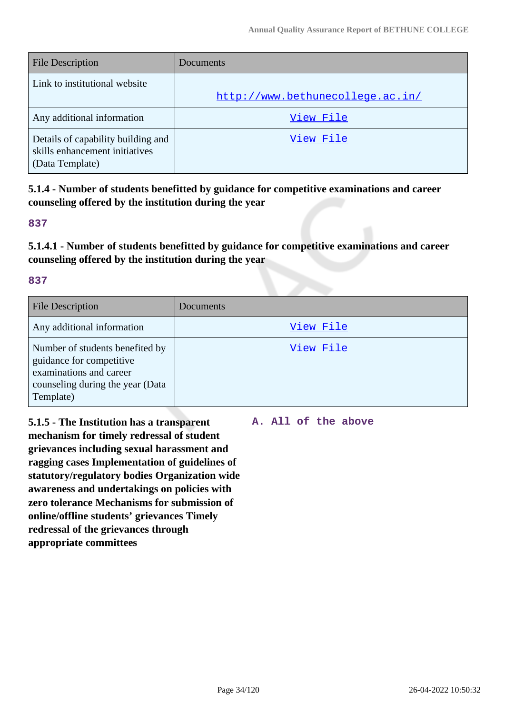| <b>File Description</b>                                                                 | Documents                        |
|-----------------------------------------------------------------------------------------|----------------------------------|
| Link to institutional website                                                           | http://www.bethunecollege.ac.in/ |
| Any additional information                                                              | View File                        |
| Details of capability building and<br>skills enhancement initiatives<br>(Data Template) | View File                        |

**5.1.4 - Number of students benefitted by guidance for competitive examinations and career counseling offered by the institution during the year**

#### **837**

**5.1.4.1 - Number of students benefitted by guidance for competitive examinations and career counseling offered by the institution during the year**

#### **837**

| <b>File Description</b>                                                                                                                 | Documents |
|-----------------------------------------------------------------------------------------------------------------------------------------|-----------|
| Any additional information                                                                                                              | View File |
| Number of students benefited by<br>guidance for competitive<br>examinations and career<br>counseling during the year (Data<br>Template) | View File |

**5.1.5 - The Institution has a transparent mechanism for timely redressal of student grievances including sexual harassment and ragging cases Implementation of guidelines of statutory/regulatory bodies Organization wide awareness and undertakings on policies with zero tolerance Mechanisms for submission of online/offline students' grievances Timely redressal of the grievances through appropriate committees**

**A. All of the above**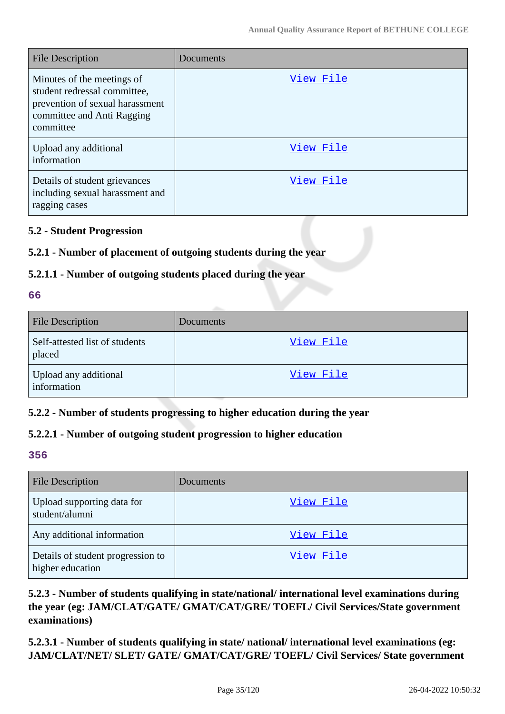| <b>File Description</b>                                                                                                                  | Documents |
|------------------------------------------------------------------------------------------------------------------------------------------|-----------|
| Minutes of the meetings of<br>student redressal committee,<br>prevention of sexual harassment<br>committee and Anti Ragging<br>committee | View File |
| Upload any additional<br>information                                                                                                     | View File |
| Details of student grievances<br>including sexual harassment and<br>ragging cases                                                        | View File |

### **5.2 - Student Progression**

# **5.2.1 - Number of placement of outgoing students during the year**

### **5.2.1.1 - Number of outgoing students placed during the year**

#### **66**

| <b>File Description</b>                  | <b>Documents</b> |
|------------------------------------------|------------------|
| Self-attested list of students<br>placed | View File        |
| Upload any additional<br>information     | View File        |

### **5.2.2 - Number of students progressing to higher education during the year**

### **5.2.2.1 - Number of outgoing student progression to higher education**

#### **356**

| <b>File Description</b>                               | Documents |
|-------------------------------------------------------|-----------|
| Upload supporting data for<br>student/alumni          | View File |
| Any additional information                            | View File |
| Details of student progression to<br>higher education | View File |

# **5.2.3 - Number of students qualifying in state/national/ international level examinations during the year (eg: JAM/CLAT/GATE/ GMAT/CAT/GRE/ TOEFL/ Civil Services/State government examinations)**

**5.2.3.1 - Number of students qualifying in state/ national/ international level examinations (eg: JAM/CLAT/NET/ SLET/ GATE/ GMAT/CAT/GRE/ TOEFL/ Civil Services/ State government**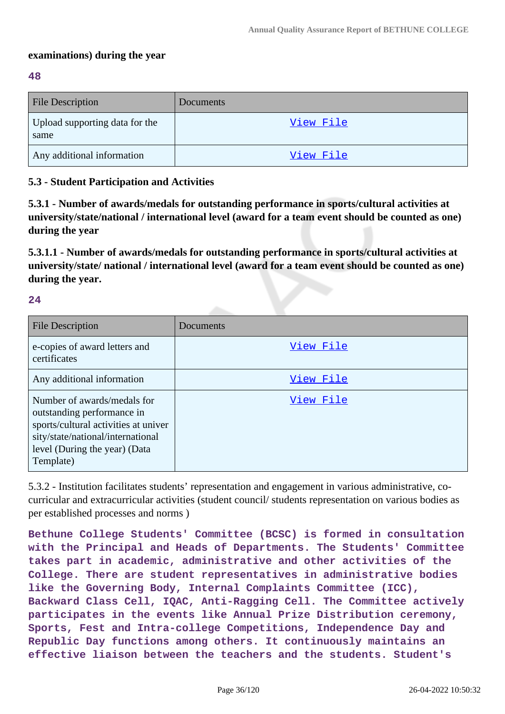### **examinations) during the year**

#### **48**

| <b>File Description</b>                | <b>Documents</b> |
|----------------------------------------|------------------|
| Upload supporting data for the<br>same | View File        |
| Any additional information             | <u>View File</u> |

### **5.3 - Student Participation and Activities**

**5.3.1 - Number of awards/medals for outstanding performance in sports/cultural activities at university/state/national / international level (award for a team event should be counted as one) during the year**

**5.3.1.1 - Number of awards/medals for outstanding performance in sports/cultural activities at university/state/ national / international level (award for a team event should be counted as one) during the year.**

**24**

| <b>File Description</b>                                                                                                                                                              | Documents |
|--------------------------------------------------------------------------------------------------------------------------------------------------------------------------------------|-----------|
| e-copies of award letters and<br>certificates                                                                                                                                        | View File |
| Any additional information                                                                                                                                                           | View File |
| Number of awards/medals for<br>outstanding performance in<br>sports/cultural activities at univer<br>sity/state/national/international<br>level (During the year) (Data<br>Template) | View File |

5.3.2 - Institution facilitates students' representation and engagement in various administrative, cocurricular and extracurricular activities (student council/ students representation on various bodies as per established processes and norms )

**Bethune College Students' Committee (BCSC) is formed in consultation with the Principal and Heads of Departments. The Students' Committee takes part in academic, administrative and other activities of the College. There are student representatives in administrative bodies like the Governing Body, Internal Complaints Committee (ICC), Backward Class Cell, IQAC, Anti-Ragging Cell. The Committee actively participates in the events like Annual Prize Distribution ceremony, Sports, Fest and Intra-college Competitions, Independence Day and Republic Day functions among others. It continuously maintains an effective liaison between the teachers and the students. Student's**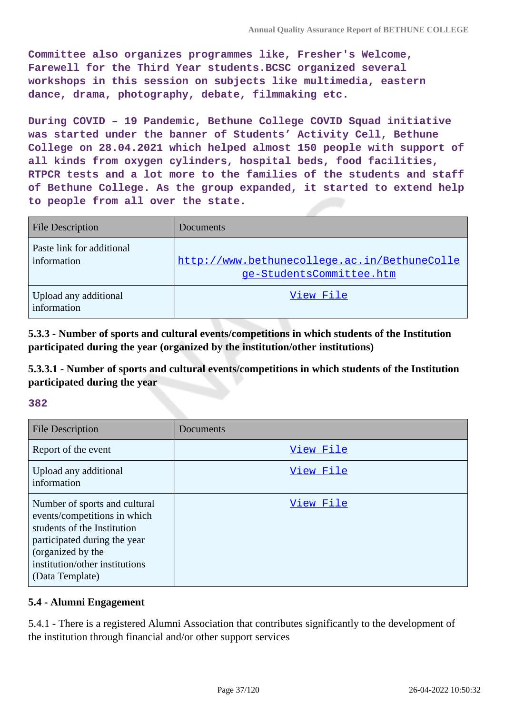**Committee also organizes programmes like, Fresher's Welcome, Farewell for the Third Year students.BCSC organized several workshops in this session on subjects like multimedia, eastern dance, drama, photography, debate, filmmaking etc.**

**During COVID – 19 Pandemic, Bethune College COVID Squad initiative was started under the banner of Students' Activity Cell, Bethune College on 28.04.2021 which helped almost 150 people with support of all kinds from oxygen cylinders, hospital beds, food facilities, RTPCR tests and a lot more to the families of the students and staff of Bethune College. As the group expanded, it started to extend help to people from all over the state.**

| <b>File Description</b>                  | Documents                                                                |
|------------------------------------------|--------------------------------------------------------------------------|
| Paste link for additional<br>information | http://www.bethunecollege.ac.in/BethuneColle<br>ge-StudentsCommittee.htm |
| Upload any additional<br>information     | View File                                                                |

**5.3.3 - Number of sports and cultural events/competitions in which students of the Institution participated during the year (organized by the institution/other institutions)**

**5.3.3.1 - Number of sports and cultural events/competitions in which students of the Institution participated during the year**

#### **382**

| <b>File Description</b>                                                                                                                                                                                | Documents |
|--------------------------------------------------------------------------------------------------------------------------------------------------------------------------------------------------------|-----------|
| Report of the event                                                                                                                                                                                    | View File |
| Upload any additional<br>information                                                                                                                                                                   | View File |
| Number of sports and cultural<br>events/competitions in which<br>students of the Institution<br>participated during the year<br>(organized by the<br>institution/other institutions<br>(Data Template) | View File |

#### **5.4 - Alumni Engagement**

5.4.1 - There is a registered Alumni Association that contributes significantly to the development of the institution through financial and/or other support services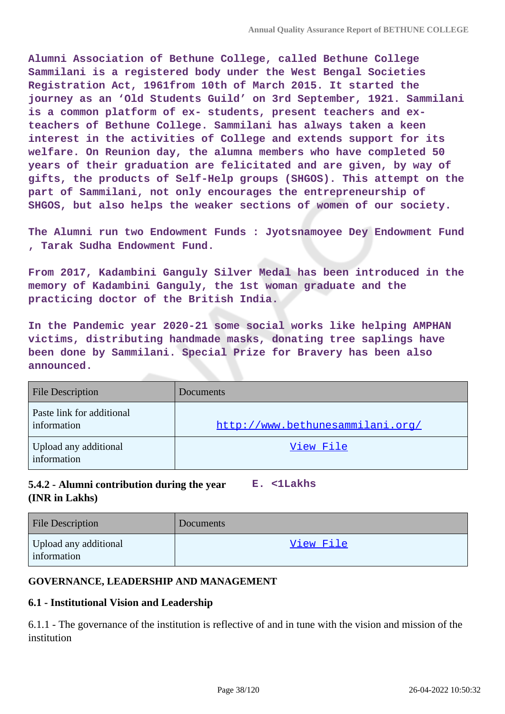**Alumni Association of Bethune College, called Bethune College Sammilani is a registered body under the West Bengal Societies Registration Act, 1961from 10th of March 2015. It started the journey as an 'Old Students Guild' on 3rd September, 1921. Sammilani is a common platform of ex- students, present teachers and exteachers of Bethune College. Sammilani has always taken a keen interest in the activities of College and extends support for its welfare. On Reunion day, the alumna members who have completed 50 years of their graduation are felicitated and are given, by way of gifts, the products of Self-Help groups (SHGOS). This attempt on the part of Sammilani, not only encourages the entrepreneurship of SHGOS, but also helps the weaker sections of women of our society.**

**The Alumni run two Endowment Funds : Jyotsnamoyee Dey Endowment Fund , Tarak Sudha Endowment Fund.**

**From 2017, Kadambini Ganguly Silver Medal has been introduced in the memory of Kadambini Ganguly, the 1st woman graduate and the practicing doctor of the British India.**

**In the Pandemic year 2020-21 some social works like helping AMPHAN victims, distributing handmade masks, donating tree saplings have been done by Sammilani. Special Prize for Bravery has been also announced.**

| <b>File Description</b>                  | Documents                        |
|------------------------------------------|----------------------------------|
| Paste link for additional<br>information | http://www.bethunesammilani.org/ |
| Upload any additional<br>information     | View File                        |

#### **5.4.2 - Alumni contribution during the year (INR in Lakhs) E. <1Lakhs**

| <b>File Description</b>              | Documents |
|--------------------------------------|-----------|
| Upload any additional<br>information | View File |

#### **GOVERNANCE, LEADERSHIP AND MANAGEMENT**

#### **6.1 - Institutional Vision and Leadership**

6.1.1 - The governance of the institution is reflective of and in tune with the vision and mission of the institution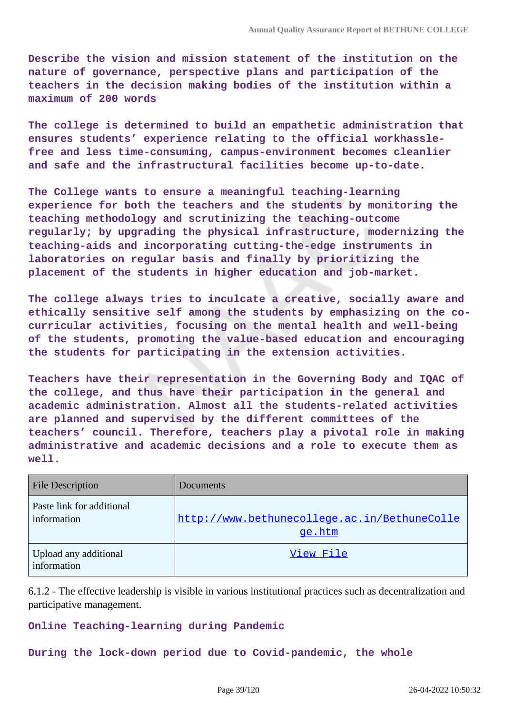**Describe the vision and mission statement of the institution on the nature of governance, perspective plans and participation of the teachers in the decision making bodies of the institution within a maximum of 200 words**

**The college is determined to build an empathetic administration that ensures students' experience relating to the official workhasslefree and less time-consuming, campus-environment becomes cleanlier and safe and the infrastructural facilities become up-to-date.**

**The College wants to ensure a meaningful teaching-learning experience for both the teachers and the students by monitoring the teaching methodology and scrutinizing the teaching-outcome regularly; by upgrading the physical infrastructure, modernizing the teaching-aids and incorporating cutting-the-edge instruments in laboratories on regular basis and finally by prioritizing the placement of the students in higher education and job-market.**

**The college always tries to inculcate a creative, socially aware and ethically sensitive self among the students by emphasizing on the cocurricular activities, focusing on the mental health and well-being of the students, promoting the value-based education and encouraging the students for participating in the extension activities.**

**Teachers have their representation in the Governing Body and IQAC of the college, and thus have their participation in the general and academic administration. Almost all the students-related activities are planned and supervised by the different committees of the teachers' council. Therefore, teachers play a pivotal role in making administrative and academic decisions and a role to execute them as well.**

| <b>File Description</b>                  | <b>Documents</b>                                       |
|------------------------------------------|--------------------------------------------------------|
| Paste link for additional<br>information | http://www.bethunecollege.ac.in/BethuneColle<br>ge.htm |
| Upload any additional<br>information     | View File                                              |

6.1.2 - The effective leadership is visible in various institutional practices such as decentralization and participative management.

**Online Teaching-learning during Pandemic**

**During the lock-down period due to Covid-pandemic, the whole**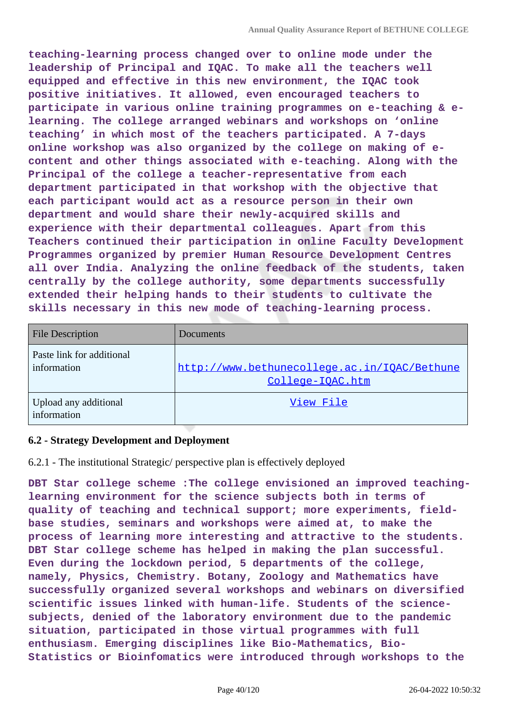**teaching-learning process changed over to online mode under the leadership of Principal and IQAC. To make all the teachers well equipped and effective in this new environment, the IQAC took positive initiatives. It allowed, even encouraged teachers to participate in various online training programmes on e-teaching & elearning. The college arranged webinars and workshops on 'online teaching' in which most of the teachers participated. A 7-days online workshop was also organized by the college on making of econtent and other things associated with e-teaching. Along with the Principal of the college a teacher-representative from each department participated in that workshop with the objective that each participant would act as a resource person in their own department and would share their newly-acquired skills and experience with their departmental colleagues. Apart from this Teachers continued their participation in online Faculty Development Programmes organized by premier Human Resource Development Centres all over India. Analyzing the online feedback of the students, taken centrally by the college authority, some departments successfully extended their helping hands to their students to cultivate the skills necessary in this new mode of teaching-learning process.**

| <b>File Description</b>                  | Documents                                                        |
|------------------------------------------|------------------------------------------------------------------|
| Paste link for additional<br>information | http://www.bethunecollege.ac.in/IQAC/Bethune<br>College-IQAC.htm |
| Upload any additional<br>information     | View File                                                        |

#### **6.2 - Strategy Development and Deployment**

6.2.1 - The institutional Strategic/ perspective plan is effectively deployed

**DBT Star college scheme :The college envisioned an improved teachinglearning environment for the science subjects both in terms of quality of teaching and technical support; more experiments, fieldbase studies, seminars and workshops were aimed at, to make the process of learning more interesting and attractive to the students. DBT Star college scheme has helped in making the plan successful. Even during the lockdown period, 5 departments of the college, namely, Physics, Chemistry. Botany, Zoology and Mathematics have successfully organized several workshops and webinars on diversified scientific issues linked with human-life. Students of the sciencesubjects, denied of the laboratory environment due to the pandemic situation, participated in those virtual programmes with full enthusiasm. Emerging disciplines like Bio-Mathematics, Bio-Statistics or Bioinfomatics were introduced through workshops to the**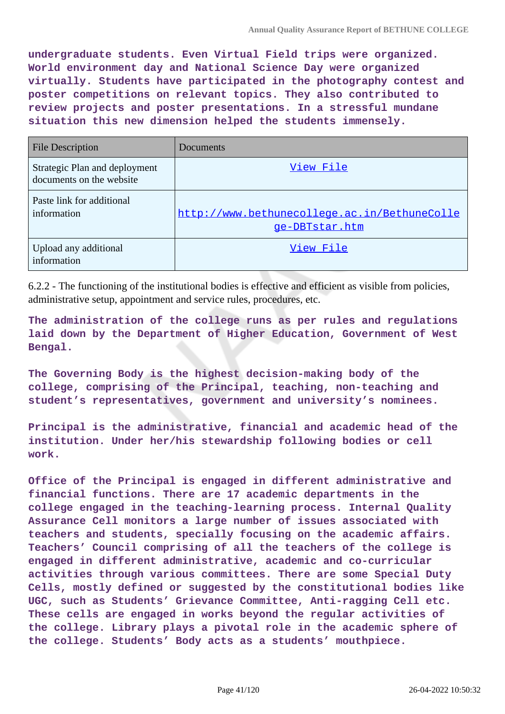**undergraduate students. Even Virtual Field trips were organized. World environment day and National Science Day were organized virtually. Students have participated in the photography contest and poster competitions on relevant topics. They also contributed to review projects and poster presentations. In a stressful mundane situation this new dimension helped the students immensely.**

| <b>File Description</b>                                   | Documents                                                      |
|-----------------------------------------------------------|----------------------------------------------------------------|
| Strategic Plan and deployment<br>documents on the website | View File                                                      |
| Paste link for additional<br>information                  | http://www.bethunecollege.ac.in/BethuneColle<br>ge-DBTstar.htm |
| Upload any additional<br>information                      | View File                                                      |

6.2.2 - The functioning of the institutional bodies is effective and efficient as visible from policies, administrative setup, appointment and service rules, procedures, etc.

**The administration of the college runs as per rules and regulations laid down by the Department of Higher Education, Government of West Bengal.**

**The Governing Body is the highest decision-making body of the college, comprising of the Principal, teaching, non-teaching and student's representatives, government and university's nominees.**

**Principal is the administrative, financial and academic head of the institution. Under her/his stewardship following bodies or cell work.**

**Office of the Principal is engaged in different administrative and financial functions. There are 17 academic departments in the college engaged in the teaching-learning process. Internal Quality Assurance Cell monitors a large number of issues associated with teachers and students, specially focusing on the academic affairs. Teachers' Council comprising of all the teachers of the college is engaged in different administrative, academic and co-curricular activities through various committees. There are some Special Duty Cells, mostly defined or suggested by the constitutional bodies like UGC, such as Students' Grievance Committee, Anti-ragging Cell etc. These cells are engaged in works beyond the regular activities of the college. Library plays a pivotal role in the academic sphere of the college. Students' Body acts as a students' mouthpiece.**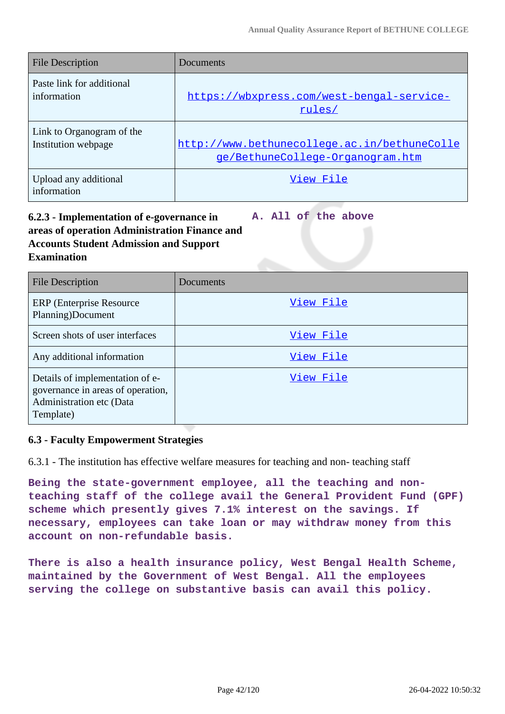| <b>File Description</b>              | Documents                                    |
|--------------------------------------|----------------------------------------------|
| Paste link for additional            | https://wbxpress.com/west-bengal-service-    |
| information                          | rules/                                       |
| Link to Organogram of the            | http://www.bethunecollege.ac.in/bethuneColle |
| Institution webpage                  | ge/BethuneCollege-Organogram.htm             |
| Upload any additional<br>information | View File                                    |

#### **6.2.3 - Implementation of e-governance in areas of operation Administration Finance and Accounts Student Admission and Support Examination A. All of the above**

| <b>File Description</b>                                                                                       | Documents |
|---------------------------------------------------------------------------------------------------------------|-----------|
| <b>ERP</b> (Enterprise Resource)<br>Planning)Document                                                         | View File |
| Screen shots of user interfaces                                                                               | View File |
| Any additional information                                                                                    | View File |
| Details of implementation of e-<br>governance in areas of operation,<br>Administration etc (Data<br>Template) | View File |

#### **6.3 - Faculty Empowerment Strategies**

6.3.1 - The institution has effective welfare measures for teaching and non- teaching staff

**Being the state-government employee, all the teaching and nonteaching staff of the college avail the General Provident Fund (GPF) scheme which presently gives 7.1% interest on the savings. If necessary, employees can take loan or may withdraw money from this account on non-refundable basis.**

**There is also a health insurance policy, West Bengal Health Scheme, maintained by the Government of West Bengal. All the employees serving the college on substantive basis can avail this policy.**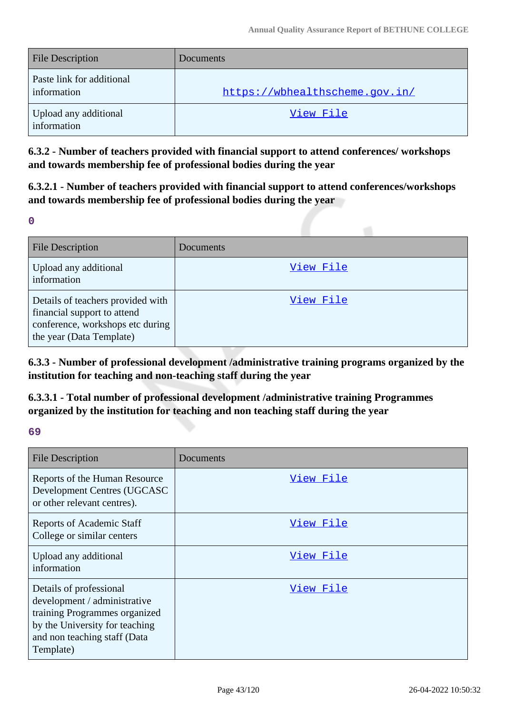| <b>File Description</b>                  | Documents                      |
|------------------------------------------|--------------------------------|
| Paste link for additional<br>information | https://wbhealthscheme.gov.in/ |
| Upload any additional<br>information     | View File                      |

**6.3.2 - Number of teachers provided with financial support to attend conferences/ workshops and towards membership fee of professional bodies during the year**

**6.3.2.1 - Number of teachers provided with financial support to attend conferences/workshops and towards membership fee of professional bodies during the year**

**0**

| <b>File Description</b>                                                                                                          | Documents |
|----------------------------------------------------------------------------------------------------------------------------------|-----------|
| Upload any additional<br>information                                                                                             | View File |
| Details of teachers provided with<br>financial support to attend<br>conference, workshops etc during<br>the year (Data Template) | View File |

**6.3.3 - Number of professional development /administrative training programs organized by the institution for teaching and non-teaching staff during the year**

**6.3.3.1 - Total number of professional development /administrative training Programmes organized by the institution for teaching and non teaching staff during the year**

### **69**

| <b>File Description</b>                                                                                                                                                 | Documents |
|-------------------------------------------------------------------------------------------------------------------------------------------------------------------------|-----------|
| Reports of the Human Resource<br>Development Centres (UGCASC<br>or other relevant centres).                                                                             | View File |
| <b>Reports of Academic Staff</b><br>College or similar centers                                                                                                          | View File |
| Upload any additional<br>information                                                                                                                                    | View File |
| Details of professional<br>development / administrative<br>training Programmes organized<br>by the University for teaching<br>and non teaching staff (Data<br>Template) | View File |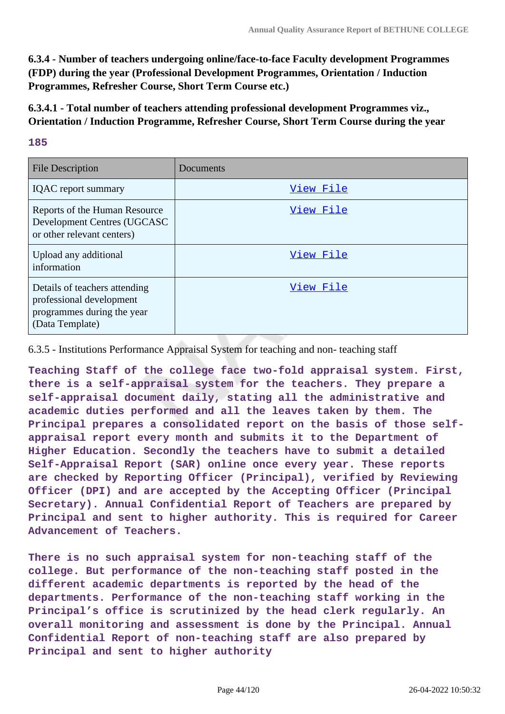**6.3.4 - Number of teachers undergoing online/face-to-face Faculty development Programmes (FDP) during the year (Professional Development Programmes, Orientation / Induction Programmes, Refresher Course, Short Term Course etc.)**

**6.3.4.1 - Total number of teachers attending professional development Programmes viz., Orientation / Induction Programme, Refresher Course, Short Term Course during the year**

#### **185**

| <b>File Description</b>                                                                                    | Documents |
|------------------------------------------------------------------------------------------------------------|-----------|
| <b>IQAC</b> report summary                                                                                 | View File |
| Reports of the Human Resource<br>Development Centres (UGCASC<br>or other relevant centers)                 | View File |
| Upload any additional<br>information                                                                       | View File |
| Details of teachers attending<br>professional development<br>programmes during the year<br>(Data Template) | View File |

6.3.5 - Institutions Performance Appraisal System for teaching and non- teaching staff

**Teaching Staff of the college face two-fold appraisal system. First, there is a self-appraisal system for the teachers. They prepare a self-appraisal document daily, stating all the administrative and academic duties performed and all the leaves taken by them. The Principal prepares a consolidated report on the basis of those selfappraisal report every month and submits it to the Department of Higher Education. Secondly the teachers have to submit a detailed Self-Appraisal Report (SAR) online once every year. These reports are checked by Reporting Officer (Principal), verified by Reviewing Officer (DPI) and are accepted by the Accepting Officer (Principal Secretary). Annual Confidential Report of Teachers are prepared by Principal and sent to higher authority. This is required for Career Advancement of Teachers.**

**There is no such appraisal system for non-teaching staff of the college. But performance of the non-teaching staff posted in the different academic departments is reported by the head of the departments. Performance of the non-teaching staff working in the Principal's office is scrutinized by the head clerk regularly. An overall monitoring and assessment is done by the Principal. Annual Confidential Report of non-teaching staff are also prepared by Principal and sent to higher authority**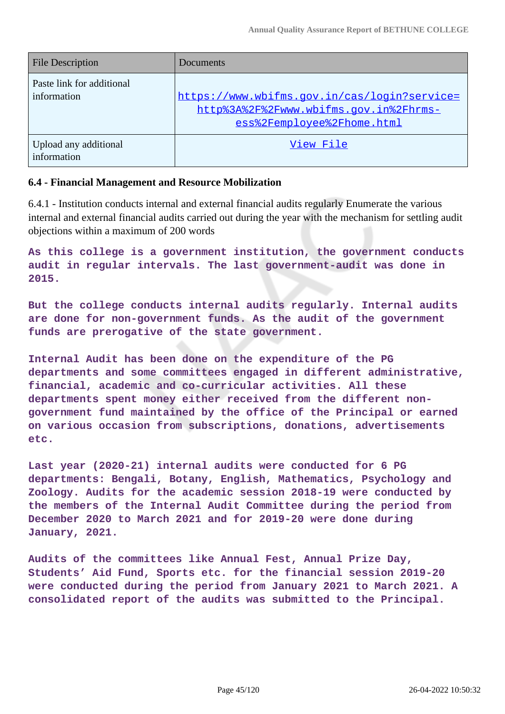| <b>File Description</b>                  | Documents                                                                                                            |
|------------------------------------------|----------------------------------------------------------------------------------------------------------------------|
| Paste link for additional<br>information | https://www.wbifms.qov.in/cas/loqin?service=<br>http%3A%2F%2Fwww.wbifms.gov.in%2Fhrms-<br>ess%2Femployee%2Fhome.html |
| Upload any additional<br>information     | View File                                                                                                            |

#### **6.4 - Financial Management and Resource Mobilization**

6.4.1 - Institution conducts internal and external financial audits regularly Enumerate the various internal and external financial audits carried out during the year with the mechanism for settling audit objections within a maximum of 200 words

**As this college is a government institution, the government conducts audit in regular intervals. The last government-audit was done in 2015.**

**But the college conducts internal audits regularly. Internal audits are done for non-government funds. As the audit of the government funds are prerogative of the state government.**

**Internal Audit has been done on the expenditure of the PG departments and some committees engaged in different administrative, financial, academic and co-curricular activities. All these departments spent money either received from the different nongovernment fund maintained by the office of the Principal or earned on various occasion from subscriptions, donations, advertisements etc.**

**Last year (2020-21) internal audits were conducted for 6 PG departments: Bengali, Botany, English, Mathematics, Psychology and Zoology. Audits for the academic session 2018-19 were conducted by the members of the Internal Audit Committee during the period from December 2020 to March 2021 and for 2019-20 were done during January, 2021.**

**Audits of the committees like Annual Fest, Annual Prize Day, Students' Aid Fund, Sports etc. for the financial session 2019-20 were conducted during the period from January 2021 to March 2021. A consolidated report of the audits was submitted to the Principal.**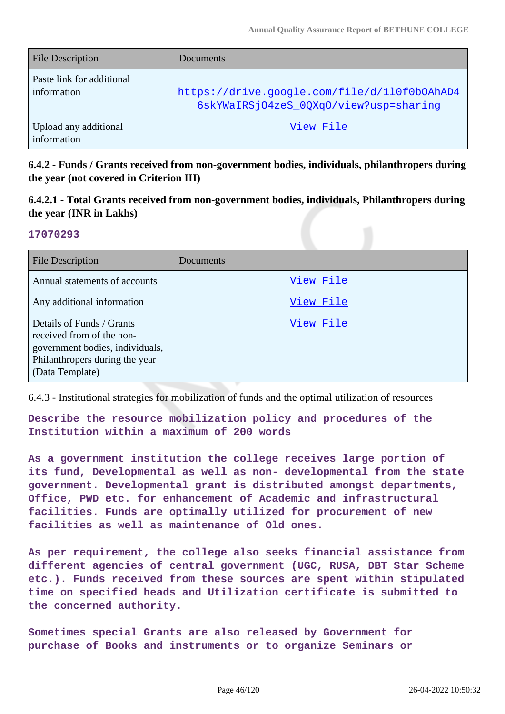| <b>File Description</b>                  | <b>Documents</b>                                                                       |
|------------------------------------------|----------------------------------------------------------------------------------------|
| Paste link for additional<br>information | https://drive.google.com/file/d/110f0b0AhAD4<br>6skYWaIRSj04zeS 00Xq0/view?usp=sharinq |
| Upload any additional<br>information     | View File                                                                              |

**6.4.2 - Funds / Grants received from non-government bodies, individuals, philanthropers during the year (not covered in Criterion III)**

### **6.4.2.1 - Total Grants received from non-government bodies, individuals, Philanthropers during the year (INR in Lakhs)**

#### **17070293**

| <b>File Description</b>                                                                                                                        | Documents |
|------------------------------------------------------------------------------------------------------------------------------------------------|-----------|
| Annual statements of accounts                                                                                                                  | View File |
| Any additional information                                                                                                                     | View File |
| Details of Funds / Grants<br>received from of the non-<br>government bodies, individuals,<br>Philanthropers during the year<br>(Data Template) | View File |

6.4.3 - Institutional strategies for mobilization of funds and the optimal utilization of resources

**Describe the resource mobilization policy and procedures of the Institution within a maximum of 200 words**

**As a government institution the college receives large portion of its fund, Developmental as well as non- developmental from the state government. Developmental grant is distributed amongst departments, Office, PWD etc. for enhancement of Academic and infrastructural facilities. Funds are optimally utilized for procurement of new facilities as well as maintenance of Old ones.**

**As per requirement, the college also seeks financial assistance from different agencies of central government (UGC, RUSA, DBT Star Scheme etc.). Funds received from these sources are spent within stipulated time on specified heads and Utilization certificate is submitted to the concerned authority.**

**Sometimes special Grants are also released by Government for purchase of Books and instruments or to organize Seminars or**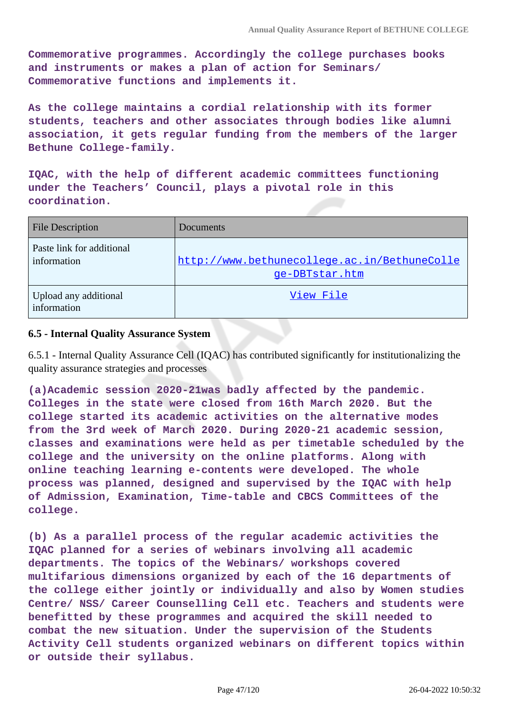**Commemorative programmes. Accordingly the college purchases books and instruments or makes a plan of action for Seminars/ Commemorative functions and implements it.**

**As the college maintains a cordial relationship with its former students, teachers and other associates through bodies like alumni association, it gets regular funding from the members of the larger Bethune College-family.**

**IQAC, with the help of different academic committees functioning under the Teachers' Council, plays a pivotal role in this coordination.**

| <b>File Description</b>                  | Documents                                                      |
|------------------------------------------|----------------------------------------------------------------|
| Paste link for additional<br>information | http://www.bethunecollege.ac.in/BethuneColle<br>ge-DBTstar.htm |
| Upload any additional<br>information     | View File                                                      |

#### **6.5 - Internal Quality Assurance System**

6.5.1 - Internal Quality Assurance Cell (IQAC) has contributed significantly for institutionalizing the quality assurance strategies and processes

**(a)Academic session 2020-21was badly affected by the pandemic. Colleges in the state were closed from 16th March 2020. But the college started its academic activities on the alternative modes from the 3rd week of March 2020. During 2020-21 academic session, classes and examinations were held as per timetable scheduled by the college and the university on the online platforms. Along with online teaching learning e-contents were developed. The whole process was planned, designed and supervised by the IQAC with help of Admission, Examination, Time-table and CBCS Committees of the college.**

**(b) As a parallel process of the regular academic activities the IQAC planned for a series of webinars involving all academic departments. The topics of the Webinars/ workshops covered multifarious dimensions organized by each of the 16 departments of the college either jointly or individually and also by Women studies Centre/ NSS/ Career Counselling Cell etc. Teachers and students were benefitted by these programmes and acquired the skill needed to combat the new situation. Under the supervision of the Students Activity Cell students organized webinars on different topics within or outside their syllabus.**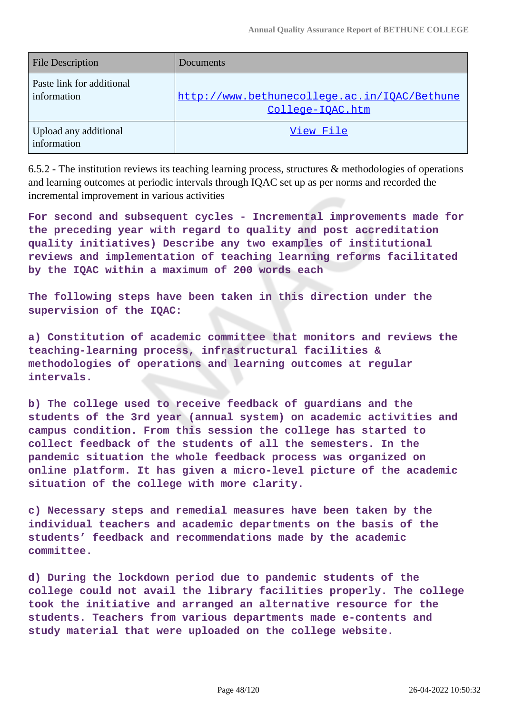| <b>File Description</b>                  | Documents                                                        |
|------------------------------------------|------------------------------------------------------------------|
| Paste link for additional<br>information | http://www.bethunecollege.ac.in/IOAC/Bethune<br>College-IOAC.htm |
| Upload any additional<br>information     | View File                                                        |

6.5.2 - The institution reviews its teaching learning process, structures  $\&$  methodologies of operations and learning outcomes at periodic intervals through IQAC set up as per norms and recorded the incremental improvement in various activities

**For second and subsequent cycles - Incremental improvements made for the preceding year with regard to quality and post accreditation quality initiatives) Describe any two examples of institutional reviews and implementation of teaching learning reforms facilitated by the IQAC within a maximum of 200 words each**

**The following steps have been taken in this direction under the supervision of the IQAC:**

**a) Constitution of academic committee that monitors and reviews the teaching-learning process, infrastructural facilities & methodologies of operations and learning outcomes at regular intervals.** 

**b) The college used to receive feedback of guardians and the students of the 3rd year (annual system) on academic activities and campus condition. From this session the college has started to collect feedback of the students of all the semesters. In the pandemic situation the whole feedback process was organized on online platform. It has given a micro-level picture of the academic situation of the college with more clarity.** 

**c) Necessary steps and remedial measures have been taken by the individual teachers and academic departments on the basis of the students' feedback and recommendations made by the academic committee.**

**d) During the lockdown period due to pandemic students of the college could not avail the library facilities properly. The college took the initiative and arranged an alternative resource for the students. Teachers from various departments made e-contents and study material that were uploaded on the college website.**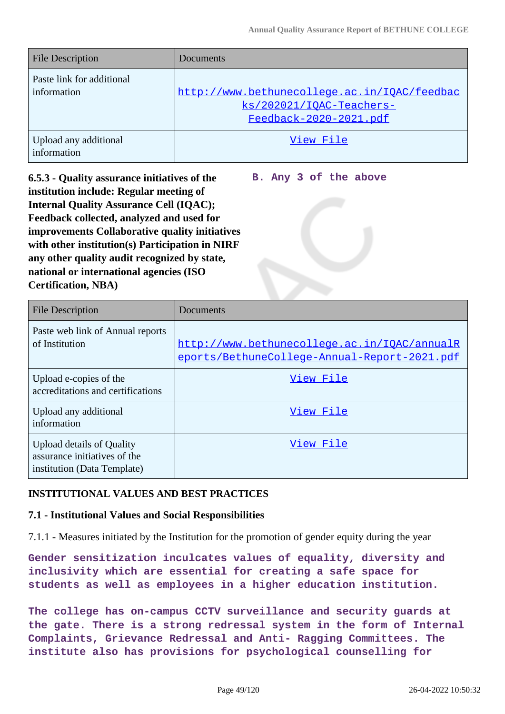| <b>File Description</b>                  | <b>Documents</b>                                                                                   |
|------------------------------------------|----------------------------------------------------------------------------------------------------|
| Paste link for additional<br>information | http://www.bethunecollege.ac.in/IOAC/feedbac<br>ks/202021/IOAC-Teachers-<br>Feedback-2020-2021.pdf |
| Upload any additional<br>information     | View File                                                                                          |

**6.5.3 - Quality assurance initiatives of the institution include: Regular meeting of Internal Quality Assurance Cell (IQAC); Feedback collected, analyzed and used for improvements Collaborative quality initiatives with other institution(s) Participation in NIRF any other quality audit recognized by state, national or international agencies (ISO Certification, NBA)**

**B. Any 3 of the above**

| <b>File Description</b>                                                                  | Documents                                                                                    |
|------------------------------------------------------------------------------------------|----------------------------------------------------------------------------------------------|
| Paste web link of Annual reports<br>of Institution                                       | http://www.bethunecollege.ac.in/IOAC/annualR<br>eports/BethuneCollege-Annual-Report-2021.pdf |
| Upload e-copies of the<br>accreditations and certifications                              | View File                                                                                    |
| Upload any additional<br>information                                                     | View File                                                                                    |
| Upload details of Quality<br>assurance initiatives of the<br>institution (Data Template) | View File                                                                                    |

#### **INSTITUTIONAL VALUES AND BEST PRACTICES**

#### **7.1 - Institutional Values and Social Responsibilities**

7.1.1 - Measures initiated by the Institution for the promotion of gender equity during the year

**Gender sensitization inculcates values of equality, diversity and inclusivity which are essential for creating a safe space for students as well as employees in a higher education institution.**

**The college has on-campus CCTV surveillance and security guards at the gate. There is a strong redressal system in the form of Internal Complaints, Grievance Redressal and Anti- Ragging Committees. The institute also has provisions for psychological counselling for**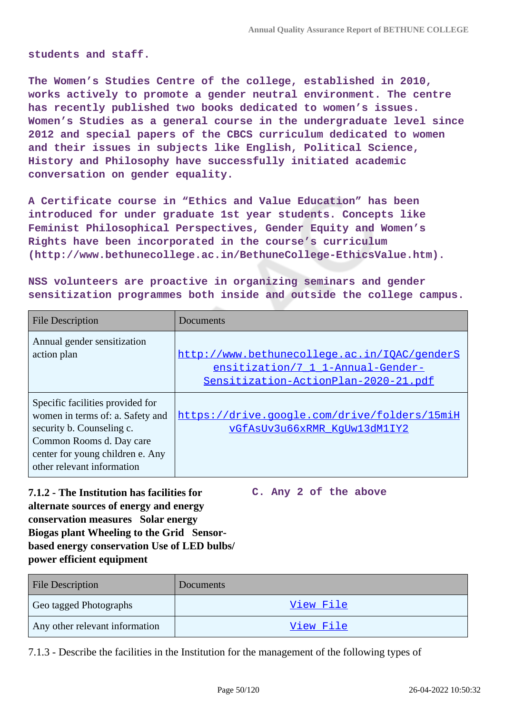**students and staff.**

**The Women's Studies Centre of the college, established in 2010, works actively to promote a gender neutral environment. The centre has recently published two books dedicated to women's issues. Women's Studies as a general course in the undergraduate level since 2012 and special papers of the CBCS curriculum dedicated to women and their issues in subjects like English, Political Science, History and Philosophy have successfully initiated academic conversation on gender equality.**

**A Certificate course in "Ethics and Value Education" has been introduced for under graduate 1st year students. Concepts like Feminist Philosophical Perspectives, Gender Equity and Women's Rights have been incorporated in the course's curriculum (http://www.bethunecollege.ac.in/BethuneCollege-EthicsValue.htm).**

**NSS volunteers are proactive in organizing seminars and gender sensitization programmes both inside and outside the college campus.**

| <b>File Description</b>                                                                                                                                                                         | Documents                                                                                                                 |
|-------------------------------------------------------------------------------------------------------------------------------------------------------------------------------------------------|---------------------------------------------------------------------------------------------------------------------------|
| Annual gender sensitization<br>action plan                                                                                                                                                      | http://www.bethunecollege.ac.in/IOAC/genderS<br>ensitization/7 1 1-Annual-Gender-<br>Sensitization-ActionPlan-2020-21.pdf |
| Specific facilities provided for<br>women in terms of: a. Safety and<br>security b. Counseling c.<br>Common Rooms d. Day care<br>center for young children e. Any<br>other relevant information | https://drive.google.com/drive/folders/15miH<br>vGfAsUv3u66xRMR KqUw13dM1IY2                                              |

**7.1.2 - The Institution has facilities for alternate sources of energy and energy conservation measures Solar energy Biogas plant Wheeling to the Grid Sensorbased energy conservation Use of LED bulbs/ power efficient equipment C. Any 2 of the above**

File Description Documents Geo tagged Photographs The Contract of the [View File](https://assessmentonline.naac.gov.in/storage/app/public/aqar/17856/17856_83_196.pdf?1650993630) Any other relevant information and view File

7.1.3 - Describe the facilities in the Institution for the management of the following types of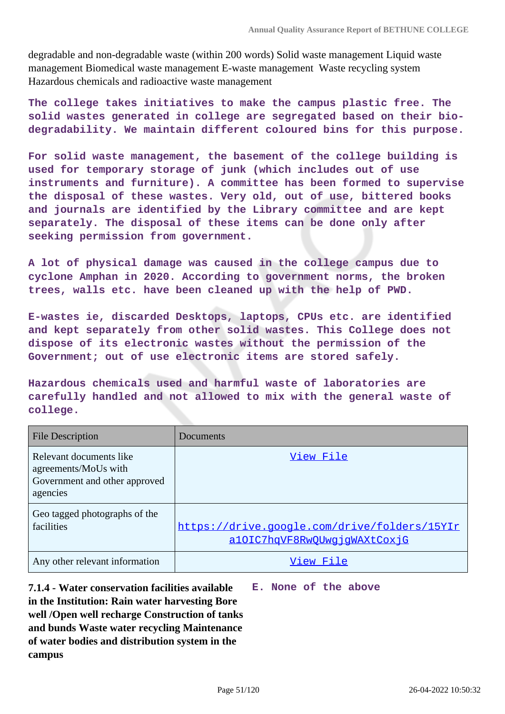degradable and non-degradable waste (within 200 words) Solid waste management Liquid waste management Biomedical waste management E-waste management Waste recycling system Hazardous chemicals and radioactive waste management

**The college takes initiatives to make the campus plastic free. The solid wastes generated in college are segregated based on their biodegradability. We maintain different coloured bins for this purpose.**

**For solid waste management, the basement of the college building is used for temporary storage of junk (which includes out of use instruments and furniture). A committee has been formed to supervise the disposal of these wastes. Very old, out of use, bittered books and journals are identified by the Library committee and are kept separately. The disposal of these items can be done only after seeking permission from government.**

**A lot of physical damage was caused in the college campus due to cyclone Amphan in 2020. According to government norms, the broken trees, walls etc. have been cleaned up with the help of PWD.**

**E-wastes ie, discarded Desktops, laptops, CPUs etc. are identified and kept separately from other solid wastes. This College does not dispose of its electronic wastes without the permission of the Government; out of use electronic items are stored safely.**

**Hazardous chemicals used and harmful waste of laboratories are carefully handled and not allowed to mix with the general waste of college.**

| <b>File Description</b>                                                                      | Documents                                                                    |
|----------------------------------------------------------------------------------------------|------------------------------------------------------------------------------|
| Relevant documents like<br>agreements/MoUs with<br>Government and other approved<br>agencies | View File                                                                    |
| Geo tagged photographs of the<br>facilities                                                  | https://drive.google.com/drive/folders/15YIr<br>a10IC7hqVF8RwOUwqjqWAXtCoxjG |
| Any other relevant information                                                               | View File                                                                    |

**7.1.4 - Water conservation facilities available in the Institution: Rain water harvesting Bore well /Open well recharge Construction of tanks and bunds Waste water recycling Maintenance of water bodies and distribution system in the campus E. None of the above**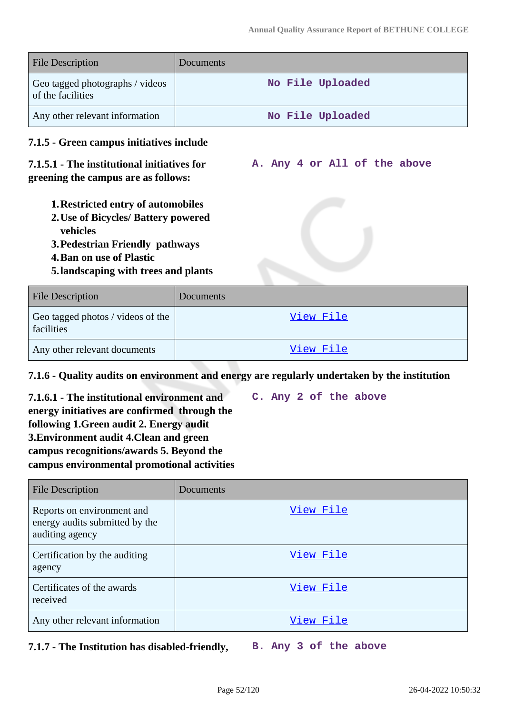| <b>File Description</b>                                                                                            | Documents        |  |
|--------------------------------------------------------------------------------------------------------------------|------------------|--|
| Geo tagged photographs / videos<br>of the facilities                                                               | No File Uploaded |  |
| Any other relevant information                                                                                     | No File Uploaded |  |
| 7.1.5 - Green campus initiatives include                                                                           |                  |  |
| 7.1.5.1 - The institutional initiatives for<br>A. Any 4 or All of the above<br>greening the campus are as follows: |                  |  |
| <b>1. Restricted entry of automobiles</b>                                                                          |                  |  |
| 2. Use of Bicycles/ Battery powered                                                                                |                  |  |
| vehicles<br><b>3. Pedestrian Friendly pathways</b>                                                                 |                  |  |
| <b>4. Ban on use of Plastic</b>                                                                                    |                  |  |
| 5. landscaping with trees and plants                                                                               |                  |  |
| <b>File Description</b>                                                                                            | Documents        |  |

| File Description                                | Documents |
|-------------------------------------------------|-----------|
| Geo tagged photos / videos of the<br>facilities | View File |
| Any other relevant documents                    | View File |

#### **7.1.6 - Quality audits on environment and energy are regularly undertaken by the institution**

**7.1.6.1 - The institutional environment and energy initiatives are confirmed through the following 1.Green audit 2. Energy audit 3.Environment audit 4.Clean and green campus recognitions/awards 5. Beyond the campus environmental promotional activities C. Any 2 of the above**

| <b>File Description</b>                                                         | Documents |
|---------------------------------------------------------------------------------|-----------|
| Reports on environment and<br>energy audits submitted by the<br>auditing agency | View File |
| Certification by the auditing<br>agency                                         | View File |
| Certificates of the awards<br>received                                          | View File |
| Any other relevant information                                                  | View File |

**7.1.7 - The Institution has disabled-friendly, B. Any 3 of the above**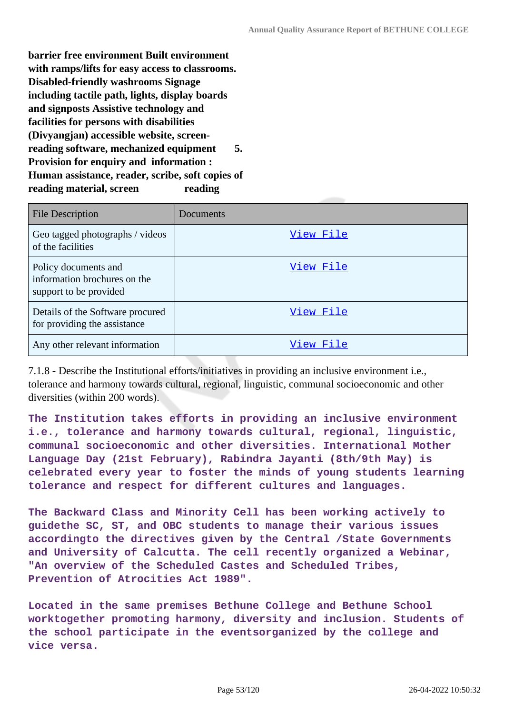**barrier free environment Built environment with ramps/lifts for easy access to classrooms. Disabled-friendly washrooms Signage including tactile path, lights, display boards and signposts Assistive technology and facilities for persons with disabilities (Divyangjan) accessible website, screenreading software, mechanized equipment 5. Provision for enquiry and information : Human assistance, reader, scribe, soft copies of reading material, screen reading**

| <b>File Description</b>                                                        | Documents |
|--------------------------------------------------------------------------------|-----------|
| Geo tagged photographs / videos<br>of the facilities                           | View File |
| Policy documents and<br>information brochures on the<br>support to be provided | View File |
| Details of the Software procured<br>for providing the assistance               | View File |
| Any other relevant information                                                 | View File |

7.1.8 - Describe the Institutional efforts/initiatives in providing an inclusive environment i.e., tolerance and harmony towards cultural, regional, linguistic, communal socioeconomic and other diversities (within 200 words).

**The Institution takes efforts in providing an inclusive environment i.e., tolerance and harmony towards cultural, regional, linguistic, communal socioeconomic and other diversities. International Mother Language Day (21st February), Rabindra Jayanti (8th/9th May) is celebrated every year to foster the minds of young students learning tolerance and respect for different cultures and languages.**

**The Backward Class and Minority Cell has been working actively to guidethe SC, ST, and OBC students to manage their various issues accordingto the directives given by the Central /State Governments and University of Calcutta. The cell recently organized a Webinar, "An overview of the Scheduled Castes and Scheduled Tribes, Prevention of Atrocities Act 1989".**

**Located in the same premises Bethune College and Bethune School worktogether promoting harmony, diversity and inclusion. Students of the school participate in the eventsorganized by the college and vice versa.**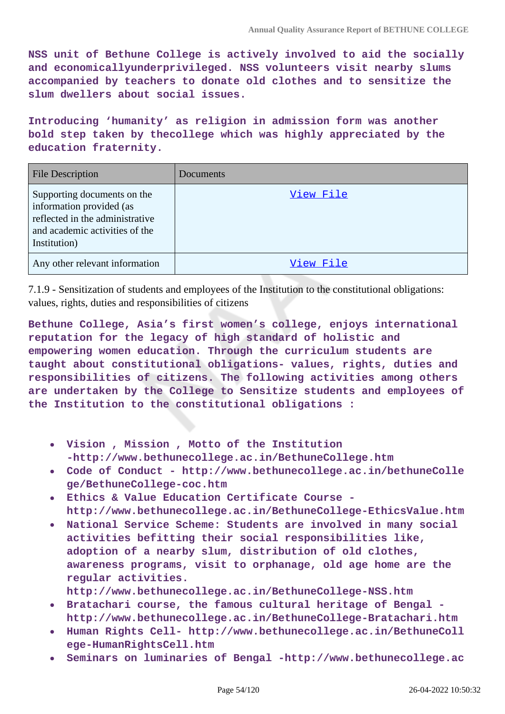**NSS unit of Bethune College is actively involved to aid the socially and economicallyunderprivileged. NSS volunteers visit nearby slums accompanied by teachers to donate old clothes and to sensitize the slum dwellers about social issues.**

**Introducing 'humanity' as religion in admission form was another bold step taken by thecollege which was highly appreciated by the education fraternity.**

| <b>File Description</b>                                                                                                                      | Documents |
|----------------------------------------------------------------------------------------------------------------------------------------------|-----------|
| Supporting documents on the<br>information provided (as<br>reflected in the administrative<br>and academic activities of the<br>Institution) | View File |
| Any other relevant information                                                                                                               | View File |

7.1.9 - Sensitization of students and employees of the Institution to the constitutional obligations: values, rights, duties and responsibilities of citizens

**Bethune College, Asia's first women's college, enjoys international reputation for the legacy of high standard of holistic and empowering women education. Through the curriculum students are taught about constitutional obligations- values, rights, duties and responsibilities of citizens. The following activities among others are undertaken by the College to Sensitize students and employees of the Institution to the constitutional obligations :**

- **Vision , Mission , Motto of the Institution -http://www.bethunecollege.ac.in/BethuneCollege.htm**
- **Code of Conduct http://www.bethunecollege.ac.in/bethuneColle**  $\bullet$ **ge/BethuneCollege-coc.htm**
- **Ethics & Value Education Certificate Course http://www.bethunecollege.ac.in/BethuneCollege-EthicsValue.htm**
- **National Service Scheme: Students are involved in many social activities befitting their social responsibilities like, adoption of a nearby slum, distribution of old clothes, awareness programs, visit to orphanage, old age home are the regular activities.**
	- **http://www.bethunecollege.ac.in/BethuneCollege-NSS.htm**
- **Bratachari course, the famous cultural heritage of Bengal http://www.bethunecollege.ac.in/BethuneCollege-Bratachari.htm**
- **Human Rights Cell- http://www.bethunecollege.ac.in/BethuneColl ege-HumanRightsCell.htm**
- **Seminars on luminaries of Bengal -http://www.bethunecollege.ac**  $\bullet$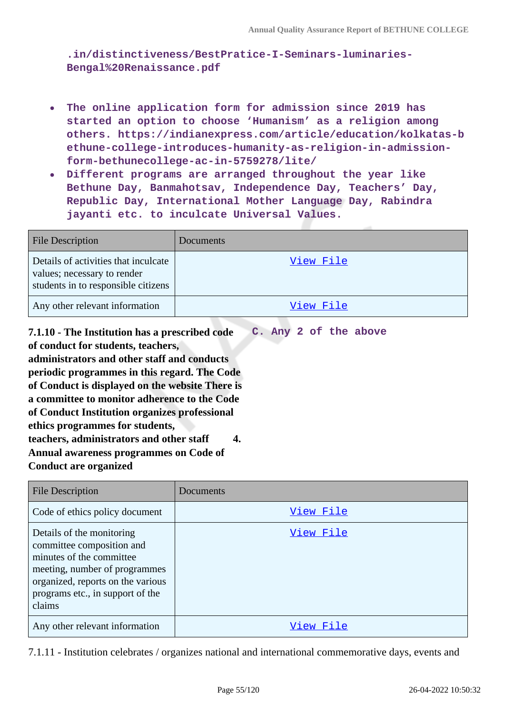**.in/distinctiveness/BestPratice-I-Seminars-luminaries-Bengal%20Renaissance.pdf**

- **The online application form for admission since 2019 has started an option to choose 'Humanism' as a religion among others. https://indianexpress.com/article/education/kolkatas-b ethune-college-introduces-humanity-as-religion-in-admissionform-bethunecollege-ac-in-5759278/lite/**
- **Different programs are arranged throughout the year like Bethune Day, Banmahotsav, Independence Day, Teachers' Day, Republic Day, International Mother Language Day, Rabindra jayanti etc. to inculcate Universal Values.**

| <b>File Description</b>                                                                                    | Documents |
|------------------------------------------------------------------------------------------------------------|-----------|
| Details of activities that inculcate<br>values; necessary to render<br>students in to responsible citizens | View File |
| Any other relevant information                                                                             | View File |

**7.1.10 - The Institution has a prescribed code of conduct for students, teachers, administrators and other staff and conducts periodic programmes in this regard. The Code of Conduct is displayed on the website There is a committee to monitor adherence to the Code of Conduct Institution organizes professional ethics programmes for students, teachers, administrators and other staff 4. Annual awareness programmes on Code of Conduct are organized C. Any 2 of the above**

| <b>File Description</b>                                                                                                                                                                                | Documents |
|--------------------------------------------------------------------------------------------------------------------------------------------------------------------------------------------------------|-----------|
| Code of ethics policy document                                                                                                                                                                         | View File |
| Details of the monitoring<br>committee composition and<br>minutes of the committee<br>meeting, number of programmes<br>organized, reports on the various<br>programs etc., in support of the<br>claims | View File |
| Any other relevant information                                                                                                                                                                         | View File |

7.1.11 - Institution celebrates / organizes national and international commemorative days, events and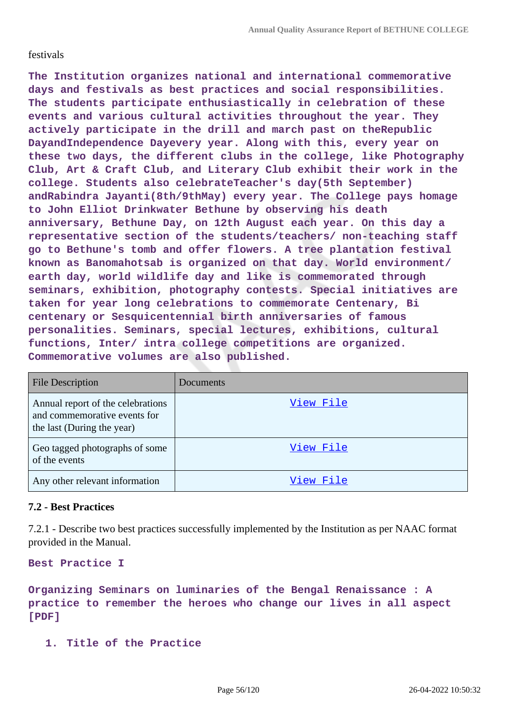#### festivals

**The Institution organizes national and international commemorative days and festivals as best practices and social responsibilities. The students participate enthusiastically in celebration of these events and various cultural activities throughout the year. They actively participate in the drill and march past on theRepublic DayandIndependence Dayevery year. Along with this, every year on these two days, the different clubs in the college, like Photography Club, Art & Craft Club, and Literary Club exhibit their work in the college. Students also celebrateTeacher's day(5th September) andRabindra Jayanti(8th/9thMay) every year. The College pays homage to John Elliot Drinkwater Bethune by observing his death anniversary, Bethune Day, on 12th August each year. On this day a representative section of the students/teachers/ non-teaching staff go to Bethune's tomb and offer flowers. A tree plantation festival known as Banomahotsab is organized on that day. World environment/ earth day, world wildlife day and like is commemorated through seminars, exhibition, photography contests. Special initiatives are taken for year long celebrations to commemorate Centenary, Bi centenary or Sesquicentennial birth anniversaries of famous personalities. Seminars, special lectures, exhibitions, cultural functions, Inter/ intra college competitions are organized. Commemorative volumes are also published.**

| <b>File Description</b>                                                                         | Documents |
|-------------------------------------------------------------------------------------------------|-----------|
| Annual report of the celebrations<br>and commemorative events for<br>the last (During the year) | View File |
| Geo tagged photographs of some<br>of the events                                                 | View File |
| Any other relevant information                                                                  | View File |

#### **7.2 - Best Practices**

7.2.1 - Describe two best practices successfully implemented by the Institution as per NAAC format provided in the Manual.

**Best Practice I**

**Organizing Seminars on luminaries of the Bengal Renaissance : A practice to remember the heroes who change our lives in all aspect [PDF]**

**1. Title of the Practice**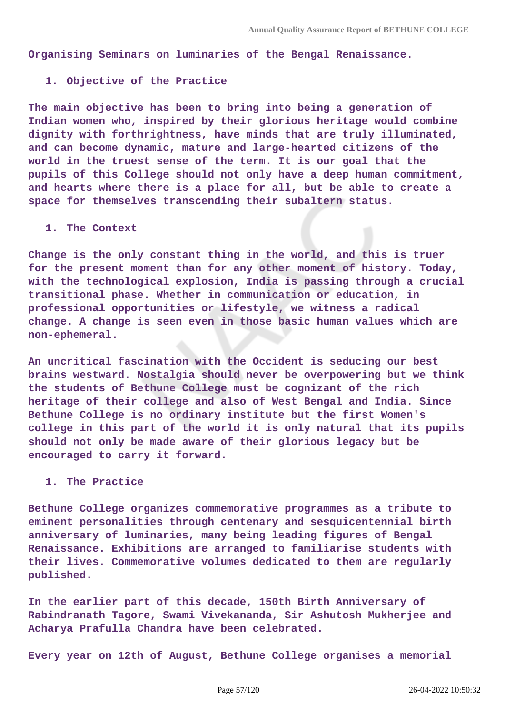**Organising Seminars on luminaries of the Bengal Renaissance.**

#### **1. Objective of the Practice**

**The main objective has been to bring into being a generation of Indian women who, inspired by their glorious heritage would combine dignity with forthrightness, have minds that are truly illuminated, and can become dynamic, mature and large-hearted citizens of the world in the truest sense of the term. It is our goal that the pupils of this College should not only have a deep human commitment, and hearts where there is a place for all, but be able to create a space for themselves transcending their subaltern status.**

#### **1. The Context**

**Change is the only constant thing in the world, and this is truer for the present moment than for any other moment of history. Today, with the technological explosion, India is passing through a crucial transitional phase. Whether in communication or education, in professional opportunities or lifestyle, we witness a radical change. A change is seen even in those basic human values which are non-ephemeral.**

**An uncritical fascination with the Occident is seducing our best brains westward. Nostalgia should never be overpowering but we think the students of Bethune College must be cognizant of the rich heritage of their college and also of West Bengal and India. Since Bethune College is no ordinary institute but the first Women's college in this part of the world it is only natural that its pupils should not only be made aware of their glorious legacy but be encouraged to carry it forward.**

#### **1. The Practice**

**Bethune College organizes commemorative programmes as a tribute to eminent personalities through centenary and sesquicentennial birth anniversary of luminaries, many being leading figures of Bengal Renaissance. Exhibitions are arranged to familiarise students with their lives. Commemorative volumes dedicated to them are regularly published.**

**In the earlier part of this decade, 150th Birth Anniversary of Rabindranath Tagore, Swami Vivekananda, Sir Ashutosh Mukherjee and Acharya Prafulla Chandra have been celebrated.**

**Every year on 12th of August, Bethune College organises a memorial**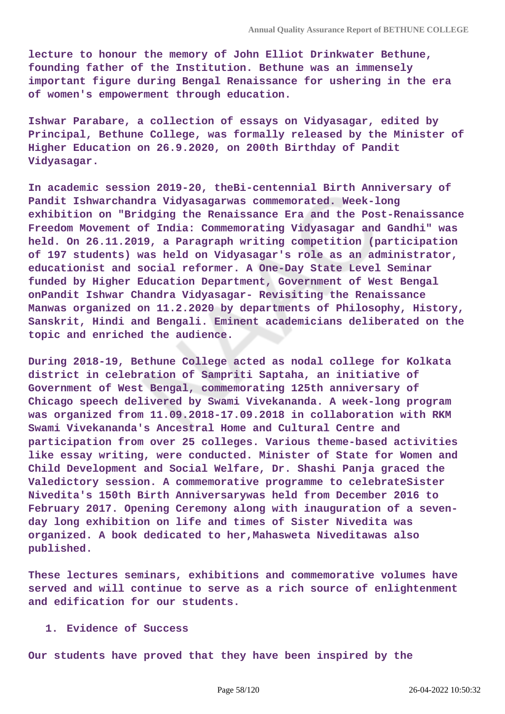**lecture to honour the memory of John Elliot Drinkwater Bethune, founding father of the Institution. Bethune was an immensely important figure during Bengal Renaissance for ushering in the era of women's empowerment through education.**

**Ishwar Parabare, a collection of essays on Vidyasagar, edited by Principal, Bethune College, was formally released by the Minister of Higher Education on 26.9.2020, on 200th Birthday of Pandit Vidyasagar.**

**In academic session 2019-20, theBi-centennial Birth Anniversary of Pandit Ishwarchandra Vidyasagarwas commemorated. Week-long exhibition on "Bridging the Renaissance Era and the Post-Renaissance Freedom Movement of India: Commemorating Vidyasagar and Gandhi" was held. On 26.11.2019, a Paragraph writing competition (participation of 197 students) was held on Vidyasagar's role as an administrator, educationist and social reformer. A One-Day State Level Seminar funded by Higher Education Department, Government of West Bengal onPandit Ishwar Chandra Vidyasagar- Revisiting the Renaissance Manwas organized on 11.2.2020 by departments of Philosophy, History, Sanskrit, Hindi and Bengali. Eminent academicians deliberated on the topic and enriched the audience.**

**During 2018-19, Bethune College acted as nodal college for Kolkata district in celebration of Sampriti Saptaha, an initiative of Government of West Bengal, commemorating 125th anniversary of Chicago speech delivered by Swami Vivekananda. A week-long program was organized from 11.09.2018-17.09.2018 in collaboration with RKM Swami Vivekananda's Ancestral Home and Cultural Centre and participation from over 25 colleges. Various theme-based activities like essay writing, were conducted. Minister of State for Women and Child Development and Social Welfare, Dr. Shashi Panja graced the Valedictory session. A commemorative programme to celebrateSister Nivedita's 150th Birth Anniversarywas held from December 2016 to February 2017. Opening Ceremony along with inauguration of a sevenday long exhibition on life and times of Sister Nivedita was organized. A book dedicated to her,Mahasweta Niveditawas also published.**

**These lectures seminars, exhibitions and commemorative volumes have served and will continue to serve as a rich source of enlightenment and edification for our students.**

#### **1. Evidence of Success**

**Our students have proved that they have been inspired by the**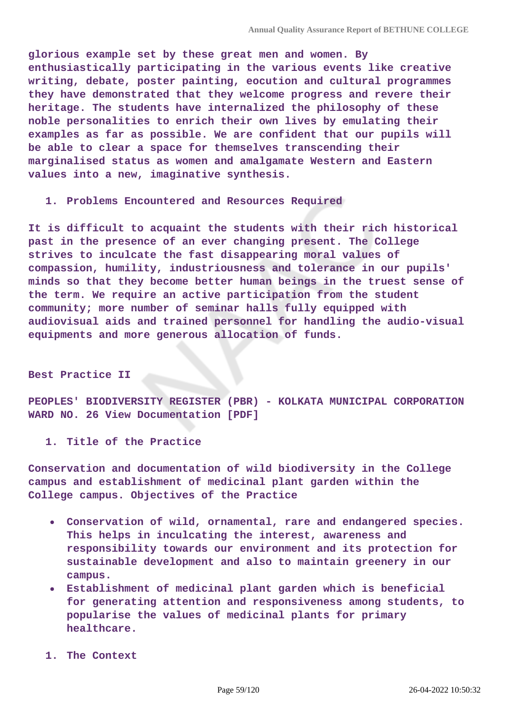**glorious example set by these great men and women. By enthusiastically participating in the various events like creative writing, debate, poster painting, eocution and cultural programmes they have demonstrated that they welcome progress and revere their heritage. The students have internalized the philosophy of these noble personalities to enrich their own lives by emulating their examples as far as possible. We are confident that our pupils will be able to clear a space for themselves transcending their marginalised status as women and amalgamate Western and Eastern values into a new, imaginative synthesis.**

**1. Problems Encountered and Resources Required**

**It is difficult to acquaint the students with their rich historical past in the presence of an ever changing present. The College strives to inculcate the fast disappearing moral values of compassion, humility, industriousness and tolerance in our pupils' minds so that they become better human beings in the truest sense of the term. We require an active participation from the student community; more number of seminar halls fully equipped with audiovisual aids and trained personnel for handling the audio-visual equipments and more generous allocation of funds.**

#### **Best Practice II**

**PEOPLES' BIODIVERSITY REGISTER (PBR) - KOLKATA MUNICIPAL CORPORATION WARD NO. 26 View Documentation [PDF]**

**1. Title of the Practice**

**Conservation and documentation of wild biodiversity in the College campus and establishment of medicinal plant garden within the College campus. Objectives of the Practice**

- **Conservation of wild, ornamental, rare and endangered species. This helps in inculcating the interest, awareness and responsibility towards our environment and its protection for sustainable development and also to maintain greenery in our campus.**
- **Establishment of medicinal plant garden which is beneficial for generating attention and responsiveness among students, to popularise the values of medicinal plants for primary healthcare.**
- **1. The Context**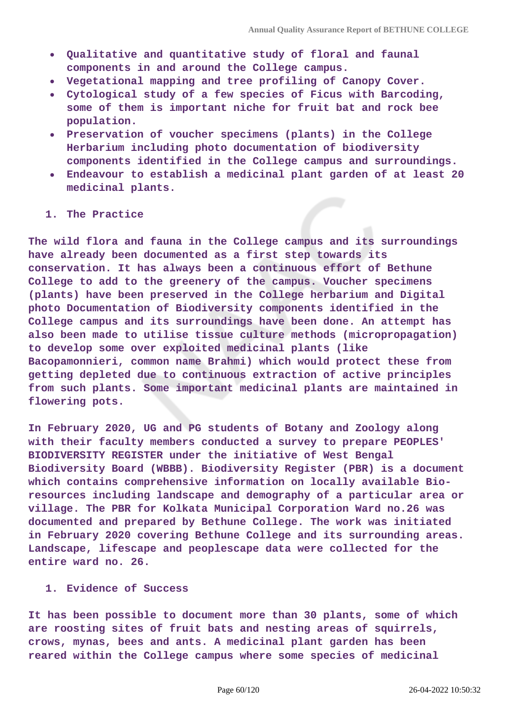- **Qualitative and quantitative study of floral and faunal components in and around the College campus.**
- **Vegetational mapping and tree profiling of Canopy Cover.**
- **Cytological study of a few species of Ficus with Barcoding, some of them is important niche for fruit bat and rock bee population.**
- **Preservation of voucher specimens (plants) in the College Herbarium including photo documentation of biodiversity components identified in the College campus and surroundings.**
- **Endeavour to establish a medicinal plant garden of at least 20 medicinal plants.**

#### **1. The Practice**

**The wild flora and fauna in the College campus and its surroundings have already been documented as a first step towards its conservation. It has always been a continuous effort of Bethune College to add to the greenery of the campus. Voucher specimens (plants) have been preserved in the College herbarium and Digital photo Documentation of Biodiversity components identified in the College campus and its surroundings have been done. An attempt has also been made to utilise tissue culture methods (micropropagation) to develop some over exploited medicinal plants (like Bacopamonnieri, common name Brahmi) which would protect these from getting depleted due to continuous extraction of active principles from such plants. Some important medicinal plants are maintained in flowering pots.**

**In February 2020, UG and PG students of Botany and Zoology along with their faculty members conducted a survey to prepare PEOPLES' BIODIVERSITY REGISTER under the initiative of West Bengal Biodiversity Board (WBBB). Biodiversity Register (PBR) is a document which contains comprehensive information on locally available Bioresources including landscape and demography of a particular area or village. The PBR for Kolkata Municipal Corporation Ward no.26 was documented and prepared by Bethune College. The work was initiated in February 2020 covering Bethune College and its surrounding areas. Landscape, lifescape and peoplescape data were collected for the entire ward no. 26.**

#### **1. Evidence of Success**

**It has been possible to document more than 30 plants, some of which are roosting sites of fruit bats and nesting areas of squirrels, crows, mynas, bees and ants. A medicinal plant garden has been reared within the College campus where some species of medicinal**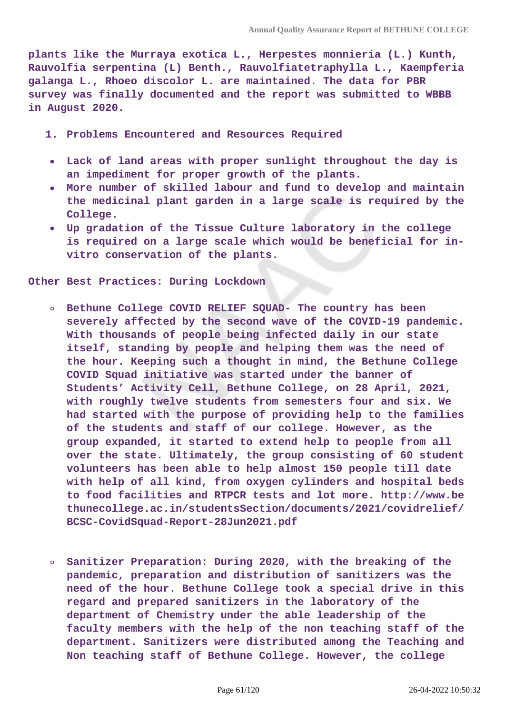**plants like the Murraya exotica L., Herpestes monnieria (L.) Kunth, Rauvolfia serpentina (L) Benth., Rauvolfiatetraphylla L., Kaempferia galanga L., Rhoeo discolor L. are maintained. The data for PBR survey was finally documented and the report was submitted to WBBB in August 2020.**

- **1. Problems Encountered and Resources Required**
- **Lack of land areas with proper sunlight throughout the day is an impediment for proper growth of the plants.**
- **More number of skilled labour and fund to develop and maintain the medicinal plant garden in a large scale is required by the College.**
- **Up gradation of the Tissue Culture laboratory in the college is required on a large scale which would be beneficial for invitro conservation of the plants.**

**Other Best Practices: During Lockdown**

- **Bethune College COVID RELIEF SQUAD- The country has been severely affected by the second wave of the COVID-19 pandemic. With thousands of people being infected daily in our state itself, standing by people and helping them was the need of the hour. Keeping such a thought in mind, the Bethune College COVID Squad initiative was started under the banner of Students' Activity Cell, Bethune College, on 28 April, 2021, with roughly twelve students from semesters four and six. We had started with the purpose of providing help to the families of the students and staff of our college. However, as the group expanded, it started to extend help to people from all over the state. Ultimately, the group consisting of 60 student volunteers has been able to help almost 150 people till date with help of all kind, from oxygen cylinders and hospital beds to food facilities and RTPCR tests and lot more. http://www.be thunecollege.ac.in/studentsSection/documents/2021/covidrelief/ BCSC-CovidSquad-Report-28Jun2021.pdf**
- **Sanitizer Preparation: During 2020, with the breaking of the**  $\circ$ **pandemic, preparation and distribution of sanitizers was the need of the hour. Bethune College took a special drive in this regard and prepared sanitizers in the laboratory of the department of Chemistry under the able leadership of the faculty members with the help of the non teaching staff of the department. Sanitizers were distributed among the Teaching and Non teaching staff of Bethune College. However, the college**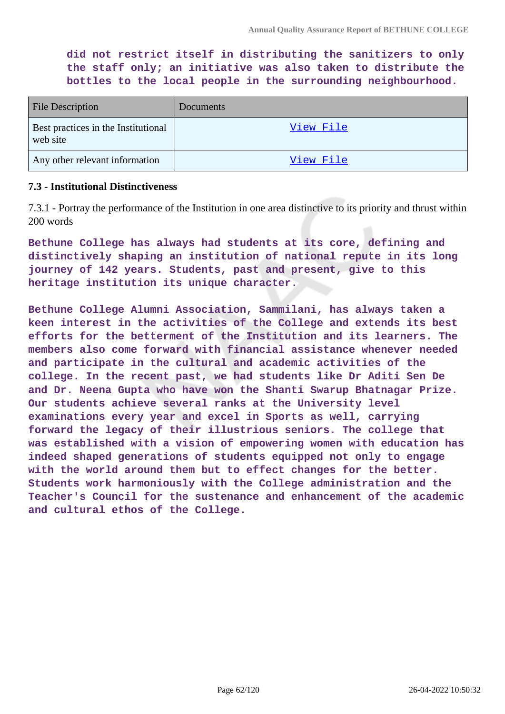**did not restrict itself in distributing the sanitizers to only the staff only; an initiative was also taken to distribute the bottles to the local people in the surrounding neighbourhood.**

| <b>File Description</b>                         | Documents |
|-------------------------------------------------|-----------|
| Best practices in the Institutional<br>web site | View File |
| Any other relevant information                  | View File |

#### **7.3 - Institutional Distinctiveness**

7.3.1 - Portray the performance of the Institution in one area distinctive to its priority and thrust within 200 words

**Bethune College has always had students at its core, defining and distinctively shaping an institution of national repute in its long journey of 142 years. Students, past and present, give to this heritage institution its unique character.**

**Bethune College Alumni Association, Sammilani, has always taken a keen interest in the activities of the College and extends its best efforts for the betterment of the Institution and its learners. The members also come forward with financial assistance whenever needed and participate in the cultural and academic activities of the college. In the recent past, we had students like Dr Aditi Sen De and Dr. Neena Gupta who have won the Shanti Swarup Bhatnagar Prize. Our students achieve several ranks at the University level examinations every year and excel in Sports as well, carrying forward the legacy of their illustrious seniors. The college that was established with a vision of empowering women with education has indeed shaped generations of students equipped not only to engage with the world around them but to effect changes for the better. Students work harmoniously with the College administration and the Teacher's Council for the sustenance and enhancement of the academic and cultural ethos of the College.**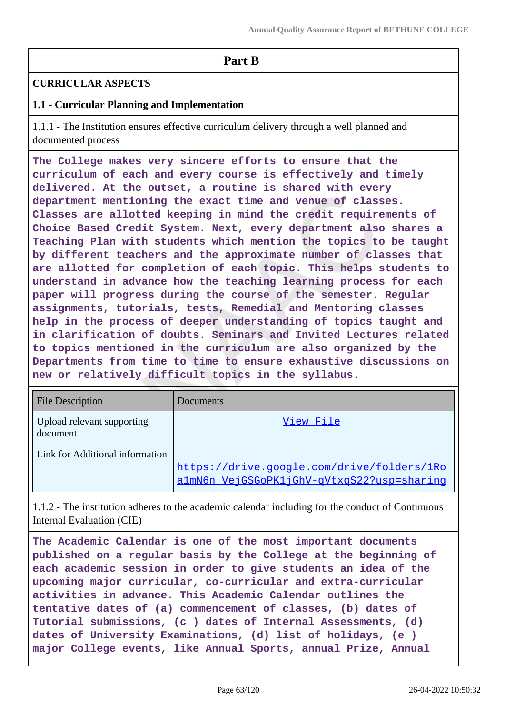# **Part B**

#### **CURRICULAR ASPECTS**

### **1.1 - Curricular Planning and Implementation**

1.1.1 - The Institution ensures effective curriculum delivery through a well planned and documented process

**The College makes very sincere efforts to ensure that the curriculum of each and every course is effectively and timely delivered. At the outset, a routine is shared with every department mentioning the exact time and venue of classes. Classes are allotted keeping in mind the credit requirements of Choice Based Credit System. Next, every department also shares a Teaching Plan with students which mention the topics to be taught by different teachers and the approximate number of classes that are allotted for completion of each topic. This helps students to understand in advance how the teaching learning process for each paper will progress during the course of the semester. Regular assignments, tutorials, tests, Remedial and Mentoring classes help in the process of deeper understanding of topics taught and in clarification of doubts. Seminars and Invited Lectures related to topics mentioned in the curriculum are also organized by the Departments from time to time to ensure exhaustive discussions on new or relatively difficult topics in the syllabus.**

| <b>File Description</b>                | Documents                                                                                |
|----------------------------------------|------------------------------------------------------------------------------------------|
| Upload relevant supporting<br>document | View File                                                                                |
| Link for Additional information        | https://drive.google.com/drive/folders/1Ro<br>a1mN6n_VejGSGoPK1jGhV-qVtxqS22?usp=sharing |

1.1.2 - The institution adheres to the academic calendar including for the conduct of Continuous Internal Evaluation (CIE)

**The Academic Calendar is one of the most important documents published on a regular basis by the College at the beginning of each academic session in order to give students an idea of the upcoming major curricular, co-curricular and extra-curricular activities in advance. This Academic Calendar outlines the tentative dates of (a) commencement of classes, (b) dates of Tutorial submissions, (c ) dates of Internal Assessments, (d) dates of University Examinations, (d) list of holidays, (e ) major College events, like Annual Sports, annual Prize, Annual**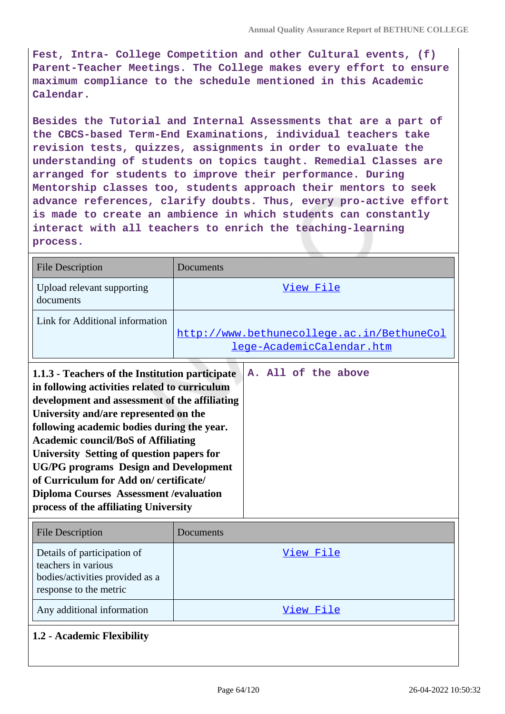**Fest, Intra- College Competition and other Cultural events, (f) Parent-Teacher Meetings. The College makes every effort to ensure maximum compliance to the schedule mentioned in this Academic Calendar.**

**Besides the Tutorial and Internal Assessments that are a part of the CBCS-based Term-End Examinations, individual teachers take revision tests, quizzes, assignments in order to evaluate the understanding of students on topics taught. Remedial Classes are arranged for students to improve their performance. During Mentorship classes too, students approach their mentors to seek advance references, clarify doubts. Thus, every pro-active effort is made to create an ambience in which students can constantly interact with all teachers to enrich the teaching-learning process.**

| <b>File Description</b>                                                                                                                                                                                                                                                                                                                                                                                                                                                                                                 | Documents                                                                      |
|-------------------------------------------------------------------------------------------------------------------------------------------------------------------------------------------------------------------------------------------------------------------------------------------------------------------------------------------------------------------------------------------------------------------------------------------------------------------------------------------------------------------------|--------------------------------------------------------------------------------|
| Upload relevant supporting<br>documents                                                                                                                                                                                                                                                                                                                                                                                                                                                                                 | View File                                                                      |
| Link for Additional information                                                                                                                                                                                                                                                                                                                                                                                                                                                                                         | http://www.bethunecollege.ac.in/BethuneCol<br><u>lege-AcademicCalendar.htm</u> |
| 1.1.3 - Teachers of the Institution participate<br>in following activities related to curriculum<br>development and assessment of the affiliating<br>University and/are represented on the<br>following academic bodies during the year.<br><b>Academic council/BoS of Affiliating</b><br>University Setting of question papers for<br><b>UG/PG programs Design and Development</b><br>of Curriculum for Add on/certificate/<br><b>Diploma Courses Assessment / evaluation</b><br>process of the affiliating University | A. All of the above                                                            |

| <b>File Description</b>                                                                                         | Documents |
|-----------------------------------------------------------------------------------------------------------------|-----------|
| Details of participation of<br>teachers in various<br>bodies/activities provided as a<br>response to the metric | View File |
| Any additional information                                                                                      | View File |

### **1.2 - Academic Flexibility**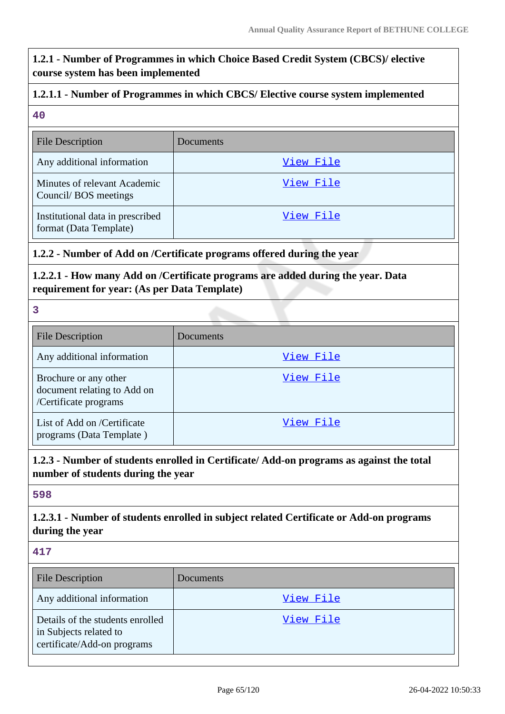# **1.2.1 - Number of Programmes in which Choice Based Credit System (CBCS)/ elective course system has been implemented**

### **1.2.1.1 - Number of Programmes in which CBCS/ Elective course system implemented**

#### **40**

| <b>File Description</b>                                    | Documents |
|------------------------------------------------------------|-----------|
| Any additional information                                 | View File |
| Minutes of relevant Academic<br>Council/BOS meetings       | View File |
| Institutional data in prescribed<br>format (Data Template) | View File |

### **1.2.2 - Number of Add on /Certificate programs offered during the year**

### **1.2.2.1 - How many Add on /Certificate programs are added during the year. Data requirement for year: (As per Data Template)**

**3**

| <b>File Description</b>                                                       | Documents |
|-------------------------------------------------------------------------------|-----------|
| Any additional information                                                    | View File |
| Brochure or any other<br>document relating to Add on<br>/Certificate programs | View File |
| List of Add on /Certificate<br>programs (Data Template)                       | View File |

### **1.2.3 - Number of students enrolled in Certificate/ Add-on programs as against the total number of students during the year**

### **598**

# **1.2.3.1 - Number of students enrolled in subject related Certificate or Add-on programs during the year**

#### **417**

| <b>File Description</b>                                                                   | Documents |
|-------------------------------------------------------------------------------------------|-----------|
| Any additional information                                                                | View File |
| Details of the students enrolled<br>in Subjects related to<br>certificate/Add-on programs | View File |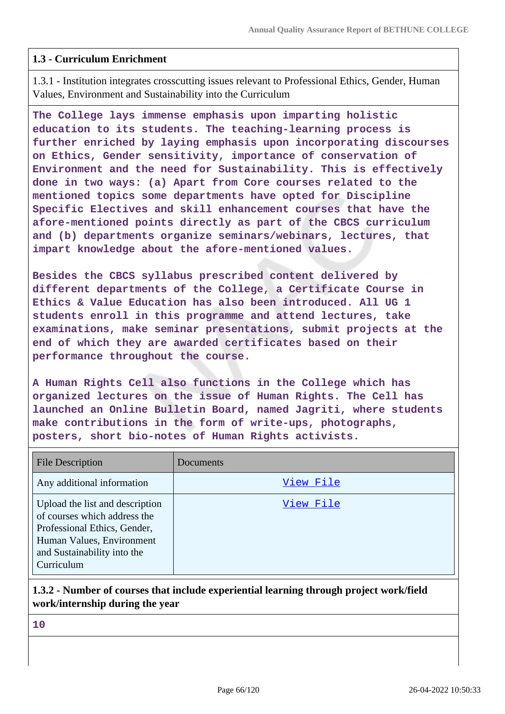### **1.3 - Curriculum Enrichment**

1.3.1 - Institution integrates crosscutting issues relevant to Professional Ethics, Gender, Human Values, Environment and Sustainability into the Curriculum

**The College lays immense emphasis upon imparting holistic education to its students. The teaching-learning process is further enriched by laying emphasis upon incorporating discourses on Ethics, Gender sensitivity, importance of conservation of Environment and the need for Sustainability. This is effectively done in two ways: (a) Apart from Core courses related to the mentioned topics some departments have opted for Discipline Specific Electives and skill enhancement courses that have the afore-mentioned points directly as part of the CBCS curriculum and (b) departments organize seminars/webinars, lectures, that impart knowledge about the afore-mentioned values.**

**Besides the CBCS syllabus prescribed content delivered by different departments of the College, a Certificate Course in Ethics & Value Education has also been introduced. All UG 1 students enroll in this programme and attend lectures, take examinations, make seminar presentations, submit projects at the end of which they are awarded certificates based on their performance throughout the course.**

**A Human Rights Cell also functions in the College which has organized lectures on the issue of Human Rights. The Cell has launched an Online Bulletin Board, named Jagriti, where students make contributions in the form of write-ups, photographs, posters, short bio-notes of Human Rights activists.**

| <b>File Description</b>                                                                                                                                                   | Documents |
|---------------------------------------------------------------------------------------------------------------------------------------------------------------------------|-----------|
| Any additional information                                                                                                                                                | View File |
| Upload the list and description<br>of courses which address the<br>Professional Ethics, Gender,<br>Human Values, Environment<br>and Sustainability into the<br>Curriculum | View File |

### **1.3.2 - Number of courses that include experiential learning through project work/field work/internship during the year**

**10**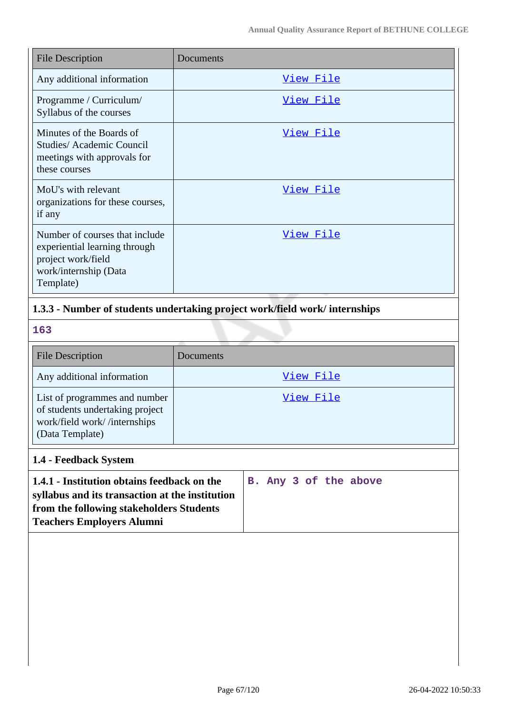| <b>File Description</b>                                                                                                     | Documents        |
|-----------------------------------------------------------------------------------------------------------------------------|------------------|
| Any additional information                                                                                                  | <u>View File</u> |
| Programme / Curriculum/<br>Syllabus of the courses                                                                          | <u>View File</u> |
| Minutes of the Boards of<br>Studies/Academic Council<br>meetings with approvals for<br>these courses                        | View File        |
| MoU's with relevant<br>organizations for these courses,<br>if any                                                           | View File        |
| Number of courses that include<br>experiential learning through<br>project work/field<br>work/internship (Data<br>Template) | <u>View File</u> |

## **1.3.3 - Number of students undertaking project work/field work/ internships**

**163**

| <b>File Description</b>                                                                                             | Documents |
|---------------------------------------------------------------------------------------------------------------------|-----------|
| Any additional information                                                                                          | View File |
| List of programmes and number<br>of students undertaking project<br>work/field work//internships<br>(Data Template) | View File |

# **1.4 - Feedback System**

| 1.4.1 - Institution obtains feedback on the     |  |  | B. Any 3 of the above |
|-------------------------------------------------|--|--|-----------------------|
| syllabus and its transaction at the institution |  |  |                       |
| from the following stakeholders Students        |  |  |                       |
| <b>Teachers Employers Alumni</b>                |  |  |                       |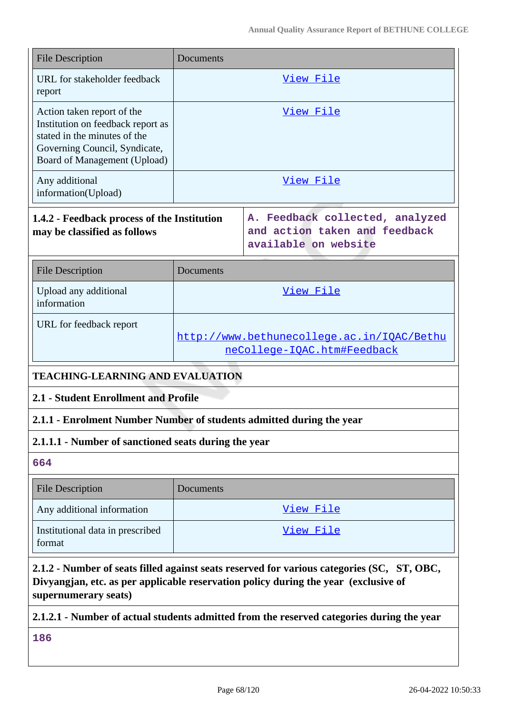| <b>File Description</b>                                                                                                                                          | Documents                                                                 |                                                                                                                                                                                   |  |  |
|------------------------------------------------------------------------------------------------------------------------------------------------------------------|---------------------------------------------------------------------------|-----------------------------------------------------------------------------------------------------------------------------------------------------------------------------------|--|--|
| URL for stakeholder feedback<br>report                                                                                                                           | <u>View File</u>                                                          |                                                                                                                                                                                   |  |  |
| Action taken report of the<br>Institution on feedback report as<br>stated in the minutes of the<br>Governing Council, Syndicate,<br>Board of Management (Upload) | View File                                                                 |                                                                                                                                                                                   |  |  |
| Any additional<br>information(Upload)                                                                                                                            | View File                                                                 |                                                                                                                                                                                   |  |  |
| 1.4.2 - Feedback process of the Institution<br>may be classified as follows                                                                                      |                                                                           | A. Feedback collected, analyzed<br>and action taken and feedback<br>available on website                                                                                          |  |  |
| <b>File Description</b>                                                                                                                                          | Documents                                                                 |                                                                                                                                                                                   |  |  |
| Upload any additional<br>information                                                                                                                             | View File                                                                 |                                                                                                                                                                                   |  |  |
| URL for feedback report                                                                                                                                          | http://www.bethunecollege.ac.in/IQAC/Bethu<br>neCollege-IQAC.htm#Feedback |                                                                                                                                                                                   |  |  |
| <b>TEACHING-LEARNING AND EVALUATION</b>                                                                                                                          |                                                                           |                                                                                                                                                                                   |  |  |
| <b>2.1 - Student Enrollment and Profile</b>                                                                                                                      |                                                                           |                                                                                                                                                                                   |  |  |
| 2.1.1 - Enrolment Number Number of students admitted during the year                                                                                             |                                                                           |                                                                                                                                                                                   |  |  |
| 2.1.1.1 - Number of sanctioned seats during the year                                                                                                             |                                                                           |                                                                                                                                                                                   |  |  |
| 664                                                                                                                                                              |                                                                           |                                                                                                                                                                                   |  |  |
| <b>File Description</b>                                                                                                                                          | Documents                                                                 |                                                                                                                                                                                   |  |  |
| Any additional information                                                                                                                                       |                                                                           | View File                                                                                                                                                                         |  |  |
| Institutional data in prescribed<br>format                                                                                                                       | <u>View File</u>                                                          |                                                                                                                                                                                   |  |  |
|                                                                                                                                                                  |                                                                           | 2.1.2 - Number of seats filled against seats reserved for various categories (SC, ST, OBC,<br>Divyangjan, etc. as per applicable reservation policy during the year (exclusive of |  |  |

**supernumerary seats)**

# **2.1.2.1 - Number of actual students admitted from the reserved categories during the year**

**186**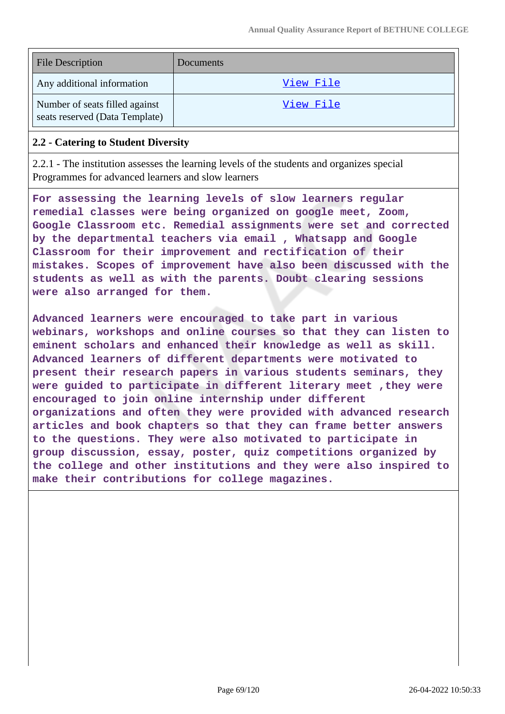| <b>File Description</b>                                          | Documents |
|------------------------------------------------------------------|-----------|
| Any additional information                                       | View File |
| Number of seats filled against<br>seats reserved (Data Template) | View File |

#### **2.2 - Catering to Student Diversity**

2.2.1 - The institution assesses the learning levels of the students and organizes special Programmes for advanced learners and slow learners

**For assessing the learning levels of slow learners regular remedial classes were being organized on google meet, Zoom, Google Classroom etc. Remedial assignments were set and corrected by the departmental teachers via email , Whatsapp and Google Classroom for their improvement and rectification of their mistakes. Scopes of improvement have also been discussed with the students as well as with the parents. Doubt clearing sessions were also arranged for them.**

**Advanced learners were encouraged to take part in various webinars, workshops and online courses so that they can listen to eminent scholars and enhanced their knowledge as well as skill. Advanced learners of different departments were motivated to present their research papers in various students seminars, they were guided to participate in different literary meet ,they were encouraged to join online internship under different organizations and often they were provided with advanced research articles and book chapters so that they can frame better answers to the questions. They were also motivated to participate in group discussion, essay, poster, quiz competitions organized by the college and other institutions and they were also inspired to make their contributions for college magazines.**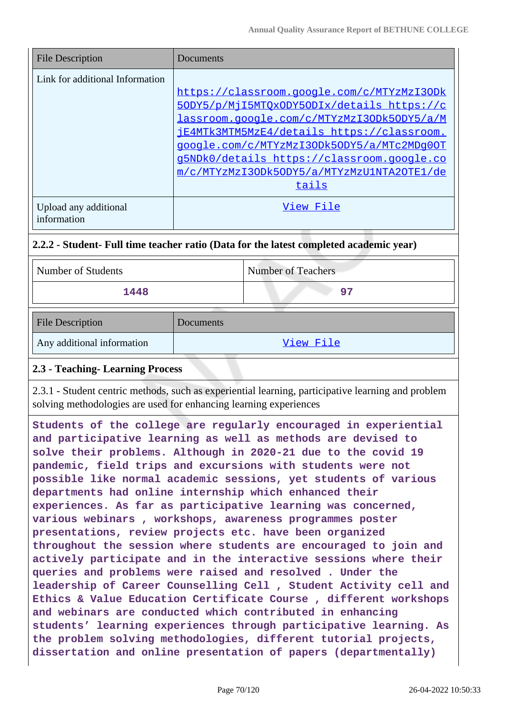| <b>File Description</b>              | Documents                                  |
|--------------------------------------|--------------------------------------------|
| Link for additional Information      |                                            |
|                                      | https://classroom.google.com/c/MTYzMzI3ODk |
|                                      | 50DY5/p/MjI5MTOxODY50DIx/details https://c |
|                                      | lassroom.google.com/c/MTYzMzI3ODk5ODY5/a/M |
|                                      | iE4MTk3MTM5MzE4/details https://classroom. |
|                                      | google.com/c/MTYzMzI3ODk5ODY5/a/MTc2MDq0OT |
|                                      | g5NDk0/details https://classroom.google.co |
|                                      | m/c/MTYzMzI3ODk5ODY5/a/MTYzMzU1NTA2OTE1/de |
|                                      | tails                                      |
| Upload any additional<br>information | View File                                  |

### **2.2.2 - Student- Full time teacher ratio (Data for the latest completed academic year)**

| Number of Students | <b>Number of Teachers</b> |
|--------------------|---------------------------|
| 1448               | 97                        |

| <b>File Description</b>    | Documents |
|----------------------------|-----------|
| Any additional information | View File |

### **2.3 - Teaching- Learning Process**

2.3.1 - Student centric methods, such as experiential learning, participative learning and problem solving methodologies are used for enhancing learning experiences

**Students of the college are regularly encouraged in experiential and participative learning as well as methods are devised to solve their problems. Although in 2020-21 due to the covid 19 pandemic, field trips and excursions with students were not possible like normal academic sessions, yet students of various departments had online internship which enhanced their experiences. As far as participative learning was concerned, various webinars , workshops, awareness programmes poster presentations, review projects etc. have been organized throughout the session where students are encouraged to join and actively participate and in the interactive sessions where their queries and problems were raised and resolved . Under the leadership of Career Counselling Cell , Student Activity cell and Ethics & Value Education Certificate Course , different workshops and webinars are conducted which contributed in enhancing students' learning experiences through participative learning. As the problem solving methodologies, different tutorial projects, dissertation and online presentation of papers (departmentally)**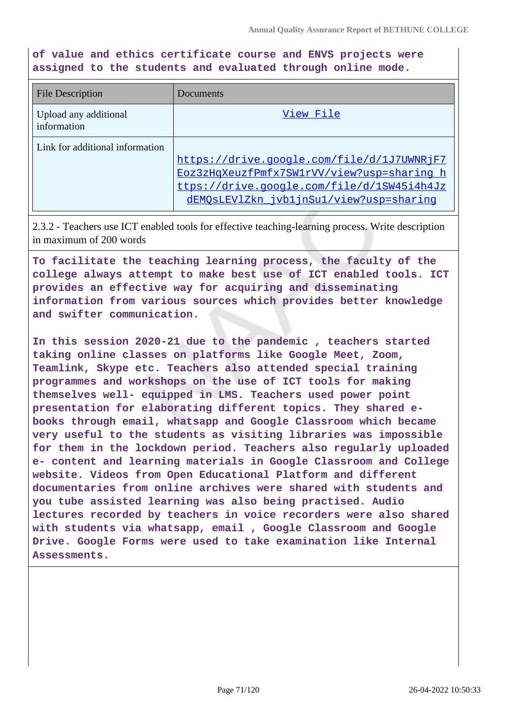**of value and ethics certificate course and ENVS projects were assigned to the students and evaluated through online mode.**

| <b>File Description</b>              | Documents                                                                                                                                                                         |
|--------------------------------------|-----------------------------------------------------------------------------------------------------------------------------------------------------------------------------------|
| Upload any additional<br>information | View File                                                                                                                                                                         |
| Link for additional information      | https://drive.google.com/file/d/1J7UWNRjF7<br>Eoz3zHqXeuzfPmfx7SW1rVV/view?usp=sharing h<br>ttps://drive.google.com/file/d/1SW45i4h4Jz<br>dEMOsLEV1Zkn jvb1jnSu1/view?usp=sharinq |

2.3.2 - Teachers use ICT enabled tools for effective teaching-learning process. Write description in maximum of 200 words

**To facilitate the teaching learning process, the faculty of the college always attempt to make best use of ICT enabled tools. ICT provides an effective way for acquiring and disseminating information from various sources which provides better knowledge and swifter communication.**

**In this session 2020-21 due to the pandemic , teachers started taking online classes on platforms like Google Meet, Zoom, Teamlink, Skype etc. Teachers also attended special training programmes and workshops on the use of ICT tools for making themselves well- equipped in LMS. Teachers used power point presentation for elaborating different topics. They shared ebooks through email, whatsapp and Google Classroom which became very useful to the students as visiting libraries was impossible for them in the lockdown period. Teachers also regularly uploaded e- content and learning materials in Google Classroom and College website. Videos from Open Educational Platform and different documentaries from online archives were shared with students and you tube assisted learning was also being practised. Audio lectures recorded by teachers in voice recorders were also shared with students via whatsapp, email , Google Classroom and Google Drive. Google Forms were used to take examination like Internal Assessments.**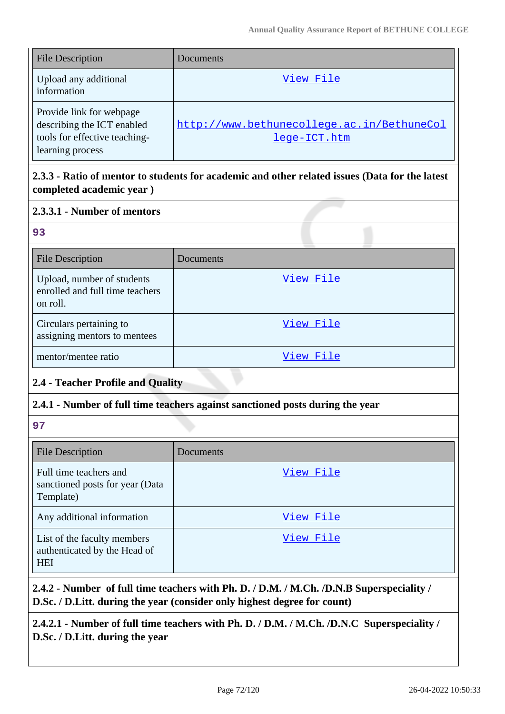| <b>File Description</b>                                                                                     | <b>Documents</b>                                           |
|-------------------------------------------------------------------------------------------------------------|------------------------------------------------------------|
| Upload any additional<br>information                                                                        | View File                                                  |
| Provide link for webpage<br>describing the ICT enabled<br>tools for effective teaching-<br>learning process | http://www.bethunecollege.ac.in/BethuneCol<br>lege-ICT.htm |

# **2.3.3 - Ratio of mentor to students for academic and other related issues (Data for the latest completed academic year )**

### **2.3.3.1 - Number of mentors**

#### **93**

| <b>File Description</b>                                                   | Documents |
|---------------------------------------------------------------------------|-----------|
| Upload, number of students<br>enrolled and full time teachers<br>on roll. | View File |
| Circulars pertaining to<br>assigning mentors to mentees                   | View File |
| mentor/mentee ratio                                                       | View File |

# **2.4 - Teacher Profile and Quality**

### **2.4.1 - Number of full time teachers against sanctioned posts during the year**

**97**

| <b>File Description</b>                                                   | <b>Documents</b> |
|---------------------------------------------------------------------------|------------------|
| Full time teachers and<br>sanctioned posts for year (Data<br>Template)    | View File        |
| Any additional information                                                | View File        |
| List of the faculty members<br>authenticated by the Head of<br><b>HEI</b> | View File        |

**2.4.2 - Number of full time teachers with Ph. D. / D.M. / M.Ch. /D.N.B Superspeciality / D.Sc. / D.Litt. during the year (consider only highest degree for count)**

**2.4.2.1 - Number of full time teachers with Ph. D. / D.M. / M.Ch. /D.N.C Superspeciality / D.Sc. / D.Litt. during the year**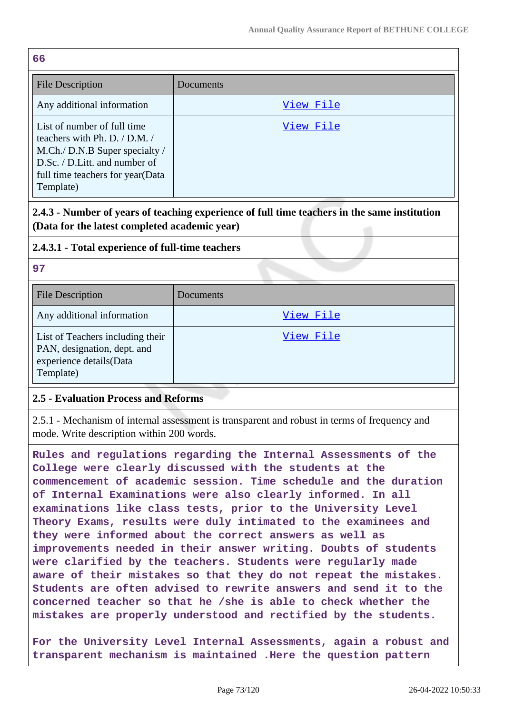| 66                                                                                                                                                                                    |           |
|---------------------------------------------------------------------------------------------------------------------------------------------------------------------------------------|-----------|
| <b>File Description</b>                                                                                                                                                               | Documents |
| Any additional information                                                                                                                                                            | View File |
| List of number of full time<br>teachers with Ph. D. $/$ D.M. $/$<br>M.Ch./ D.N.B Super specialty /<br>D.Sc. / D.Litt. and number of<br>full time teachers for year (Data<br>Template) | View File |

**2.4.3 - Number of years of teaching experience of full time teachers in the same institution (Data for the latest completed academic year)**

## **2.4.3.1 - Total experience of full-time teachers**

**97**

| <b>File Description</b>                                                                                 | Documents |
|---------------------------------------------------------------------------------------------------------|-----------|
| Any additional information                                                                              | View File |
| List of Teachers including their<br>PAN, designation, dept. and<br>experience details(Data<br>Template) | View File |

#### **2.5 - Evaluation Process and Reforms**

2.5.1 - Mechanism of internal assessment is transparent and robust in terms of frequency and mode. Write description within 200 words.

**Rules and regulations regarding the Internal Assessments of the College were clearly discussed with the students at the commencement of academic session. Time schedule and the duration of Internal Examinations were also clearly informed. In all examinations like class tests, prior to the University Level Theory Exams, results were duly intimated to the examinees and they were informed about the correct answers as well as improvements needed in their answer writing. Doubts of students were clarified by the teachers. Students were regularly made aware of their mistakes so that they do not repeat the mistakes. Students are often advised to rewrite answers and send it to the concerned teacher so that he /she is able to check whether the mistakes are properly understood and rectified by the students.**

**For the University Level Internal Assessments, again a robust and transparent mechanism is maintained .Here the question pattern**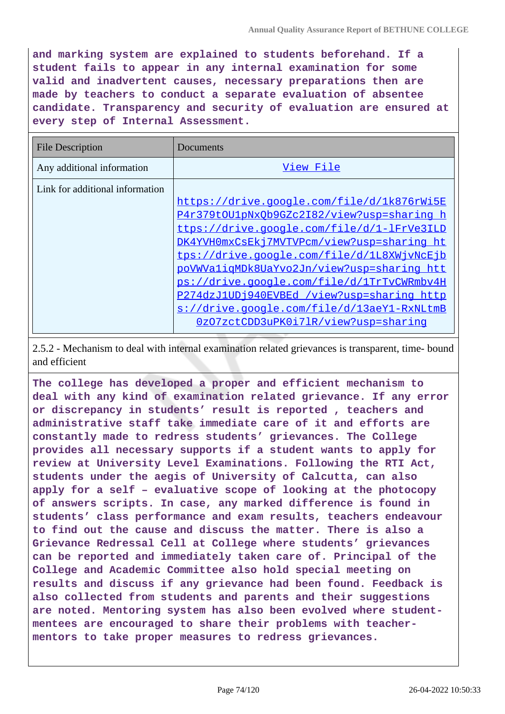**and marking system are explained to students beforehand. If a student fails to appear in any internal examination for some valid and inadvertent causes, necessary preparations then are made by teachers to conduct a separate evaluation of absentee candidate. Transparency and security of evaluation are ensured at every step of Internal Assessment.**

| File Description                | Documents                                                                                                                                                                                                                                                                                                                                                                                                                                                          |
|---------------------------------|--------------------------------------------------------------------------------------------------------------------------------------------------------------------------------------------------------------------------------------------------------------------------------------------------------------------------------------------------------------------------------------------------------------------------------------------------------------------|
| Any additional information      | View File                                                                                                                                                                                                                                                                                                                                                                                                                                                          |
| Link for additional information | https://drive.google.com/file/d/1k876rWi5E<br>P4r379tOU1pNxQb9GZc2I82/view?usp=sharing h<br>ttps://drive.google.com/file/d/1-lFrVe3ILD<br>DK4YVH0mxCsEkj7MVTVPcm/view?usp=sharing ht<br>tps://drive.google.com/file/d/1L8XWjvNcEjb<br>poVWValigMDk8UaYvo2Jn/view?usp=sharing htt<br>ps://drive.google.com/file/d/1TrTvCWRmbv4H<br>P274dzJ1UDj940EVBEd /view?usp=sharing http<br>s://drive.google.com/file/d/13aeY1-RxNLtmB<br>0z07zctCDD3uPK0i71R/view?usp=sharing |

2.5.2 - Mechanism to deal with internal examination related grievances is transparent, time- bound and efficient

**The college has developed a proper and efficient mechanism to deal with any kind of examination related grievance. If any error or discrepancy in students' result is reported , teachers and administrative staff take immediate care of it and efforts are constantly made to redress students' grievances. The College provides all necessary supports if a student wants to apply for review at University Level Examinations. Following the RTI Act, students under the aegis of University of Calcutta, can also apply for a self – evaluative scope of looking at the photocopy of answers scripts. In case, any marked difference is found in students' class performance and exam results, teachers endeavour to find out the cause and discuss the matter. There is also a Grievance Redressal Cell at College where students' grievances can be reported and immediately taken care of. Principal of the College and Academic Committee also hold special meeting on results and discuss if any grievance had been found. Feedback is also collected from students and parents and their suggestions are noted. Mentoring system has also been evolved where studentmentees are encouraged to share their problems with teachermentors to take proper measures to redress grievances.**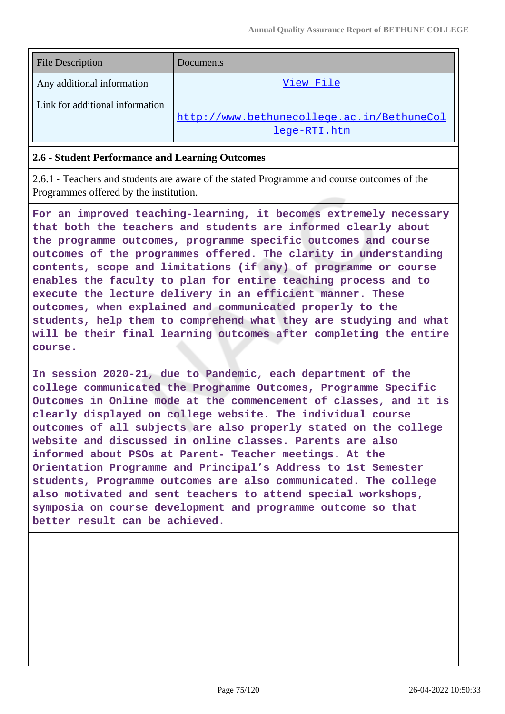| <b>File Description</b>         | Documents                                  |
|---------------------------------|--------------------------------------------|
| Any additional information      | View File                                  |
| Link for additional information |                                            |
|                                 | http://www.bethunecollege.ac.in/BethuneCol |
|                                 | lege-RTI.htm                               |

#### **2.6 - Student Performance and Learning Outcomes**

2.6.1 - Teachers and students are aware of the stated Programme and course outcomes of the Programmes offered by the institution.

**For an improved teaching-learning, it becomes extremely necessary that both the teachers and students are informed clearly about the programme outcomes, programme specific outcomes and course outcomes of the programmes offered. The clarity in understanding contents, scope and limitations (if any) of programme or course enables the faculty to plan for entire teaching process and to execute the lecture delivery in an efficient manner. These outcomes, when explained and communicated properly to the students, help them to comprehend what they are studying and what will be their final learning outcomes after completing the entire course.**

**In session 2020-21, due to Pandemic, each department of the college communicated the Programme Outcomes, Programme Specific Outcomes in Online mode at the commencement of classes, and it is clearly displayed on college website. The individual course outcomes of all subjects are also properly stated on the college website and discussed in online classes. Parents are also informed about PSOs at Parent- Teacher meetings. At the Orientation Programme and Principal's Address to 1st Semester students, Programme outcomes are also communicated. The college also motivated and sent teachers to attend special workshops, symposia on course development and programme outcome so that better result can be achieved.**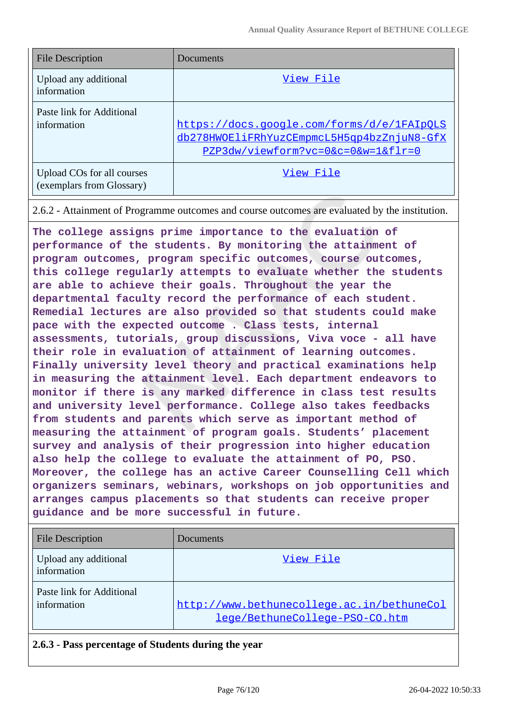| <b>File Description</b>                                 | Documents                                                                                                                      |
|---------------------------------------------------------|--------------------------------------------------------------------------------------------------------------------------------|
| Upload any additional<br>information                    | View File                                                                                                                      |
| Paste link for Additional<br>information                | https://docs.google.com/forms/d/e/1FAIpOLS<br>db278HWOEliFRhYuzCEmpmcL5H5qp4bzZnjuN8-GfX<br>PZP3dw/viewform?vc=0&c=0&w=1&flr=0 |
| Upload COs for all courses<br>(exemplars from Glossary) | View File                                                                                                                      |

2.6.2 - Attainment of Programme outcomes and course outcomes are evaluated by the institution.

**The college assigns prime importance to the evaluation of performance of the students. By monitoring the attainment of program outcomes, program specific outcomes, course outcomes, this college regularly attempts to evaluate whether the students are able to achieve their goals. Throughout the year the departmental faculty record the performance of each student. Remedial lectures are also provided so that students could make pace with the expected outcome . Class tests, internal assessments, tutorials, group discussions, Viva voce - all have their role in evaluation of attainment of learning outcomes. Finally university level theory and practical examinations help in measuring the attainment level. Each department endeavors to monitor if there is any marked difference in class test results and university level performance. College also takes feedbacks from students and parents which serve as important method of measuring the attainment of program goals. Students' placement survey and analysis of their progression into higher education also help the college to evaluate the attainment of PO, PSO. Moreover, the college has an active Career Counselling Cell which organizers seminars, webinars, workshops on job opportunities and arranges campus placements so that students can receive proper guidance and be more successful in future.**

| <b>File Description</b>                  | Documents                                                                    |
|------------------------------------------|------------------------------------------------------------------------------|
| Upload any additional<br>information     | View File                                                                    |
| Paste link for Additional<br>information | http://www.bethunecollege.ac.in/bethuneCol<br>lege/BethuneCollege-PSO-CO.htm |

**2.6.3 - Pass percentage of Students during the year**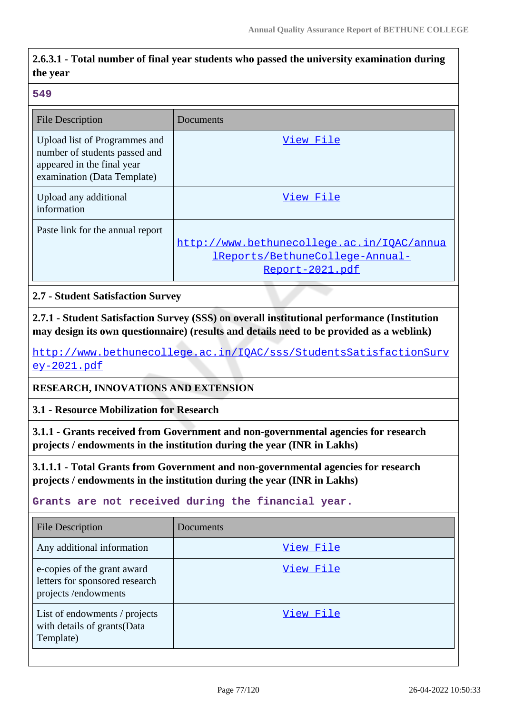## **2.6.3.1 - Total number of final year students who passed the university examination during the year**

#### **549**

| File Description                                                                                                            | Documents                                                                                        |
|-----------------------------------------------------------------------------------------------------------------------------|--------------------------------------------------------------------------------------------------|
| Upload list of Programmes and<br>number of students passed and<br>appeared in the final year<br>examination (Data Template) | View File                                                                                        |
| Upload any additional<br>information                                                                                        | View File                                                                                        |
| Paste link for the annual report                                                                                            | http://www.bethunecollege.ac.in/IQAC/annua<br>IReports/BethuneCollege-Annual-<br>Report-2021.pdf |

**2.7 - Student Satisfaction Survey**

**2.7.1 - Student Satisfaction Survey (SSS) on overall institutional performance (Institution may design its own questionnaire) (results and details need to be provided as a weblink)**

[http://www.bethunecollege.ac.in/IQAC/sss/StudentsSatisfactionSurv](http://www.bethunecollege.ac.in/IQAC/sss/StudentsSatisfactionSurvey-2021.pdf) [ey-2021.pdf](http://www.bethunecollege.ac.in/IQAC/sss/StudentsSatisfactionSurvey-2021.pdf)

**RESEARCH, INNOVATIONS AND EXTENSION**

**3.1 - Resource Mobilization for Research**

**3.1.1 - Grants received from Government and non-governmental agencies for research projects / endowments in the institution during the year (INR in Lakhs)**

**3.1.1.1 - Total Grants from Government and non-governmental agencies for research projects / endowments in the institution during the year (INR in Lakhs)**

**Grants are not received during the financial year.**

| <b>File Description</b>                                                              | Documents |
|--------------------------------------------------------------------------------------|-----------|
| Any additional information                                                           | View File |
| e-copies of the grant award<br>letters for sponsored research<br>projects/endowments | View File |
| List of endowments / projects<br>with details of grants (Data<br>Template)           | View File |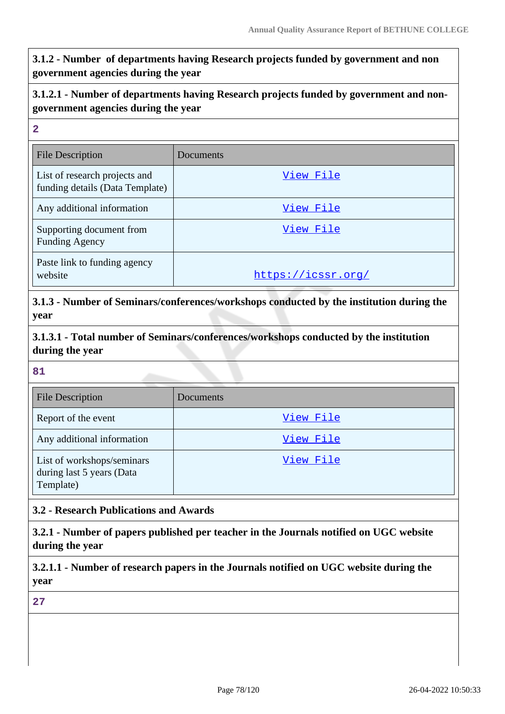## **3.1.2 - Number of departments having Research projects funded by government and non government agencies during the year**

## **3.1.2.1 - Number of departments having Research projects funded by government and nongovernment agencies during the year**

| $\overline{2}$                                                   |                    |
|------------------------------------------------------------------|--------------------|
| <b>File Description</b>                                          | Documents          |
| List of research projects and<br>funding details (Data Template) | View File          |
| Any additional information                                       | View File          |
| Supporting document from<br><b>Funding Agency</b>                | View File          |
| Paste link to funding agency<br>website                          | https://icssr.org/ |

**3.1.3 - Number of Seminars/conferences/workshops conducted by the institution during the year**

**3.1.3.1 - Total number of Seminars/conferences/workshops conducted by the institution during the year**

#### **81**

| <b>File Description</b>                                              | Documents |
|----------------------------------------------------------------------|-----------|
| Report of the event                                                  | View File |
| Any additional information                                           | View File |
| List of workshops/seminars<br>during last 5 years (Data<br>Template) | View File |

### **3.2 - Research Publications and Awards**

**3.2.1 - Number of papers published per teacher in the Journals notified on UGC website during the year**

**3.2.1.1 - Number of research papers in the Journals notified on UGC website during the year**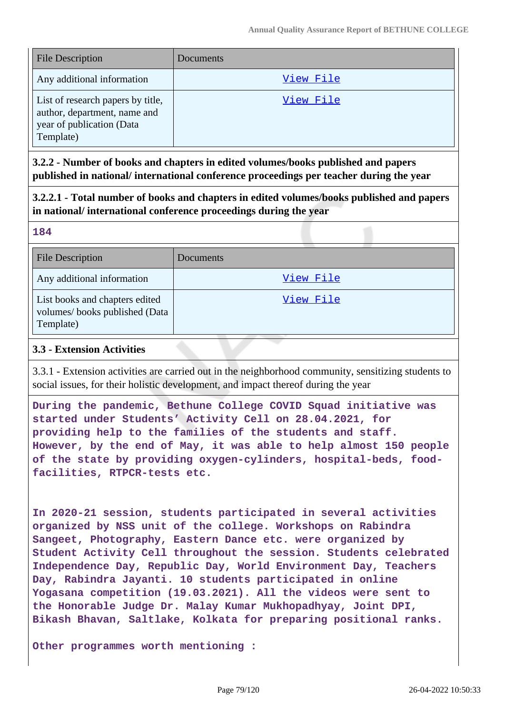| <b>File Description</b>                                                                                     | Documents |
|-------------------------------------------------------------------------------------------------------------|-----------|
| Any additional information                                                                                  | View File |
| List of research papers by title,<br>author, department, name and<br>year of publication (Data<br>Template) | View File |

**3.2.2 - Number of books and chapters in edited volumes/books published and papers published in national/ international conference proceedings per teacher during the year**

**3.2.2.1 - Total number of books and chapters in edited volumes/books published and papers in national/ international conference proceedings during the year**

#### **184**

| <b>File Description</b>                                                      | Documents |
|------------------------------------------------------------------------------|-----------|
| Any additional information                                                   | View File |
| List books and chapters edited<br>volumes/books published (Data<br>Template) | View File |

### **3.3 - Extension Activities**

3.3.1 - Extension activities are carried out in the neighborhood community, sensitizing students to social issues, for their holistic development, and impact thereof during the year

**During the pandemic, Bethune College COVID Squad initiative was started under Students' Activity Cell on 28.04.2021, for providing help to the families of the students and staff. However, by the end of May, it was able to help almost 150 people of the state by providing oxygen-cylinders, hospital-beds, foodfacilities, RTPCR-tests etc.**

**In 2020-21 session, students participated in several activities organized by NSS unit of the college. Workshops on Rabindra Sangeet, Photography, Eastern Dance etc. were organized by Student Activity Cell throughout the session. Students celebrated Independence Day, Republic Day, World Environment Day, Teachers Day, Rabindra Jayanti. 10 students participated in online Yogasana competition (19.03.2021). All the videos were sent to the Honorable Judge Dr. Malay Kumar Mukhopadhyay, Joint DPI, Bikash Bhavan, Saltlake, Kolkata for preparing positional ranks.**

**Other programmes worth mentioning :**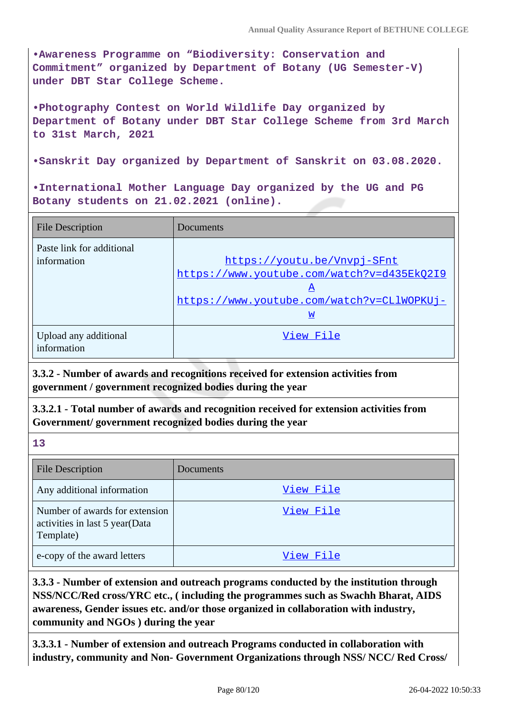**•Awareness Programme on "Biodiversity: Conservation and Commitment" organized by Department of Botany (UG Semester-V) under DBT Star College Scheme.**

**•Photography Contest on World Wildlife Day organized by Department of Botany under DBT Star College Scheme from 3rd March to 31st March, 2021**

**•Sanskrit Day organized by Department of Sanskrit on 03.08.2020.**

**•International Mother Language Day organized by the UG and PG Botany students on 21.02.2021 (online).**

| <b>File Description</b>                  | Documents                                                                                                                         |
|------------------------------------------|-----------------------------------------------------------------------------------------------------------------------------------|
| Paste link for additional<br>information | https://voutu.be/Vnvpj-SFnt<br>https://www.youtube.com/watch?v=d435Ek02I9<br>A<br>https://www.youtube.com/watch?v=CLlWOPKUj-<br>W |
| Upload any additional<br>information     | View File                                                                                                                         |

**3.3.2 - Number of awards and recognitions received for extension activities from government / government recognized bodies during the year**

**3.3.2.1 - Total number of awards and recognition received for extension activities from Government/ government recognized bodies during the year**

**13**

| <b>File Description</b>                                                       | Documents |
|-------------------------------------------------------------------------------|-----------|
| Any additional information                                                    | View File |
| Number of awards for extension<br>activities in last 5 year(Data<br>Template) | View File |
| e-copy of the award letters                                                   | View File |

**3.3.3 - Number of extension and outreach programs conducted by the institution through NSS/NCC/Red cross/YRC etc., ( including the programmes such as Swachh Bharat, AIDS awareness, Gender issues etc. and/or those organized in collaboration with industry, community and NGOs ) during the year**

**3.3.3.1 - Number of extension and outreach Programs conducted in collaboration with industry, community and Non- Government Organizations through NSS/ NCC/ Red Cross/**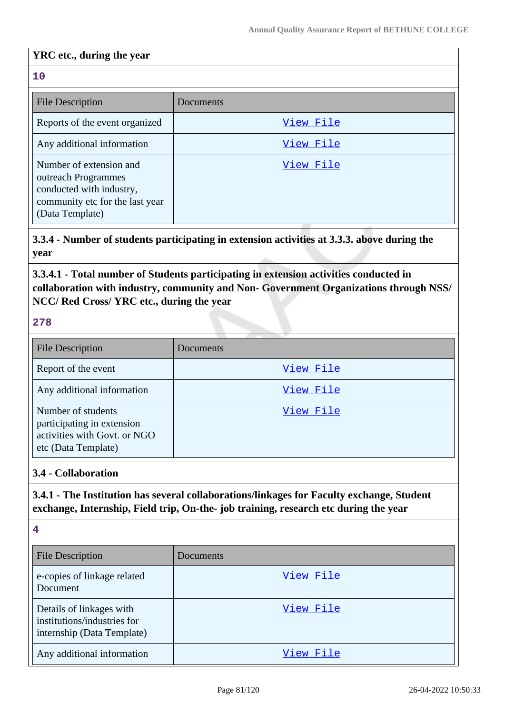## **YRC etc., during the year**

## **10** File Description Documents Reports of the event organized | [View File](https://assessmentonline.naac.gov.in/storage/app/public/aqar/17856/17856_36_79.docx?1650993629) Any additional information and the state of the [View File](https://assessmentonline.naac.gov.in/storage/app/public/aqar/17856/17856_36_80.pdf?1650993629) Number of extension and outreach Programmes conducted with industry, community etc for the last year (Data Template) [View File](https://assessmentonline.naac.gov.in/storage/app/public/aqar/17856/17856_36_81.xlsx?1650993629)

**3.3.4 - Number of students participating in extension activities at 3.3.3. above during the year**

**3.3.4.1 - Total number of Students participating in extension activities conducted in collaboration with industry, community and Non- Government Organizations through NSS/ NCC/ Red Cross/ YRC etc., during the year**

|  | ۰.<br>w |
|--|---------|
|  |         |

| <b>File Description</b>                                                                                 | Documents |
|---------------------------------------------------------------------------------------------------------|-----------|
| Report of the event                                                                                     | View File |
| Any additional information                                                                              | View File |
| Number of students<br>participating in extension<br>activities with Govt. or NGO<br>etc (Data Template) | View File |

#### **3.4 - Collaboration**

**3.4.1 - The Institution has several collaborations/linkages for Faculty exchange, Student exchange, Internship, Field trip, On-the- job training, research etc during the year**

| 4                                                                                     |           |
|---------------------------------------------------------------------------------------|-----------|
| <b>File Description</b>                                                               | Documents |
| e-copies of linkage related<br>Document                                               | View File |
| Details of linkages with<br>institutions/industries for<br>internship (Data Template) | View File |
| Any additional information                                                            | View File |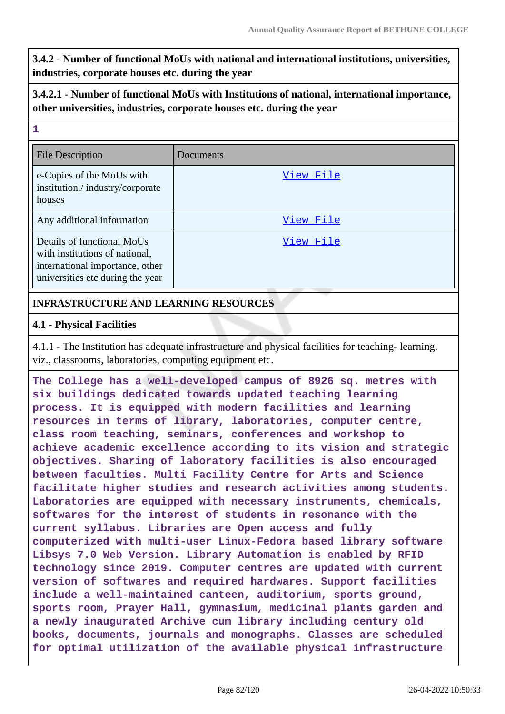**3.4.2 - Number of functional MoUs with national and international institutions, universities, industries, corporate houses etc. during the year**

## **3.4.2.1 - Number of functional MoUs with Institutions of national, international importance, other universities, industries, corporate houses etc. during the year**

| 1                                                                                                                                   |           |
|-------------------------------------------------------------------------------------------------------------------------------------|-----------|
| <b>File Description</b>                                                                                                             | Documents |
| e-Copies of the MoUs with<br>institution./industry/corporate<br>houses                                                              | View File |
| Any additional information                                                                                                          | View File |
| Details of functional MoUs<br>with institutions of national,<br>international importance, other<br>universities etc during the year | View File |

## **INFRASTRUCTURE AND LEARNING RESOURCES**

#### **4.1 - Physical Facilities**

4.1.1 - The Institution has adequate infrastructure and physical facilities for teaching- learning. viz., classrooms, laboratories, computing equipment etc.

**The College has a well-developed campus of 8926 sq. metres with six buildings dedicated towards updated teaching learning process. It is equipped with modern facilities and learning resources in terms of library, laboratories, computer centre, class room teaching, seminars, conferences and workshop to achieve academic excellence according to its vision and strategic objectives. Sharing of laboratory facilities is also encouraged between faculties. Multi Facility Centre for Arts and Science facilitate higher studies and research activities among students. Laboratories are equipped with necessary instruments, chemicals, softwares for the interest of students in resonance with the current syllabus. Libraries are Open access and fully computerized with multi-user Linux-Fedora based library software Libsys 7.0 Web Version. Library Automation is enabled by RFID technology since 2019. Computer centres are updated with current version of softwares and required hardwares. Support facilities include a well-maintained canteen, auditorium, sports ground, sports room, Prayer Hall, gymnasium, medicinal plants garden and a newly inaugurated Archive cum library including century old books, documents, journals and monographs. Classes are scheduled for optimal utilization of the available physical infrastructure**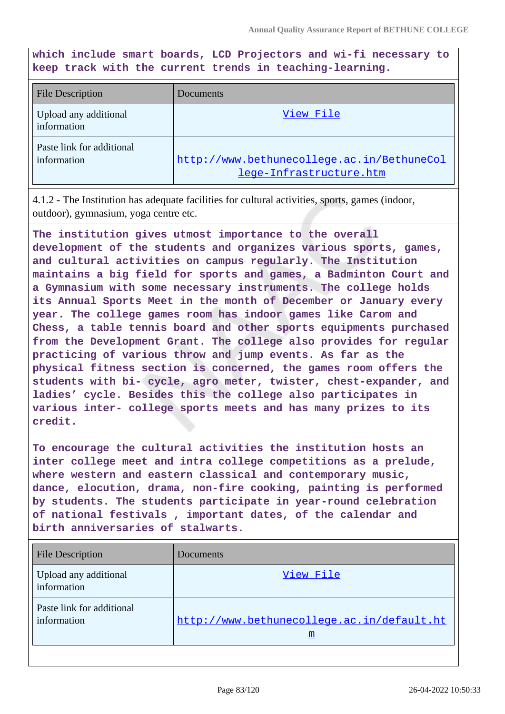**which include smart boards, LCD Projectors and wi-fi necessary to keep track with the current trends in teaching-learning.**

| <b>File Description</b>                  | Documents                                                             |
|------------------------------------------|-----------------------------------------------------------------------|
| Upload any additional<br>information     | View File                                                             |
| Paste link for additional<br>information | http://www.bethunecollege.ac.in/BethuneCol<br>lege-Infrastructure.htm |

4.1.2 - The Institution has adequate facilities for cultural activities, sports, games (indoor, outdoor), gymnasium, yoga centre etc.

**The institution gives utmost importance to the overall development of the students and organizes various sports, games, and cultural activities on campus regularly. The Institution maintains a big field for sports and games, a Badminton Court and a Gymnasium with some necessary instruments. The college holds its Annual Sports Meet in the month of December or January every year. The college games room has indoor games like Carom and Chess, a table tennis board and other sports equipments purchased from the Development Grant. The college also provides for regular practicing of various throw and jump events. As far as the physical fitness section is concerned, the games room offers the students with bi- cycle, agro meter, twister, chest-expander, and ladies' cycle. Besides this the college also participates in various inter- college sports meets and has many prizes to its credit.**

**To encourage the cultural activities the institution hosts an inter college meet and intra college competitions as a prelude, where western and eastern classical and contemporary music, dance, elocution, drama, non-fire cooking, painting is performed by students. The students participate in year-round celebration of national festivals , important dates, of the calendar and birth anniversaries of stalwarts.**

| <b>File Description</b>                  | <b>Documents</b>                                |
|------------------------------------------|-------------------------------------------------|
| Upload any additional<br>information     | View File                                       |
| Paste link for additional<br>information | http://www.bethunecollege.ac.in/default.ht<br>m |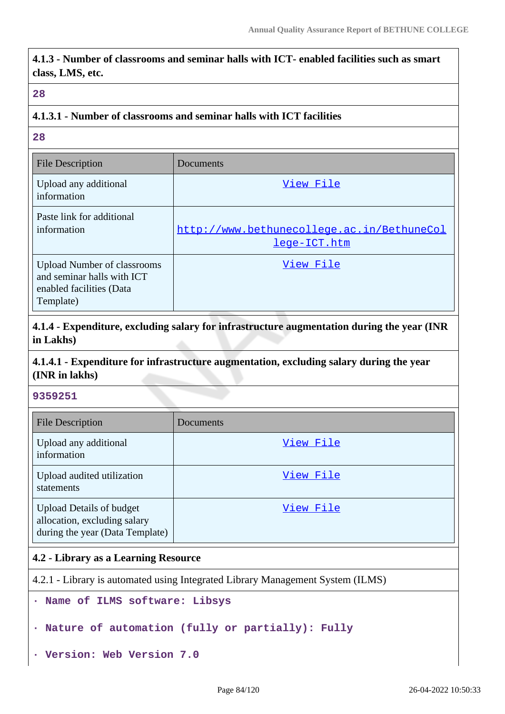**4.1.3 - Number of classrooms and seminar halls with ICT- enabled facilities such as smart class, LMS, etc.**

#### **28**

#### **4.1.3.1 - Number of classrooms and seminar halls with ICT facilities**

**28**

| <b>File Description</b>                                                                                   | Documents                                                  |
|-----------------------------------------------------------------------------------------------------------|------------------------------------------------------------|
| Upload any additional<br>information                                                                      | View File                                                  |
| Paste link for additional<br>information                                                                  | http://www.bethunecollege.ac.in/BethuneCol<br>lege-ICT.htm |
| <b>Upload Number of classrooms</b><br>and seminar halls with ICT<br>enabled facilities (Data<br>Template) | View File                                                  |

**4.1.4 - Expenditure, excluding salary for infrastructure augmentation during the year (INR in Lakhs)**

## **4.1.4.1 - Expenditure for infrastructure augmentation, excluding salary during the year (INR in lakhs)**

#### **9359251**

| <b>File Description</b>                                                                            | Documents |
|----------------------------------------------------------------------------------------------------|-----------|
| Upload any additional<br>information                                                               | View File |
| Upload audited utilization<br>statements                                                           | View File |
| <b>Upload Details of budget</b><br>allocation, excluding salary<br>during the year (Data Template) | View File |

#### **4.2 - Library as a Learning Resource**

4.2.1 - Library is automated using Integrated Library Management System (ILMS)

```
· Name of ILMS software: Libsys
```

```
· Nature of automation (fully or partially): Fully
```
**· Version: Web Version 7.0**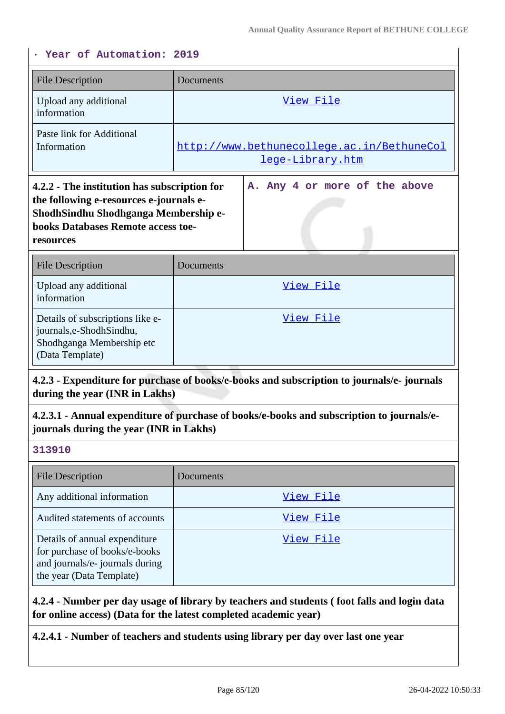## **· Year of Automation: 2019**

| Documents                                                                                                                                                                                                     |
|---------------------------------------------------------------------------------------------------------------------------------------------------------------------------------------------------------------|
| View File                                                                                                                                                                                                     |
| http://www.bethunecollege.ac.in/BethuneCol<br>lege-Library.htm                                                                                                                                                |
| A. Any 4 or more of the above<br>4.2.2 - The institution has subscription for<br>the following e-resources e-journals e-<br>ShodhSindhu Shodhganga Membership e-<br><b>books Databases Remote access toe-</b> |
| Documents                                                                                                                                                                                                     |
| View File                                                                                                                                                                                                     |
| View File                                                                                                                                                                                                     |
|                                                                                                                                                                                                               |

#### **4.2.3 - Expenditure for purchase of books/e-books and subscription to journals/e- journals during the year (INR in Lakhs)**

**4.2.3.1 - Annual expenditure of purchase of books/e-books and subscription to journals/ejournals during the year (INR in Lakhs)**

#### **313910**

| <b>File Description</b>                                                                                                       | Documents |
|-------------------------------------------------------------------------------------------------------------------------------|-----------|
| Any additional information                                                                                                    | View File |
| Audited statements of accounts                                                                                                | View File |
| Details of annual expenditure<br>for purchase of books/e-books<br>and journals/e- journals during<br>the year (Data Template) | View File |

**4.2.4 - Number per day usage of library by teachers and students ( foot falls and login data for online access) (Data for the latest completed academic year)**

**4.2.4.1 - Number of teachers and students using library per day over last one year**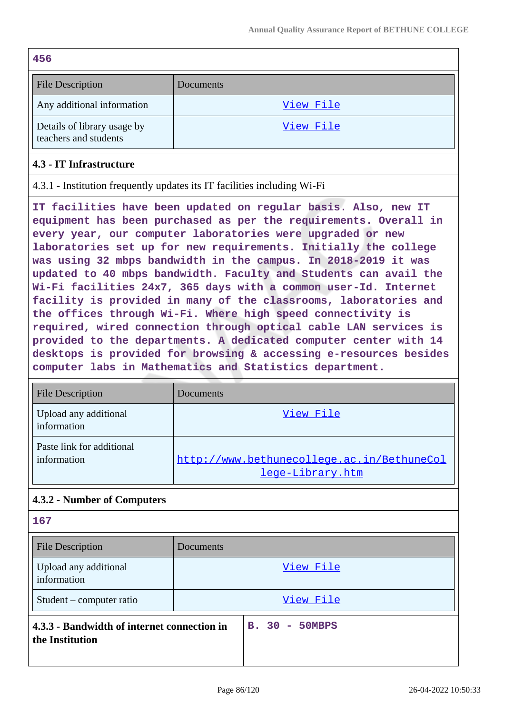| 456                                                  |           |
|------------------------------------------------------|-----------|
| <b>File Description</b>                              | Documents |
| Any additional information                           | View File |
| Details of library usage by<br>teachers and students | View File |

## **4.3 - IT Infrastructure**

4.3.1 - Institution frequently updates its IT facilities including Wi-Fi

**IT facilities have been updated on regular basis. Also, new IT equipment has been purchased as per the requirements. Overall in every year, our computer laboratories were upgraded or new laboratories set up for new requirements. Initially the college was using 32 mbps bandwidth in the campus. In 2018-2019 it was updated to 40 mbps bandwidth. Faculty and Students can avail the Wi-Fi facilities 24x7, 365 days with a common user-Id. Internet facility is provided in many of the classrooms, laboratories and the offices through Wi-Fi. Where high speed connectivity is required, wired connection through optical cable LAN services is provided to the departments. A dedicated computer center with 14 desktops is provided for browsing & accessing e-resources besides computer labs in Mathematics and Statistics department.**

| <b>File Description</b>                  | Documents                                                      |
|------------------------------------------|----------------------------------------------------------------|
| Upload any additional<br>information     | View File                                                      |
| Paste link for additional<br>information | http://www.bethunecollege.ac.in/BethuneCol<br>lege-Library.htm |

## **4.3.2 - Number of Computers**

# **167** File Description Documents Upload any additional information [View File](https://assessmentonline.naac.gov.in/storage/app/public/aqar/17856/17856_49_111.pdf?1650993630) Student – computer ratio and a view File **4.3.3 - Bandwidth of internet connection in the Institution B. 30 - 50MBPS**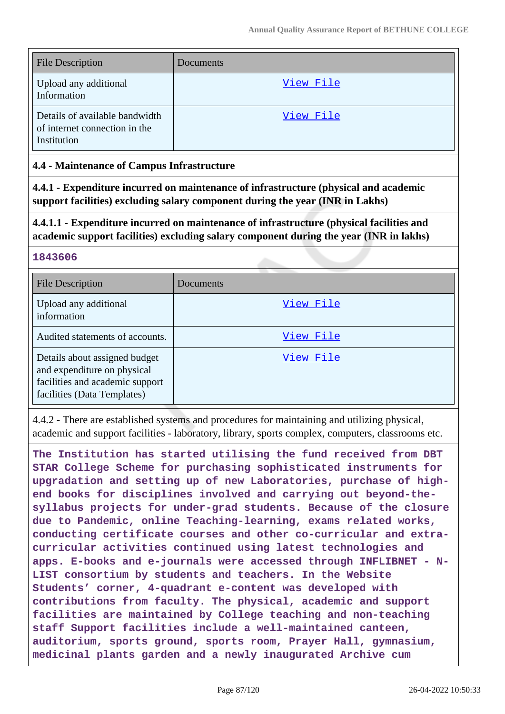| <b>File Description</b>                                                        | Documents |
|--------------------------------------------------------------------------------|-----------|
| Upload any additional<br>Information                                           | View File |
| Details of available bandwidth<br>of internet connection in the<br>Institution | View File |

## **4.4 - Maintenance of Campus Infrastructure**

**4.4.1 - Expenditure incurred on maintenance of infrastructure (physical and academic support facilities) excluding salary component during the year (INR in Lakhs)**

**4.4.1.1 - Expenditure incurred on maintenance of infrastructure (physical facilities and academic support facilities) excluding salary component during the year (INR in lakhs)**

#### **1843606**

| <b>File Description</b>                                                                                                        | Documents |
|--------------------------------------------------------------------------------------------------------------------------------|-----------|
| Upload any additional<br>information                                                                                           | View File |
| Audited statements of accounts.                                                                                                | View File |
| Details about assigned budget<br>and expenditure on physical<br>facilities and academic support<br>facilities (Data Templates) | View File |

4.4.2 - There are established systems and procedures for maintaining and utilizing physical, academic and support facilities - laboratory, library, sports complex, computers, classrooms etc.

**The Institution has started utilising the fund received from DBT STAR College Scheme for purchasing sophisticated instruments for upgradation and setting up of new Laboratories, purchase of highend books for disciplines involved and carrying out beyond-thesyllabus projects for under-grad students. Because of the closure due to Pandemic, online Teaching-learning, exams related works, conducting certificate courses and other co-curricular and extracurricular activities continued using latest technologies and apps. E-books and e-journals were accessed through INFLIBNET - N-LIST consortium by students and teachers. In the Website Students' corner, 4-quadrant e-content was developed with contributions from faculty. The physical, academic and support facilities are maintained by College teaching and non-teaching staff Support facilities include a well-maintained canteen, auditorium, sports ground, sports room, Prayer Hall, gymnasium, medicinal plants garden and a newly inaugurated Archive cum**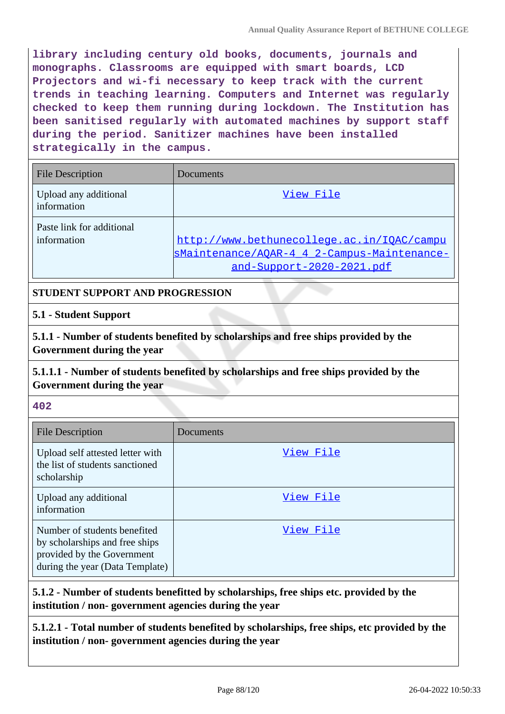**library including century old books, documents, journals and monographs. Classrooms are equipped with smart boards, LCD Projectors and wi-fi necessary to keep track with the current trends in teaching learning. Computers and Internet was regularly checked to keep them running during lockdown. The Institution has been sanitised regularly with automated machines by support staff during the period. Sanitizer machines have been installed strategically in the campus.**

| <b>File Description</b>                  | Documents                                                                                                              |
|------------------------------------------|------------------------------------------------------------------------------------------------------------------------|
| Upload any additional<br>information     | View File                                                                                                              |
| Paste link for additional<br>information | http://www.bethunecollege.ac.in/IQAC/campu<br>sMaintenance/AQAR-4 4 2-Campus-Maintenance-<br>and-Support-2020-2021.pdf |

## **STUDENT SUPPORT AND PROGRESSION**

#### **5.1 - Student Support**

**5.1.1 - Number of students benefited by scholarships and free ships provided by the Government during the year**

**5.1.1.1 - Number of students benefited by scholarships and free ships provided by the Government during the year**

#### **402**

| <b>File Description</b>                                                                                                         | Documents |
|---------------------------------------------------------------------------------------------------------------------------------|-----------|
| Upload self attested letter with<br>the list of students sanctioned<br>scholarship                                              | View File |
| Upload any additional<br>information                                                                                            | View File |
| Number of students benefited<br>by scholarships and free ships<br>provided by the Government<br>during the year (Data Template) | View File |

**5.1.2 - Number of students benefitted by scholarships, free ships etc. provided by the institution / non- government agencies during the year**

**5.1.2.1 - Total number of students benefited by scholarships, free ships, etc provided by the institution / non- government agencies during the year**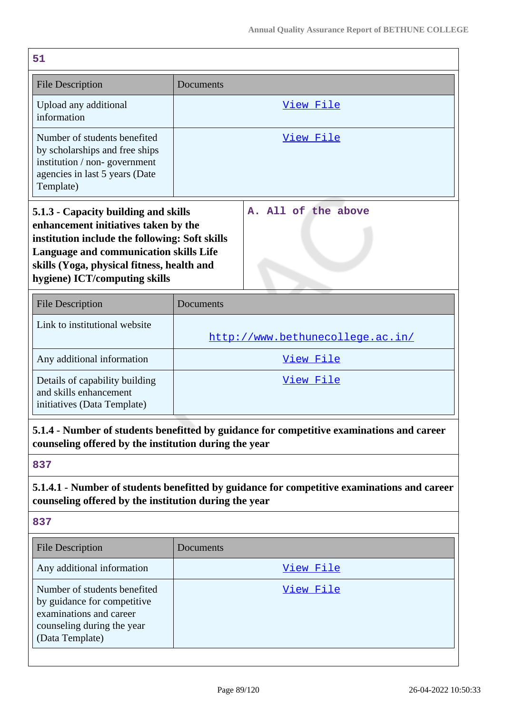| 51                                                                                                                                                                                                                                                      |                                  |  |  |
|---------------------------------------------------------------------------------------------------------------------------------------------------------------------------------------------------------------------------------------------------------|----------------------------------|--|--|
| <b>File Description</b>                                                                                                                                                                                                                                 | Documents                        |  |  |
| Upload any additional<br>information                                                                                                                                                                                                                    | <u>View File</u>                 |  |  |
| Number of students benefited<br>by scholarships and free ships<br>institution / non-government<br>agencies in last 5 years (Date<br>Template)                                                                                                           | View File                        |  |  |
| 5.1.3 - Capacity building and skills<br>enhancement initiatives taken by the<br>institution include the following: Soft skills<br>Language and communication skills Life<br>skills (Yoga, physical fitness, health and<br>hygiene) ICT/computing skills | A. All of the above              |  |  |
| <b>File Description</b>                                                                                                                                                                                                                                 | Documents                        |  |  |
| Link to institutional website                                                                                                                                                                                                                           | http://www.bethunecollege.ac.in/ |  |  |
| Any additional information                                                                                                                                                                                                                              | <u>View File</u>                 |  |  |
| Details of capability building<br>and skills enhancement<br>initiatives (Data Template)                                                                                                                                                                 | <u>View File</u>                 |  |  |
| 5.1.4 - Number of students benefitted by guidance for competitive examinations and career<br>counseling offered by the institution during the year                                                                                                      |                                  |  |  |
| 837                                                                                                                                                                                                                                                     |                                  |  |  |
| 5.1.4.1 - Number of students benefitted by guidance for competitive examinations and career<br>counseling offered by the institution during the year                                                                                                    |                                  |  |  |
| 837                                                                                                                                                                                                                                                     |                                  |  |  |
| <b>File Description</b>                                                                                                                                                                                                                                 | Documents                        |  |  |
| Any additional information                                                                                                                                                                                                                              | View File                        |  |  |
| Number of students benefited<br>by guidance for competitive<br>examinations and career<br>counseling during the year<br>(Data Template)                                                                                                                 | View File                        |  |  |
|                                                                                                                                                                                                                                                         |                                  |  |  |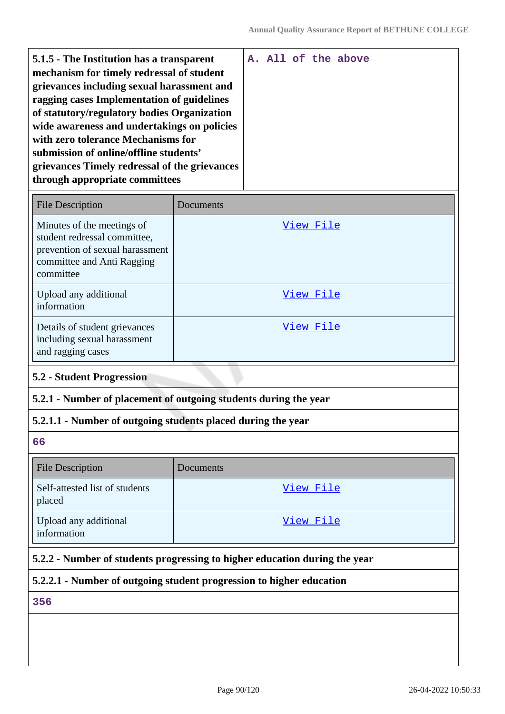| 5.1.5 - The Institution has a transparent<br>mechanism for timely redressal of student<br>grievances including sexual harassment and<br>ragging cases Implementation of guidelines<br>of statutory/regulatory bodies Organization |  |  | A. All of the above |
|-----------------------------------------------------------------------------------------------------------------------------------------------------------------------------------------------------------------------------------|--|--|---------------------|
| wide awareness and undertakings on policies<br>with zero tolerance Mechanisms for<br>submission of online/offline students'<br>grievances Timely redressal of the grievances<br>through appropriate committees                    |  |  |                     |

| <b>File Description</b>                                                                                                                  | Documents |
|------------------------------------------------------------------------------------------------------------------------------------------|-----------|
| Minutes of the meetings of<br>student redressal committee,<br>prevention of sexual harassment<br>committee and Anti Ragging<br>committee | View File |
| Upload any additional<br>information                                                                                                     | View File |
| Details of student grievances<br>including sexual harassment<br>and ragging cases                                                        | View File |

#### **5.2 - Student Progression**

## **5.2.1 - Number of placement of outgoing students during the year**

#### **5.2.1.1 - Number of outgoing students placed during the year**

**66**

| <b>File Description</b>                  | Documents |
|------------------------------------------|-----------|
| Self-attested list of students<br>placed | View File |
| Upload any additional<br>information     | View File |

## **5.2.2 - Number of students progressing to higher education during the year**

## **5.2.2.1 - Number of outgoing student progression to higher education**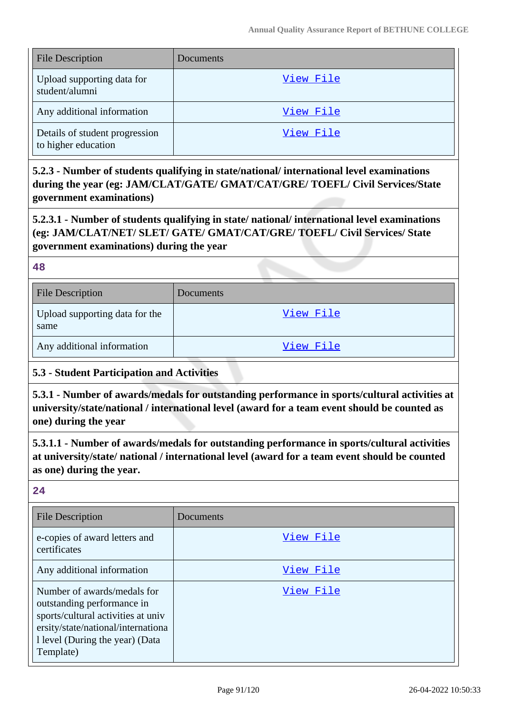| <b>File Description</b>                               | Documents |
|-------------------------------------------------------|-----------|
| Upload supporting data for<br>student/alumni          | View File |
| Any additional information                            | View File |
| Details of student progression<br>to higher education | View File |

**5.2.3 - Number of students qualifying in state/national/ international level examinations during the year (eg: JAM/CLAT/GATE/ GMAT/CAT/GRE/ TOEFL/ Civil Services/State government examinations)**

**5.2.3.1 - Number of students qualifying in state/ national/ international level examinations (eg: JAM/CLAT/NET/ SLET/ GATE/ GMAT/CAT/GRE/ TOEFL/ Civil Services/ State government examinations) during the year**

**48**

| <b>File Description</b>                | <b>Documents</b> |
|----------------------------------------|------------------|
| Upload supporting data for the<br>same | View File        |
| Any additional information             | View File        |

## **5.3 - Student Participation and Activities**

**5.3.1 - Number of awards/medals for outstanding performance in sports/cultural activities at university/state/national / international level (award for a team event should be counted as one) during the year**

**5.3.1.1 - Number of awards/medals for outstanding performance in sports/cultural activities at university/state/ national / international level (award for a team event should be counted as one) during the year.**

| <b>File Description</b>                                                                                                                                                               | Documents |
|---------------------------------------------------------------------------------------------------------------------------------------------------------------------------------------|-----------|
| e-copies of award letters and<br>certificates                                                                                                                                         | View File |
| Any additional information                                                                                                                                                            | View File |
| Number of awards/medals for<br>outstanding performance in<br>sports/cultural activities at univ<br>ersity/state/national/internationa<br>1 level (During the year) (Data<br>Template) | View File |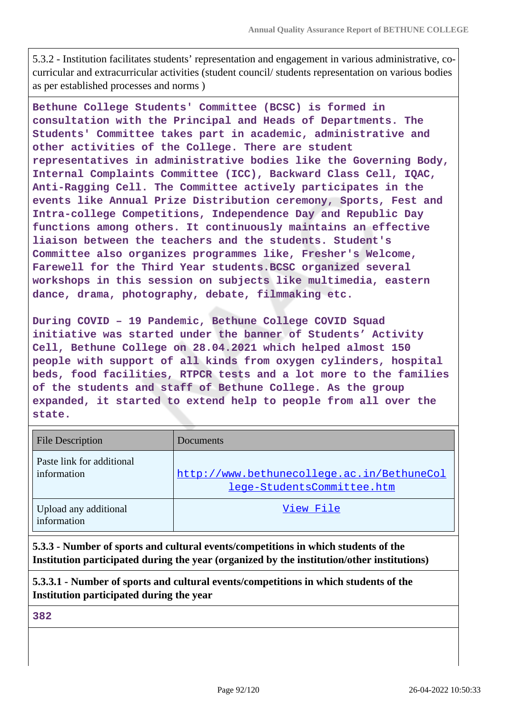5.3.2 - Institution facilitates students' representation and engagement in various administrative, cocurricular and extracurricular activities (student council/ students representation on various bodies as per established processes and norms )

**Bethune College Students' Committee (BCSC) is formed in consultation with the Principal and Heads of Departments. The Students' Committee takes part in academic, administrative and other activities of the College. There are student representatives in administrative bodies like the Governing Body, Internal Complaints Committee (ICC), Backward Class Cell, IQAC, Anti-Ragging Cell. The Committee actively participates in the events like Annual Prize Distribution ceremony, Sports, Fest and Intra-college Competitions, Independence Day and Republic Day functions among others. It continuously maintains an effective liaison between the teachers and the students. Student's Committee also organizes programmes like, Fresher's Welcome, Farewell for the Third Year students.BCSC organized several workshops in this session on subjects like multimedia, eastern dance, drama, photography, debate, filmmaking etc.**

**During COVID – 19 Pandemic, Bethune College COVID Squad initiative was started under the banner of Students' Activity Cell, Bethune College on 28.04.2021 which helped almost 150 people with support of all kinds from oxygen cylinders, hospital beds, food facilities, RTPCR tests and a lot more to the families of the students and staff of Bethune College. As the group expanded, it started to extend help to people from all over the state.**

| <b>File Description</b>                  | Documents                                                                |
|------------------------------------------|--------------------------------------------------------------------------|
| Paste link for additional<br>information | http://www.bethunecollege.ac.in/BethuneCol<br>lege-StudentsCommittee.htm |
| Upload any additional<br>information     | View File                                                                |

**5.3.3 - Number of sports and cultural events/competitions in which students of the Institution participated during the year (organized by the institution/other institutions)**

**5.3.3.1 - Number of sports and cultural events/competitions in which students of the Institution participated during the year**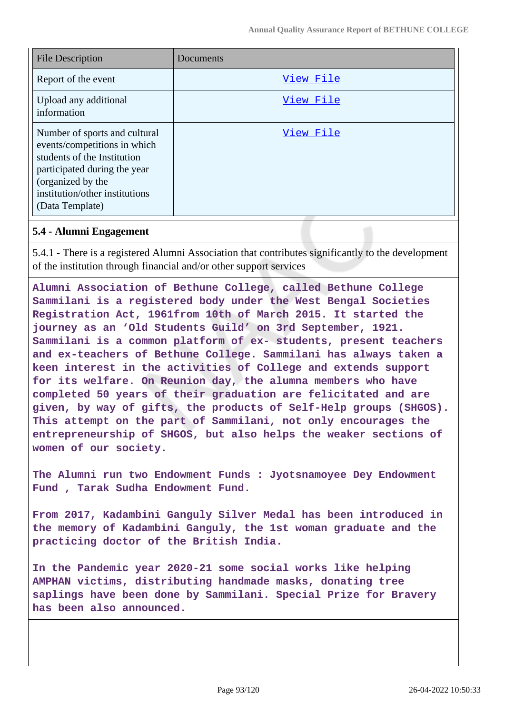| <b>File Description</b>                                                                                                                                                                                | Documents |
|--------------------------------------------------------------------------------------------------------------------------------------------------------------------------------------------------------|-----------|
| Report of the event                                                                                                                                                                                    | View File |
| Upload any additional<br>information                                                                                                                                                                   | View File |
| Number of sports and cultural<br>events/competitions in which<br>students of the Institution<br>participated during the year<br>(organized by the<br>institution/other institutions<br>(Data Template) | View File |

#### **5.4 - Alumni Engagement**

5.4.1 - There is a registered Alumni Association that contributes significantly to the development of the institution through financial and/or other support services

**Alumni Association of Bethune College, called Bethune College Sammilani is a registered body under the West Bengal Societies Registration Act, 1961from 10th of March 2015. It started the journey as an 'Old Students Guild' on 3rd September, 1921. Sammilani is a common platform of ex- students, present teachers and ex-teachers of Bethune College. Sammilani has always taken a keen interest in the activities of College and extends support for its welfare. On Reunion day, the alumna members who have completed 50 years of their graduation are felicitated and are given, by way of gifts, the products of Self-Help groups (SHGOS). This attempt on the part of Sammilani, not only encourages the entrepreneurship of SHGOS, but also helps the weaker sections of women of our society.**

**The Alumni run two Endowment Funds : Jyotsnamoyee Dey Endowment Fund , Tarak Sudha Endowment Fund.**

**From 2017, Kadambini Ganguly Silver Medal has been introduced in the memory of Kadambini Ganguly, the 1st woman graduate and the practicing doctor of the British India.**

**In the Pandemic year 2020-21 some social works like helping AMPHAN victims, distributing handmade masks, donating tree saplings have been done by Sammilani. Special Prize for Bravery has been also announced.**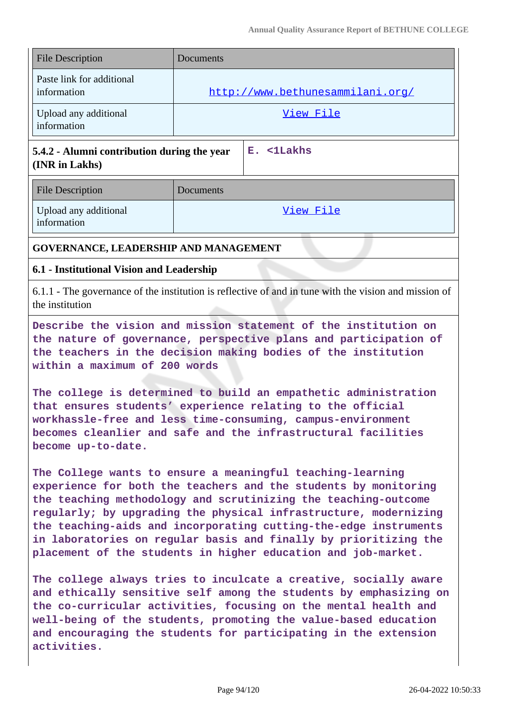| <b>File Description</b>                                       | Documents                        |
|---------------------------------------------------------------|----------------------------------|
| Paste link for additional<br>information                      | http://www.bethunesammilani.org/ |
| Upload any additional<br>information                          | View File                        |
| 5.4.2 - Alumni contribution during the year<br>(INR in Lakhs) | E. <1Lakhs                       |
| <b>File Description</b>                                       | Documents                        |
| Upload any additional<br>information                          | View File                        |
| GOVERNANCE, LEADERSHIP AND MANAGEMENT                         |                                  |
| 6.1 - Institutional Vision and Leadership                     |                                  |

6.1.1 - The governance of the institution is reflective of and in tune with the vision and mission of the institution

**Describe the vision and mission statement of the institution on the nature of governance, perspective plans and participation of the teachers in the decision making bodies of the institution within a maximum of 200 words**

**The college is determined to build an empathetic administration that ensures students' experience relating to the official workhassle-free and less time-consuming, campus-environment becomes cleanlier and safe and the infrastructural facilities become up-to-date.**

**The College wants to ensure a meaningful teaching-learning experience for both the teachers and the students by monitoring the teaching methodology and scrutinizing the teaching-outcome regularly; by upgrading the physical infrastructure, modernizing the teaching-aids and incorporating cutting-the-edge instruments in laboratories on regular basis and finally by prioritizing the placement of the students in higher education and job-market.**

**The college always tries to inculcate a creative, socially aware and ethically sensitive self among the students by emphasizing on the co-curricular activities, focusing on the mental health and well-being of the students, promoting the value-based education and encouraging the students for participating in the extension activities.**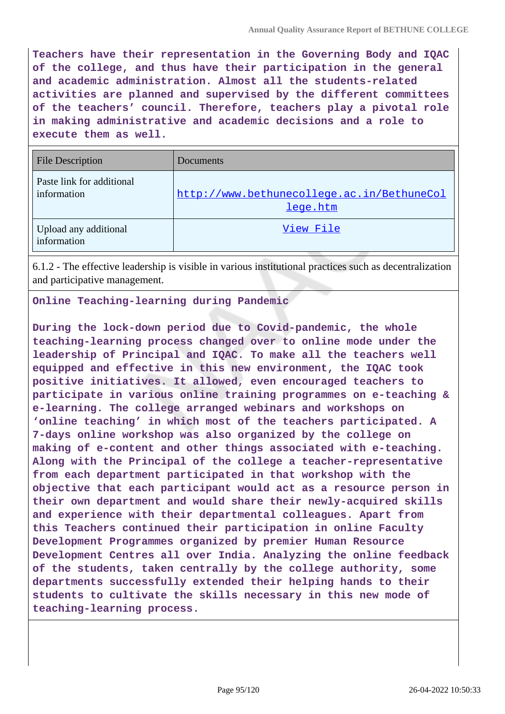**Teachers have their representation in the Governing Body and IQAC of the college, and thus have their participation in the general and academic administration. Almost all the students-related activities are planned and supervised by the different committees of the teachers' council. Therefore, teachers play a pivotal role in making administrative and academic decisions and a role to execute them as well.**

| <b>File Description</b>                  | Documents                                              |
|------------------------------------------|--------------------------------------------------------|
| Paste link for additional<br>information | http://www.bethunecollege.ac.in/BethuneCol<br>lege.htm |
| Upload any additional<br>information     | View File                                              |

6.1.2 - The effective leadership is visible in various institutional practices such as decentralization and participative management.

**Online Teaching-learning during Pandemic**

**During the lock-down period due to Covid-pandemic, the whole teaching-learning process changed over to online mode under the leadership of Principal and IQAC. To make all the teachers well equipped and effective in this new environment, the IQAC took positive initiatives. It allowed, even encouraged teachers to participate in various online training programmes on e-teaching & e-learning. The college arranged webinars and workshops on 'online teaching' in which most of the teachers participated. A 7-days online workshop was also organized by the college on making of e-content and other things associated with e-teaching. Along with the Principal of the college a teacher-representative from each department participated in that workshop with the objective that each participant would act as a resource person in their own department and would share their newly-acquired skills and experience with their departmental colleagues. Apart from this Teachers continued their participation in online Faculty Development Programmes organized by premier Human Resource Development Centres all over India. Analyzing the online feedback of the students, taken centrally by the college authority, some departments successfully extended their helping hands to their students to cultivate the skills necessary in this new mode of teaching-learning process.**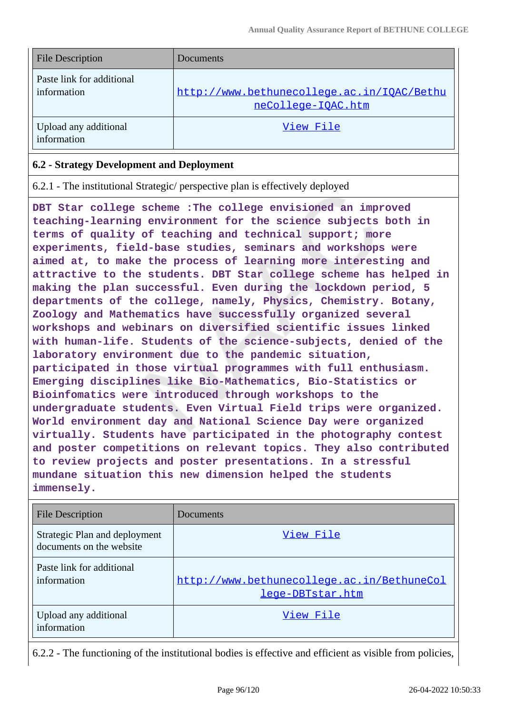| <b>File Description</b>                  | Documents                                                        |
|------------------------------------------|------------------------------------------------------------------|
| Paste link for additional<br>information | http://www.bethunecollege.ac.in/IOAC/Bethu<br>neCollege-IOAC.htm |
| Upload any additional<br>information     | View File                                                        |

#### **6.2 - Strategy Development and Deployment**

6.2.1 - The institutional Strategic/ perspective plan is effectively deployed

**DBT Star college scheme :The college envisioned an improved teaching-learning environment for the science subjects both in terms of quality of teaching and technical support; more experiments, field-base studies, seminars and workshops were aimed at, to make the process of learning more interesting and attractive to the students. DBT Star college scheme has helped in making the plan successful. Even during the lockdown period, 5 departments of the college, namely, Physics, Chemistry. Botany, Zoology and Mathematics have successfully organized several workshops and webinars on diversified scientific issues linked with human-life. Students of the science-subjects, denied of the laboratory environment due to the pandemic situation, participated in those virtual programmes with full enthusiasm. Emerging disciplines like Bio-Mathematics, Bio-Statistics or Bioinfomatics were introduced through workshops to the undergraduate students. Even Virtual Field trips were organized. World environment day and National Science Day were organized virtually. Students have participated in the photography contest and poster competitions on relevant topics. They also contributed to review projects and poster presentations. In a stressful mundane situation this new dimension helped the students immensely.**

| <b>File Description</b>                                   | Documents                                                      |
|-----------------------------------------------------------|----------------------------------------------------------------|
| Strategic Plan and deployment<br>documents on the website | View File                                                      |
| Paste link for additional<br>information                  | http://www.bethunecollege.ac.in/BethuneCol<br>lege-DBTstar.htm |
| Upload any additional<br>information                      | View File                                                      |

6.2.2 - The functioning of the institutional bodies is effective and efficient as visible from policies,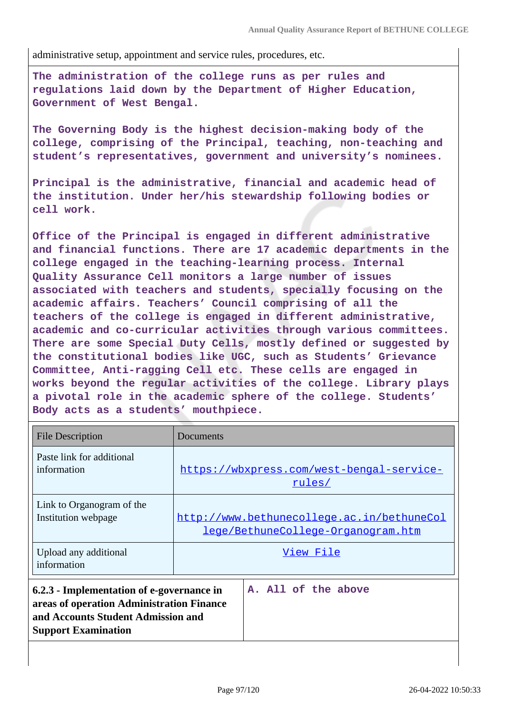administrative setup, appointment and service rules, procedures, etc.

**The administration of the college runs as per rules and regulations laid down by the Department of Higher Education, Government of West Bengal.**

**The Governing Body is the highest decision-making body of the college, comprising of the Principal, teaching, non-teaching and student's representatives, government and university's nominees.**

**Principal is the administrative, financial and academic head of the institution. Under her/his stewardship following bodies or cell work.**

**Office of the Principal is engaged in different administrative and financial functions. There are 17 academic departments in the college engaged in the teaching-learning process. Internal Quality Assurance Cell monitors a large number of issues associated with teachers and students, specially focusing on the academic affairs. Teachers' Council comprising of all the teachers of the college is engaged in different administrative, academic and co-curricular activities through various committees. There are some Special Duty Cells, mostly defined or suggested by the constitutional bodies like UGC, such as Students' Grievance Committee, Anti-ragging Cell etc. These cells are engaged in works beyond the regular activities of the college. Library plays a pivotal role in the academic sphere of the college. Students' Body acts as a students' mouthpiece.**

| <b>File Description</b>                                                                                                                                    | Documents                                                                        |
|------------------------------------------------------------------------------------------------------------------------------------------------------------|----------------------------------------------------------------------------------|
| Paste link for additional<br>information                                                                                                                   | https://wbxpress.com/west-bengal-service-<br>rules/                              |
| Link to Organogram of the<br>Institution webpage                                                                                                           | http://www.bethunecollege.ac.in/bethuneCol<br>lege/BethuneCollege-Organogram.htm |
| Upload any additional<br>information                                                                                                                       | View File                                                                        |
| 6.2.3 - Implementation of e-governance in<br>areas of operation Administration Finance<br>and Accounts Student Admission and<br><b>Support Examination</b> | A. All of the above                                                              |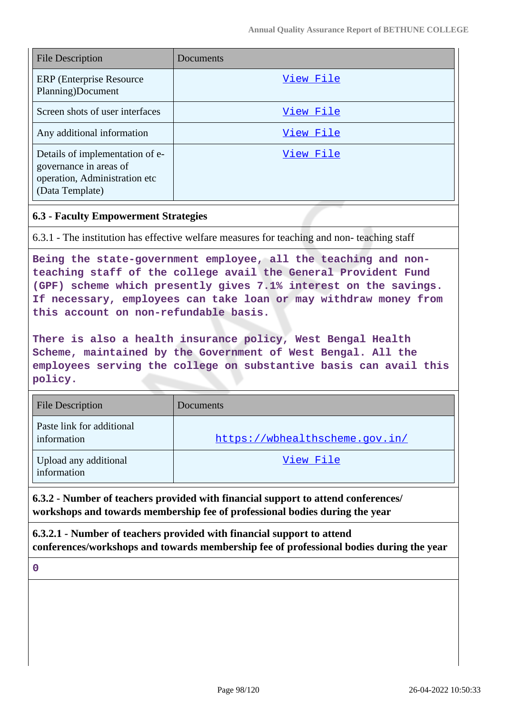| <b>File Description</b>                                                                                       | Documents |
|---------------------------------------------------------------------------------------------------------------|-----------|
| ERP (Enterprise Resource)<br>Planning)Document                                                                | View File |
| Screen shots of user interfaces                                                                               | View File |
| Any additional information                                                                                    | View File |
| Details of implementation of e-<br>governance in areas of<br>operation, Administration etc<br>(Data Template) | View File |

#### **6.3 - Faculty Empowerment Strategies**

6.3.1 - The institution has effective welfare measures for teaching and non- teaching staff

**Being the state-government employee, all the teaching and nonteaching staff of the college avail the General Provident Fund (GPF) scheme which presently gives 7.1% interest on the savings. If necessary, employees can take loan or may withdraw money from this account on non-refundable basis.**

**There is also a health insurance policy, West Bengal Health Scheme, maintained by the Government of West Bengal. All the employees serving the college on substantive basis can avail this policy.**

| <b>File Description</b>                  | Documents                      |
|------------------------------------------|--------------------------------|
| Paste link for additional<br>information | https://wbhealthscheme.gov.in/ |
| Upload any additional<br>information     | View File                      |

**6.3.2 - Number of teachers provided with financial support to attend conferences/ workshops and towards membership fee of professional bodies during the year**

**6.3.2.1 - Number of teachers provided with financial support to attend conferences/workshops and towards membership fee of professional bodies during the year**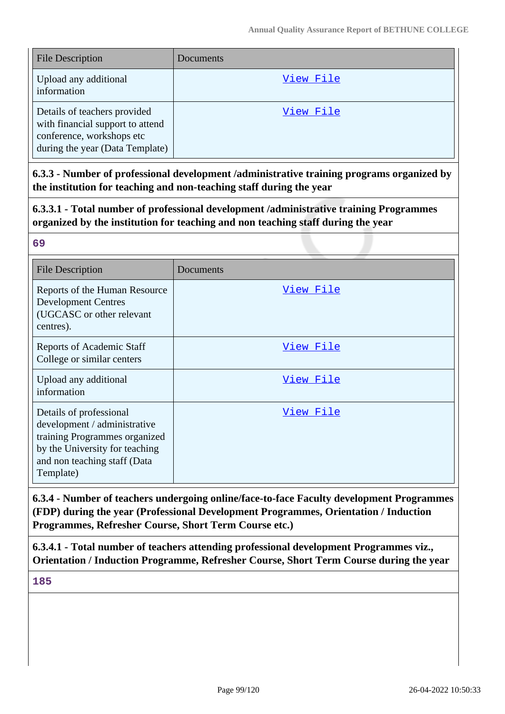| <b>File Description</b>                                                                                                          | Documents |
|----------------------------------------------------------------------------------------------------------------------------------|-----------|
| Upload any additional<br>information                                                                                             | View File |
| Details of teachers provided<br>with financial support to attend<br>conference, workshops etc<br>during the year (Data Template) | View File |

**6.3.3 - Number of professional development /administrative training programs organized by the institution for teaching and non-teaching staff during the year**

**6.3.3.1 - Total number of professional development /administrative training Programmes organized by the institution for teaching and non teaching staff during the year**

#### **69**

| <b>File Description</b>                                                                                                                                                 | Documents        |
|-------------------------------------------------------------------------------------------------------------------------------------------------------------------------|------------------|
| Reports of the Human Resource<br><b>Development Centres</b><br>(UGCASC or other relevant<br>centres).                                                                   | <u>View File</u> |
| <b>Reports of Academic Staff</b><br>College or similar centers                                                                                                          | <u>View File</u> |
| Upload any additional<br>information                                                                                                                                    | View File        |
| Details of professional<br>development / administrative<br>training Programmes organized<br>by the University for teaching<br>and non teaching staff (Data<br>Template) | View File        |

**6.3.4 - Number of teachers undergoing online/face-to-face Faculty development Programmes (FDP) during the year (Professional Development Programmes, Orientation / Induction Programmes, Refresher Course, Short Term Course etc.)**

**6.3.4.1 - Total number of teachers attending professional development Programmes viz., Orientation / Induction Programme, Refresher Course, Short Term Course during the year**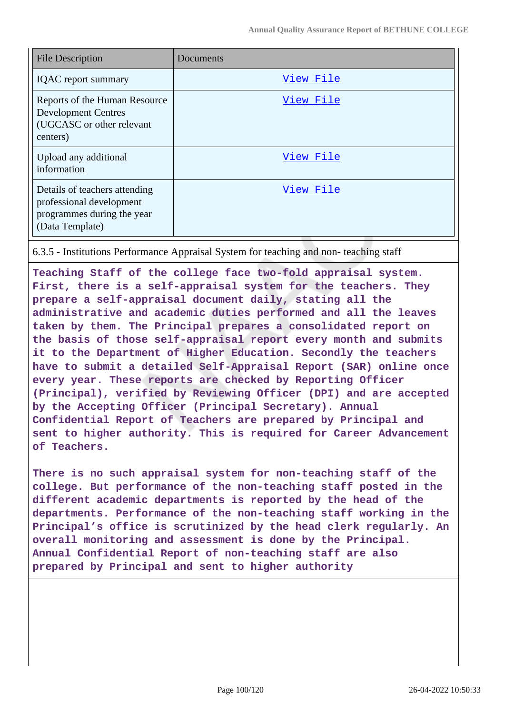| <b>File Description</b>                                                                                    | Documents |
|------------------------------------------------------------------------------------------------------------|-----------|
| <b>IQAC</b> report summary                                                                                 | View File |
| Reports of the Human Resource<br><b>Development Centres</b><br>(UGCASC or other relevant<br>centers)       | View File |
| Upload any additional<br>information                                                                       | View File |
| Details of teachers attending<br>professional development<br>programmes during the year<br>(Data Template) | View File |

6.3.5 - Institutions Performance Appraisal System for teaching and non- teaching staff

**Teaching Staff of the college face two-fold appraisal system. First, there is a self-appraisal system for the teachers. They prepare a self-appraisal document daily, stating all the administrative and academic duties performed and all the leaves taken by them. The Principal prepares a consolidated report on the basis of those self-appraisal report every month and submits it to the Department of Higher Education. Secondly the teachers have to submit a detailed Self-Appraisal Report (SAR) online once every year. These reports are checked by Reporting Officer (Principal), verified by Reviewing Officer (DPI) and are accepted by the Accepting Officer (Principal Secretary). Annual Confidential Report of Teachers are prepared by Principal and sent to higher authority. This is required for Career Advancement of Teachers.**

**There is no such appraisal system for non-teaching staff of the college. But performance of the non-teaching staff posted in the different academic departments is reported by the head of the departments. Performance of the non-teaching staff working in the Principal's office is scrutinized by the head clerk regularly. An overall monitoring and assessment is done by the Principal. Annual Confidential Report of non-teaching staff are also prepared by Principal and sent to higher authority**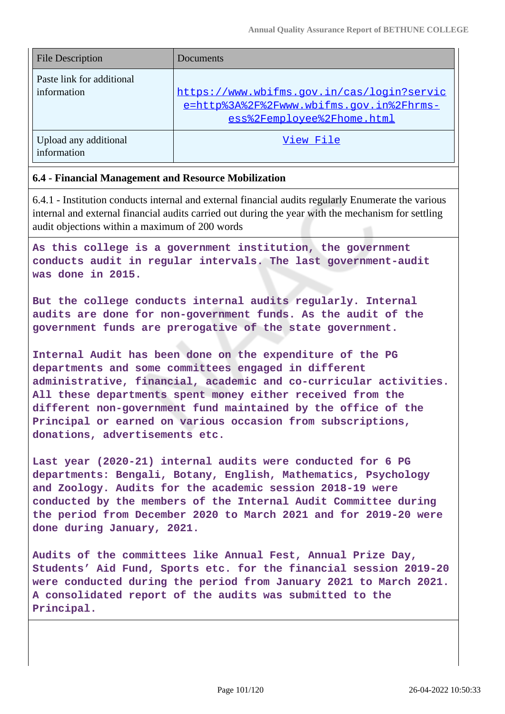| <b>File Description</b>                  | Documents                                                                                                            |
|------------------------------------------|----------------------------------------------------------------------------------------------------------------------|
| Paste link for additional<br>information | https://www.wbifms.gov.in/cas/login?servic<br>e=http%3A%2F%2Fwww.wbifms.gov.in%2Fhrms-<br>ess%2Femployee%2Fhome.html |
| Upload any additional<br>information     | View File                                                                                                            |

#### **6.4 - Financial Management and Resource Mobilization**

6.4.1 - Institution conducts internal and external financial audits regularly Enumerate the various internal and external financial audits carried out during the year with the mechanism for settling audit objections within a maximum of 200 words

**As this college is a government institution, the government conducts audit in regular intervals. The last government-audit was done in 2015.**

**But the college conducts internal audits regularly. Internal audits are done for non-government funds. As the audit of the government funds are prerogative of the state government.**

**Internal Audit has been done on the expenditure of the PG departments and some committees engaged in different administrative, financial, academic and co-curricular activities. All these departments spent money either received from the different non-government fund maintained by the office of the Principal or earned on various occasion from subscriptions, donations, advertisements etc.**

**Last year (2020-21) internal audits were conducted for 6 PG departments: Bengali, Botany, English, Mathematics, Psychology and Zoology. Audits for the academic session 2018-19 were conducted by the members of the Internal Audit Committee during the period from December 2020 to March 2021 and for 2019-20 were done during January, 2021.**

**Audits of the committees like Annual Fest, Annual Prize Day, Students' Aid Fund, Sports etc. for the financial session 2019-20 were conducted during the period from January 2021 to March 2021. A consolidated report of the audits was submitted to the Principal.**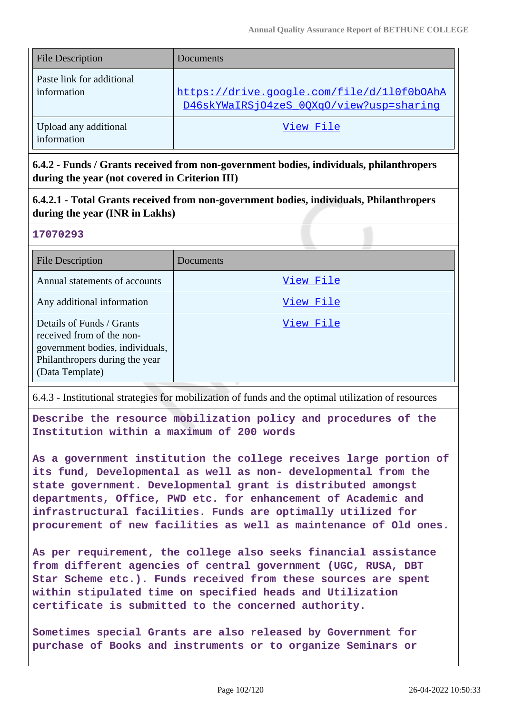| <b>File Description</b>                  | Documents                                                                              |
|------------------------------------------|----------------------------------------------------------------------------------------|
| Paste link for additional<br>information | https://drive.google.com/file/d/110f0b0AhA<br>D46skYWaIRSjO4zeS_0QXqO/view?usp=sharing |
| Upload any additional<br>information     | View File                                                                              |

**6.4.2 - Funds / Grants received from non-government bodies, individuals, philanthropers during the year (not covered in Criterion III)**

**6.4.2.1 - Total Grants received from non-government bodies, individuals, Philanthropers during the year (INR in Lakhs)**

#### **17070293**

| <b>File Description</b>                                                                                                                        | Documents |
|------------------------------------------------------------------------------------------------------------------------------------------------|-----------|
| Annual statements of accounts                                                                                                                  | View File |
| Any additional information                                                                                                                     | View File |
| Details of Funds / Grants<br>received from of the non-<br>government bodies, individuals,<br>Philanthropers during the year<br>(Data Template) | View File |

6.4.3 - Institutional strategies for mobilization of funds and the optimal utilization of resources

**Describe the resource mobilization policy and procedures of the Institution within a maximum of 200 words**

**As a government institution the college receives large portion of its fund, Developmental as well as non- developmental from the state government. Developmental grant is distributed amongst departments, Office, PWD etc. for enhancement of Academic and infrastructural facilities. Funds are optimally utilized for procurement of new facilities as well as maintenance of Old ones.**

**As per requirement, the college also seeks financial assistance from different agencies of central government (UGC, RUSA, DBT Star Scheme etc.). Funds received from these sources are spent within stipulated time on specified heads and Utilization certificate is submitted to the concerned authority.**

**Sometimes special Grants are also released by Government for purchase of Books and instruments or to organize Seminars or**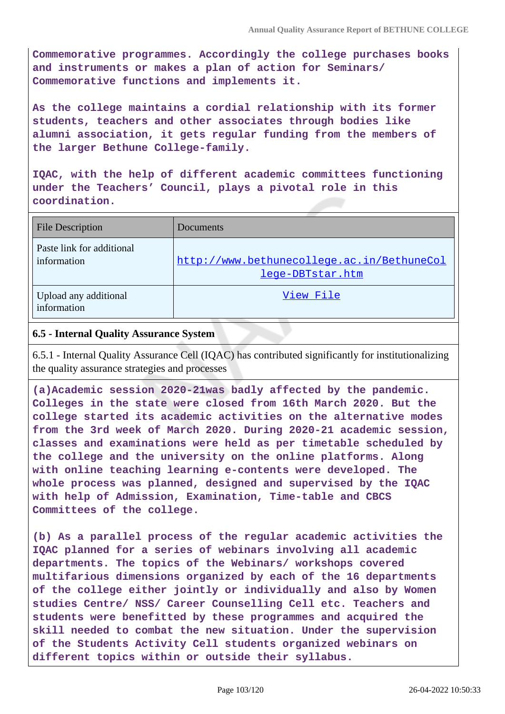**Commemorative programmes. Accordingly the college purchases books and instruments or makes a plan of action for Seminars/ Commemorative functions and implements it.**

**As the college maintains a cordial relationship with its former students, teachers and other associates through bodies like alumni association, it gets regular funding from the members of the larger Bethune College-family.**

**IQAC, with the help of different academic committees functioning under the Teachers' Council, plays a pivotal role in this coordination.**

| <b>File Description</b>                  | Documents                                                      |
|------------------------------------------|----------------------------------------------------------------|
| Paste link for additional<br>information | http://www.bethunecollege.ac.in/BethuneCol<br>lege-DBTstar.htm |
| Upload any additional<br>information     | View File                                                      |

#### **6.5 - Internal Quality Assurance System**

6.5.1 - Internal Quality Assurance Cell (IQAC) has contributed significantly for institutionalizing the quality assurance strategies and processes

**(a)Academic session 2020-21was badly affected by the pandemic. Colleges in the state were closed from 16th March 2020. But the college started its academic activities on the alternative modes from the 3rd week of March 2020. During 2020-21 academic session, classes and examinations were held as per timetable scheduled by the college and the university on the online platforms. Along with online teaching learning e-contents were developed. The whole process was planned, designed and supervised by the IQAC with help of Admission, Examination, Time-table and CBCS Committees of the college.**

**(b) As a parallel process of the regular academic activities the IQAC planned for a series of webinars involving all academic departments. The topics of the Webinars/ workshops covered multifarious dimensions organized by each of the 16 departments of the college either jointly or individually and also by Women studies Centre/ NSS/ Career Counselling Cell etc. Teachers and students were benefitted by these programmes and acquired the skill needed to combat the new situation. Under the supervision of the Students Activity Cell students organized webinars on different topics within or outside their syllabus.**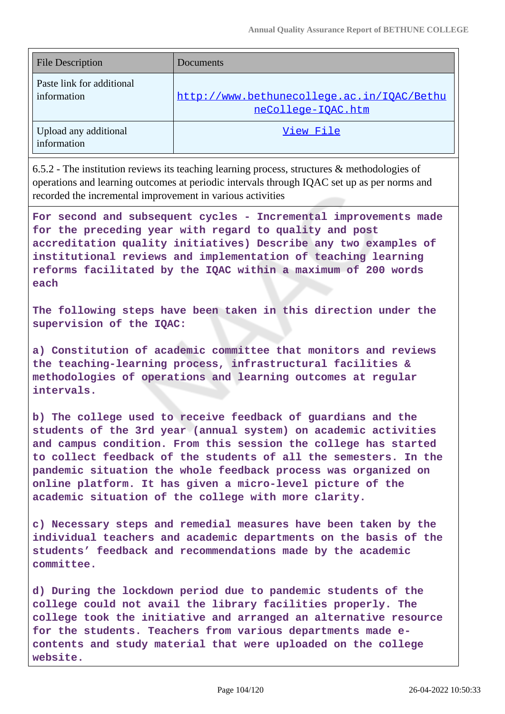| <b>File Description</b>                  | Documents                                                        |
|------------------------------------------|------------------------------------------------------------------|
| Paste link for additional<br>information | http://www.bethunecollege.ac.in/IOAC/Bethu<br>neCollege-IOAC.htm |
| Upload any additional<br>information     | View File                                                        |

6.5.2 - The institution reviews its teaching learning process, structures & methodologies of operations and learning outcomes at periodic intervals through IQAC set up as per norms and recorded the incremental improvement in various activities

**For second and subsequent cycles - Incremental improvements made for the preceding year with regard to quality and post accreditation quality initiatives) Describe any two examples of institutional reviews and implementation of teaching learning reforms facilitated by the IQAC within a maximum of 200 words each**

**The following steps have been taken in this direction under the supervision of the IQAC:**

**a) Constitution of academic committee that monitors and reviews the teaching-learning process, infrastructural facilities & methodologies of operations and learning outcomes at regular intervals.** 

**b) The college used to receive feedback of guardians and the students of the 3rd year (annual system) on academic activities and campus condition. From this session the college has started to collect feedback of the students of all the semesters. In the pandemic situation the whole feedback process was organized on online platform. It has given a micro-level picture of the academic situation of the college with more clarity.** 

**c) Necessary steps and remedial measures have been taken by the individual teachers and academic departments on the basis of the students' feedback and recommendations made by the academic committee.**

**d) During the lockdown period due to pandemic students of the college could not avail the library facilities properly. The college took the initiative and arranged an alternative resource for the students. Teachers from various departments made econtents and study material that were uploaded on the college website.**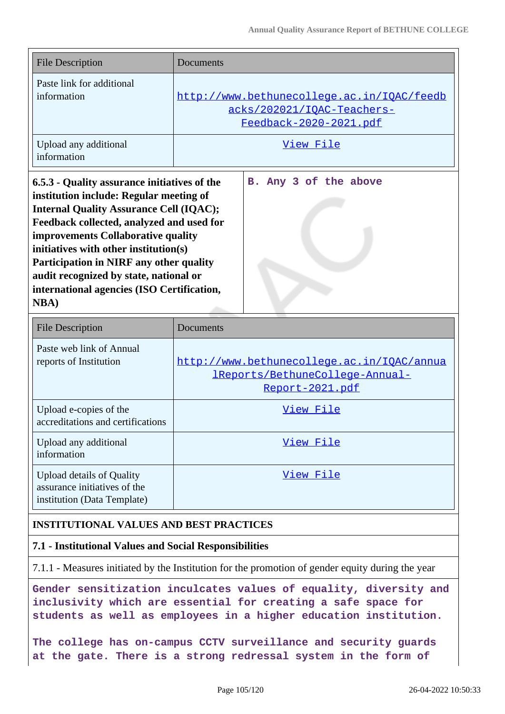| <b>File Description</b>                                                                                                                                                                                                                                                                                                                                                                                                         | Documents                                                                                                 |
|---------------------------------------------------------------------------------------------------------------------------------------------------------------------------------------------------------------------------------------------------------------------------------------------------------------------------------------------------------------------------------------------------------------------------------|-----------------------------------------------------------------------------------------------------------|
| Paste link for additional<br>information                                                                                                                                                                                                                                                                                                                                                                                        | http://www.bethunecollege.ac.in/IQAC/feedb<br>acks/202021/IQAC-Teachers-<br><u>Feedback-2020-2021.pdf</u> |
| Upload any additional<br>information                                                                                                                                                                                                                                                                                                                                                                                            | <u>View File</u>                                                                                          |
| 6.5.3 - Quality assurance initiatives of the<br>institution include: Regular meeting of<br><b>Internal Quality Assurance Cell (IQAC);</b><br>Feedback collected, analyzed and used for<br><b>improvements Collaborative quality</b><br>initiatives with other institution(s)<br>Participation in NIRF any other quality<br>audit recognized by state, national or<br>international agencies (ISO Certification,<br><b>NBA</b> ) | B. Any 3 of the above                                                                                     |

| <b>File Description</b>                                                                         | Documents                                                                                                |
|-------------------------------------------------------------------------------------------------|----------------------------------------------------------------------------------------------------------|
| Paste web link of Annual<br>reports of Institution                                              | http://www.bethunecollege.ac.in/IQAC/annua<br><u> 1Reports/BethuneCollege-Annual-</u><br>Report-2021.pdf |
| Upload e-copies of the<br>accreditations and certifications                                     | View File                                                                                                |
| Upload any additional<br>information                                                            | View File                                                                                                |
| <b>Upload details of Quality</b><br>assurance initiatives of the<br>institution (Data Template) | View File                                                                                                |

#### **INSTITUTIONAL VALUES AND BEST PRACTICES**

#### **7.1 - Institutional Values and Social Responsibilities**

7.1.1 - Measures initiated by the Institution for the promotion of gender equity during the year

**Gender sensitization inculcates values of equality, diversity and inclusivity which are essential for creating a safe space for students as well as employees in a higher education institution.**

**The college has on-campus CCTV surveillance and security guards at the gate. There is a strong redressal system in the form of**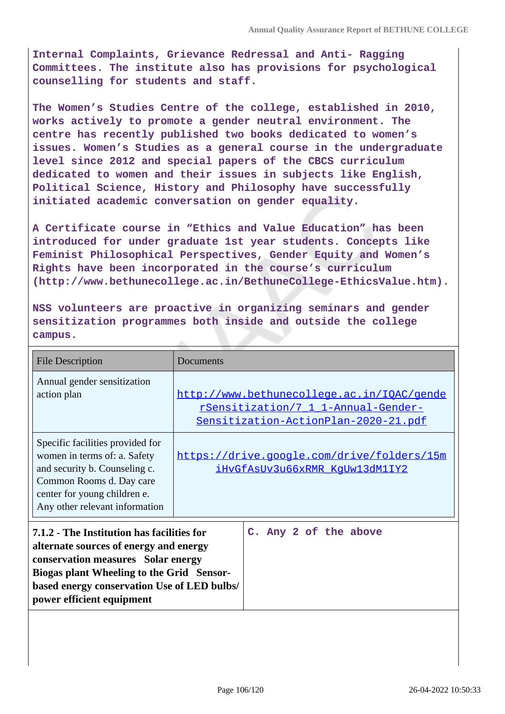**Internal Complaints, Grievance Redressal and Anti- Ragging Committees. The institute also has provisions for psychological counselling for students and staff.**

**The Women's Studies Centre of the college, established in 2010, works actively to promote a gender neutral environment. The centre has recently published two books dedicated to women's issues. Women's Studies as a general course in the undergraduate level since 2012 and special papers of the CBCS curriculum dedicated to women and their issues in subjects like English, Political Science, History and Philosophy have successfully initiated academic conversation on gender equality.**

**A Certificate course in "Ethics and Value Education" has been introduced for under graduate 1st year students. Concepts like Feminist Philosophical Perspectives, Gender Equity and Women's Rights have been incorporated in the course's curriculum (http://www.bethunecollege.ac.in/BethuneCollege-EthicsValue.htm).**

**NSS volunteers are proactive in organizing seminars and gender sensitization programmes both inside and outside the college campus.**

| <b>File Description</b>                                                                                                                                                                                                                             | Documents |                                                                                                                           |
|-----------------------------------------------------------------------------------------------------------------------------------------------------------------------------------------------------------------------------------------------------|-----------|---------------------------------------------------------------------------------------------------------------------------|
| Annual gender sensitization<br>action plan                                                                                                                                                                                                          |           | http://www.bethunecollege.ac.in/IQAC/gende<br>rSensitization/7 1 1-Annual-Gender-<br>Sensitization-ActionPlan-2020-21.pdf |
| Specific facilities provided for<br>women in terms of: a. Safety<br>and security b. Counseling c.<br>Common Rooms d. Day care<br>center for young children e.<br>Any other relevant information                                                     |           | https://drive.google.com/drive/folders/15m<br>iHvGfAsUv3u66xRMR KqUw13dM1IY2                                              |
| 7.1.2 - The Institution has facilities for<br>alternate sources of energy and energy<br>conservation measures Solar energy<br>Biogas plant Wheeling to the Grid Sensor-<br>based energy conservation Use of LED bulbs/<br>power efficient equipment |           | C. Any 2 of the above                                                                                                     |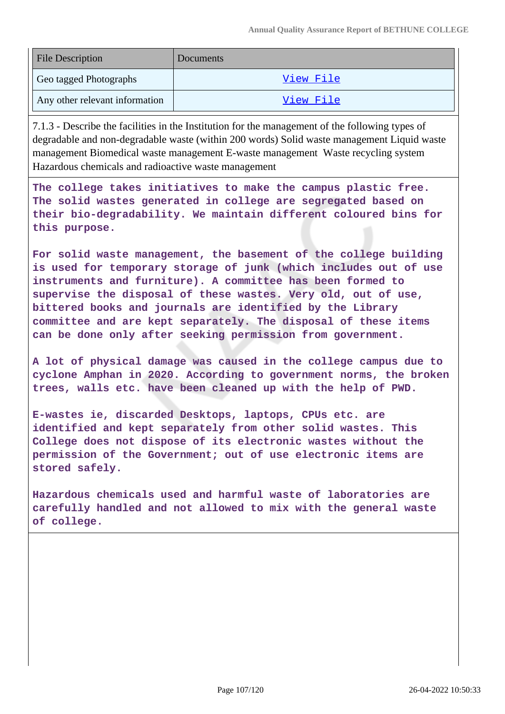| <b>File Description</b>        | Documents |
|--------------------------------|-----------|
| Geo tagged Photographs         | View File |
| Any other relevant information | View File |

7.1.3 - Describe the facilities in the Institution for the management of the following types of degradable and non-degradable waste (within 200 words) Solid waste management Liquid waste management Biomedical waste management E-waste management Waste recycling system Hazardous chemicals and radioactive waste management

**The college takes initiatives to make the campus plastic free. The solid wastes generated in college are segregated based on their bio-degradability. We maintain different coloured bins for this purpose.**

**For solid waste management, the basement of the college building is used for temporary storage of junk (which includes out of use instruments and furniture). A committee has been formed to supervise the disposal of these wastes. Very old, out of use, bittered books and journals are identified by the Library committee and are kept separately. The disposal of these items can be done only after seeking permission from government.**

**A lot of physical damage was caused in the college campus due to cyclone Amphan in 2020. According to government norms, the broken trees, walls etc. have been cleaned up with the help of PWD.**

**E-wastes ie, discarded Desktops, laptops, CPUs etc. are identified and kept separately from other solid wastes. This College does not dispose of its electronic wastes without the permission of the Government; out of use electronic items are stored safely.**

**Hazardous chemicals used and harmful waste of laboratories are carefully handled and not allowed to mix with the general waste of college.**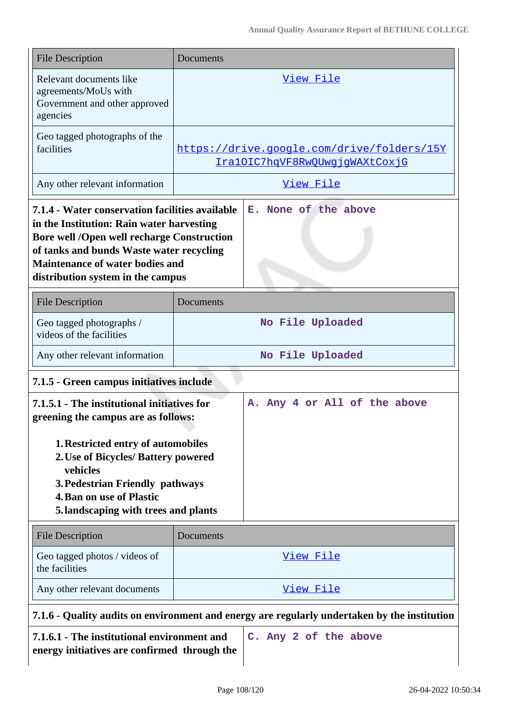| <b>File Description</b>                                                                                                                                                                                                                                                      | Documents                                                                    |  |
|------------------------------------------------------------------------------------------------------------------------------------------------------------------------------------------------------------------------------------------------------------------------------|------------------------------------------------------------------------------|--|
| Relevant documents like<br>agreements/MoUs with<br>Government and other approved<br>agencies                                                                                                                                                                                 | View File                                                                    |  |
| Geo tagged photographs of the<br>facilities                                                                                                                                                                                                                                  | https://drive.google.com/drive/folders/15Y<br>IralOIC7hqVF8RwQUwgjgWAXtCoxjG |  |
| Any other relevant information                                                                                                                                                                                                                                               | View File                                                                    |  |
| 7.1.4 - Water conservation facilities available<br>in the Institution: Rain water harvesting<br><b>Bore well /Open well recharge Construction</b><br>of tanks and bunds Waste water recycling<br><b>Maintenance of water bodies and</b><br>distribution system in the campus | E. None of the above                                                         |  |
| <b>File Description</b>                                                                                                                                                                                                                                                      | Documents                                                                    |  |
| Geo tagged photographs /<br>videos of the facilities                                                                                                                                                                                                                         | No File Uploaded                                                             |  |
| Any other relevant information                                                                                                                                                                                                                                               | No File Uploaded                                                             |  |
| 7.1.5 - Green campus initiatives include                                                                                                                                                                                                                                     |                                                                              |  |
| A. Any 4 or All of the above<br>7.1.5.1 - The institutional initiatives for<br>greening the campus are as follows:                                                                                                                                                           |                                                                              |  |
| 1. Restricted entry of automobiles<br>2. Use of Bicycles/ Battery powered<br>vehicles<br>3. Pedestrian Friendly pathways<br><b>4. Ban on use of Plastic</b><br>5. landscaping with trees and plants                                                                          |                                                                              |  |
| <b>File Description</b>                                                                                                                                                                                                                                                      | Documents                                                                    |  |
| Geo tagged photos / videos of<br>the facilities                                                                                                                                                                                                                              | <u>View File</u>                                                             |  |
| Any other relevant documents                                                                                                                                                                                                                                                 | View File                                                                    |  |
| 7.1.6 - Quality audits on environment and energy are regularly undertaken by the institution                                                                                                                                                                                 |                                                                              |  |

**7.1.6.1 - The institutional environment and energy initiatives are confirmed through the**

**C. Any 2 of the above**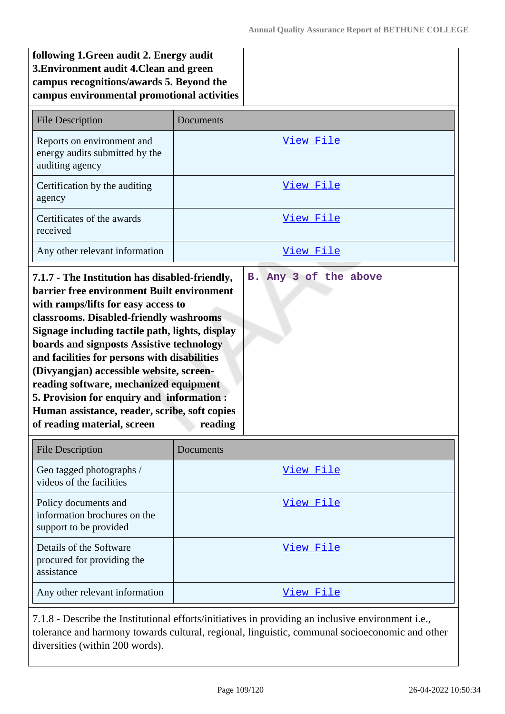| following 1. Green audit 2. Energy audit    |  |
|---------------------------------------------|--|
| 3. Environment audit 4. Clean and green     |  |
| campus recognitions/awards 5. Beyond the    |  |
| campus environmental promotional activities |  |
|                                             |  |

| <b>File Description</b>                                                                                                                                                                                                                                                                                                                                                                                                                                                                                                                            | Documents                        |
|----------------------------------------------------------------------------------------------------------------------------------------------------------------------------------------------------------------------------------------------------------------------------------------------------------------------------------------------------------------------------------------------------------------------------------------------------------------------------------------------------------------------------------------------------|----------------------------------|
| Reports on environment and<br>energy audits submitted by the<br>auditing agency                                                                                                                                                                                                                                                                                                                                                                                                                                                                    | View File                        |
| Certification by the auditing<br>agency                                                                                                                                                                                                                                                                                                                                                                                                                                                                                                            | View File                        |
| Certificates of the awards<br>received                                                                                                                                                                                                                                                                                                                                                                                                                                                                                                             | View File                        |
| Any other relevant information                                                                                                                                                                                                                                                                                                                                                                                                                                                                                                                     | View File                        |
| 7.1.7 - The Institution has disabled-friendly,<br>barrier free environment Built environment<br>with ramps/lifts for easy access to<br>classrooms. Disabled-friendly washrooms<br>Signage including tactile path, lights, display<br>boards and signposts Assistive technology<br>and facilities for persons with disabilities<br>(Divyangjan) accessible website, screen-<br>reading software, mechanized equipment<br>5. Provision for enquiry and information :<br>Human assistance, reader, scribe, soft copies<br>of reading material, screen | B. Any 3 of the above<br>reading |

| <b>File Description</b>                                                        | Documents |
|--------------------------------------------------------------------------------|-----------|
| Geo tagged photographs /<br>videos of the facilities                           | View File |
| Policy documents and<br>information brochures on the<br>support to be provided | View File |
| Details of the Software<br>procured for providing the<br>assistance            | View File |
| Any other relevant information                                                 | View File |

7.1.8 - Describe the Institutional efforts/initiatives in providing an inclusive environment i.e., tolerance and harmony towards cultural, regional, linguistic, communal socioeconomic and other diversities (within 200 words).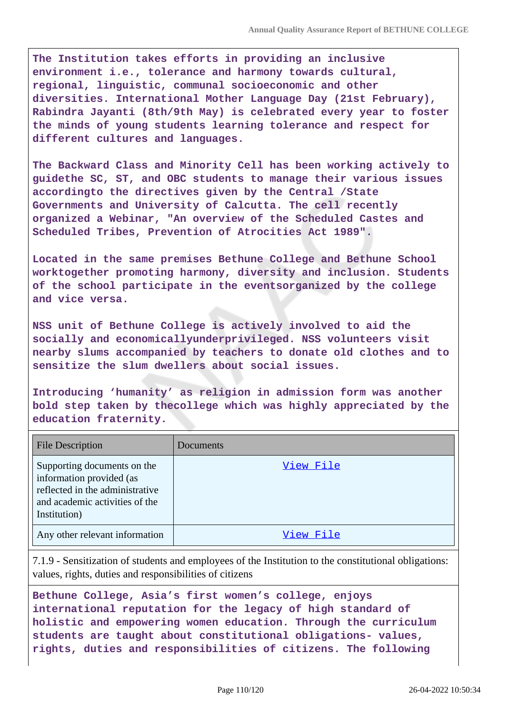**The Institution takes efforts in providing an inclusive environment i.e., tolerance and harmony towards cultural, regional, linguistic, communal socioeconomic and other diversities. International Mother Language Day (21st February), Rabindra Jayanti (8th/9th May) is celebrated every year to foster the minds of young students learning tolerance and respect for different cultures and languages.**

**The Backward Class and Minority Cell has been working actively to guidethe SC, ST, and OBC students to manage their various issues accordingto the directives given by the Central /State Governments and University of Calcutta. The cell recently organized a Webinar, "An overview of the Scheduled Castes and Scheduled Tribes, Prevention of Atrocities Act 1989".**

**Located in the same premises Bethune College and Bethune School worktogether promoting harmony, diversity and inclusion. Students of the school participate in the eventsorganized by the college and vice versa.**

**NSS unit of Bethune College is actively involved to aid the socially and economicallyunderprivileged. NSS volunteers visit nearby slums accompanied by teachers to donate old clothes and to sensitize the slum dwellers about social issues.**

**Introducing 'humanity' as religion in admission form was another bold step taken by thecollege which was highly appreciated by the education fraternity.**

| <b>File Description</b>                                                                                                                      | Documents |
|----------------------------------------------------------------------------------------------------------------------------------------------|-----------|
| Supporting documents on the<br>information provided (as<br>reflected in the administrative<br>and academic activities of the<br>Institution) | View File |
| Any other relevant information                                                                                                               | View File |

7.1.9 - Sensitization of students and employees of the Institution to the constitutional obligations: values, rights, duties and responsibilities of citizens

**Bethune College, Asia's first women's college, enjoys international reputation for the legacy of high standard of holistic and empowering women education. Through the curriculum students are taught about constitutional obligations- values, rights, duties and responsibilities of citizens. The following**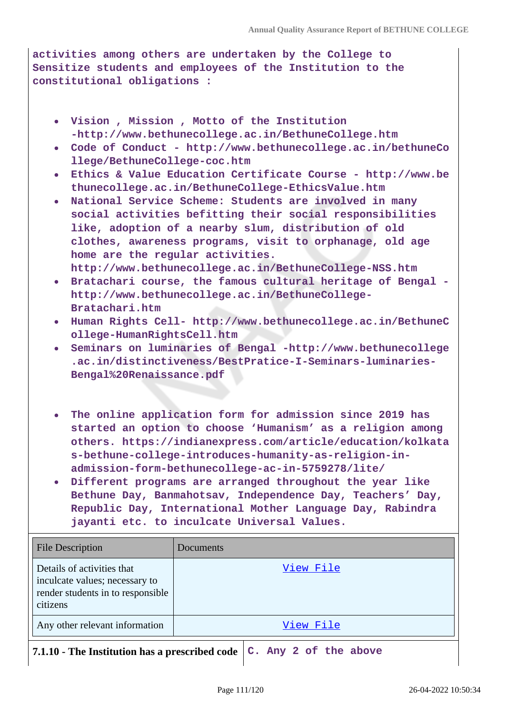**activities among others are undertaken by the College to Sensitize students and employees of the Institution to the constitutional obligations :**

- **Vision , Mission , Motto of the Institution -http://www.bethunecollege.ac.in/BethuneCollege.htm**
- **Code of Conduct http://www.bethunecollege.ac.in/bethuneCo llege/BethuneCollege-coc.htm**
- **Ethics & Value Education Certificate Course http://www.be thunecollege.ac.in/BethuneCollege-EthicsValue.htm**
- **National Service Scheme: Students are involved in many social activities befitting their social responsibilities like, adoption of a nearby slum, distribution of old clothes, awareness programs, visit to orphanage, old age home are the regular activities.**
- **http://www.bethunecollege.ac.in/BethuneCollege-NSS.htm Bratachari course, the famous cultural heritage of Bengal http://www.bethunecollege.ac.in/BethuneCollege-Bratachari.htm**
- **Human Rights Cell- http://www.bethunecollege.ac.in/BethuneC ollege-HumanRightsCell.htm**
- **Seminars on luminaries of Bengal -http://www.bethunecollege .ac.in/distinctiveness/BestPratice-I-Seminars-luminaries-Bengal%20Renaissance.pdf**
- **The online application form for admission since 2019 has started an option to choose 'Humanism' as a religion among others. https://indianexpress.com/article/education/kolkata s-bethune-college-introduces-humanity-as-religion-inadmission-form-bethunecollege-ac-in-5759278/lite/**
- **Different programs are arranged throughout the year like Bethune Day, Banmahotsav, Independence Day, Teachers' Day, Republic Day, International Mother Language Day, Rabindra jayanti etc. to inculcate Universal Values.**

| <b>File Description</b>                                                                                       | Documents                                                                         |
|---------------------------------------------------------------------------------------------------------------|-----------------------------------------------------------------------------------|
| Details of activities that<br>inculcate values; necessary to<br>render students in to responsible<br>citizens | View File                                                                         |
| Any other relevant information                                                                                | View File                                                                         |
|                                                                                                               | 7.1.10 - The Institution has a prescribed code $\mathcal{C}$ . Any 2 of the above |

 $\overline{\phantom{a}}$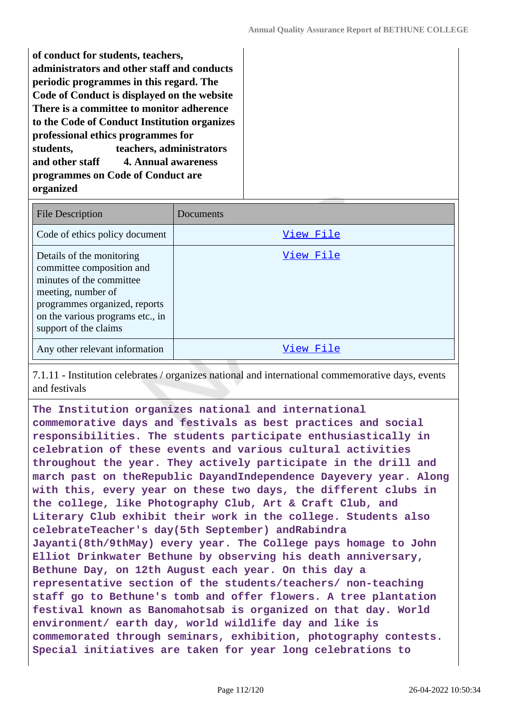**of conduct for students, teachers, administrators and other staff and conducts periodic programmes in this regard. The Code of Conduct is displayed on the website There is a committee to monitor adherence to the Code of Conduct Institution organizes professional ethics programmes for students, teachers, administrators and other staff 4. Annual awareness programmes on Code of Conduct are organized**

| <b>File Description</b>                                                                                                                                                                                | Documents |
|--------------------------------------------------------------------------------------------------------------------------------------------------------------------------------------------------------|-----------|
| Code of ethics policy document                                                                                                                                                                         | View File |
| Details of the monitoring<br>committee composition and<br>minutes of the committee<br>meeting, number of<br>programmes organized, reports<br>on the various programs etc., in<br>support of the claims | View File |
| Any other relevant information                                                                                                                                                                         | View File |

7.1.11 - Institution celebrates / organizes national and international commemorative days, events and festivals

**The Institution organizes national and international commemorative days and festivals as best practices and social responsibilities. The students participate enthusiastically in celebration of these events and various cultural activities throughout the year. They actively participate in the drill and march past on theRepublic DayandIndependence Dayevery year. Along with this, every year on these two days, the different clubs in the college, like Photography Club, Art & Craft Club, and Literary Club exhibit their work in the college. Students also celebrateTeacher's day(5th September) andRabindra Jayanti(8th/9thMay) every year. The College pays homage to John Elliot Drinkwater Bethune by observing his death anniversary, Bethune Day, on 12th August each year. On this day a representative section of the students/teachers/ non-teaching staff go to Bethune's tomb and offer flowers. A tree plantation festival known as Banomahotsab is organized on that day. World environment/ earth day, world wildlife day and like is commemorated through seminars, exhibition, photography contests. Special initiatives are taken for year long celebrations to**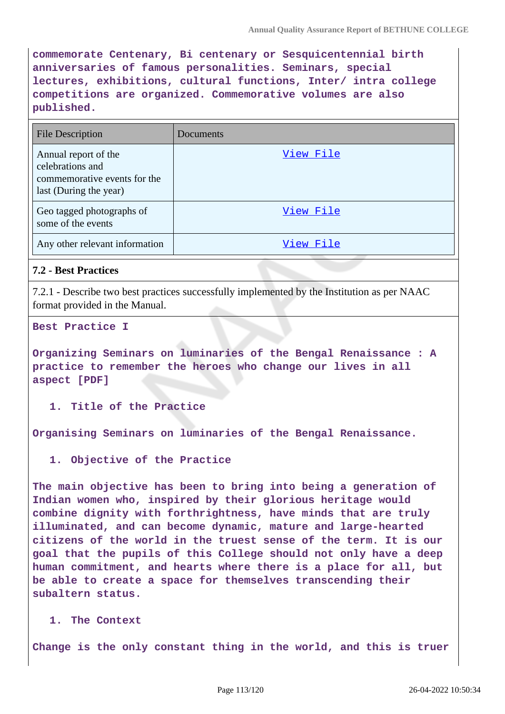**commemorate Centenary, Bi centenary or Sesquicentennial birth anniversaries of famous personalities. Seminars, special lectures, exhibitions, cultural functions, Inter/ intra college competitions are organized. Commemorative volumes are also published.**

| <b>File Description</b>                                                                            | Documents |
|----------------------------------------------------------------------------------------------------|-----------|
| Annual report of the<br>celebrations and<br>commemorative events for the<br>last (During the year) | View File |
| Geo tagged photographs of<br>some of the events                                                    | View File |
| Any other relevant information                                                                     | View File |

# **7.2 - Best Practices**

7.2.1 - Describe two best practices successfully implemented by the Institution as per NAAC format provided in the Manual.

**Best Practice I**

**Organizing Seminars on luminaries of the Bengal Renaissance : A practice to remember the heroes who change our lives in all aspect [PDF]**

**1. Title of the Practice**

**Organising Seminars on luminaries of the Bengal Renaissance.**

**1. Objective of the Practice**

**The main objective has been to bring into being a generation of Indian women who, inspired by their glorious heritage would combine dignity with forthrightness, have minds that are truly illuminated, and can become dynamic, mature and large-hearted citizens of the world in the truest sense of the term. It is our goal that the pupils of this College should not only have a deep human commitment, and hearts where there is a place for all, but be able to create a space for themselves transcending their subaltern status.**

**1. The Context**

**Change is the only constant thing in the world, and this is truer**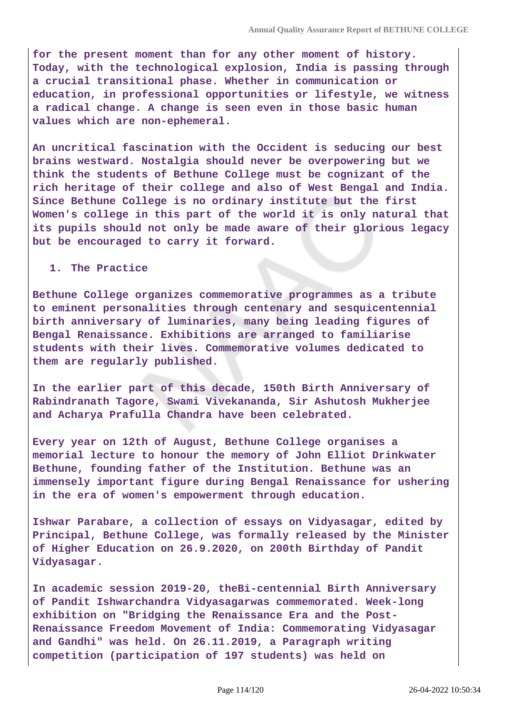**for the present moment than for any other moment of history. Today, with the technological explosion, India is passing through a crucial transitional phase. Whether in communication or education, in professional opportunities or lifestyle, we witness a radical change. A change is seen even in those basic human values which are non-ephemeral.**

**An uncritical fascination with the Occident is seducing our best brains westward. Nostalgia should never be overpowering but we think the students of Bethune College must be cognizant of the rich heritage of their college and also of West Bengal and India. Since Bethune College is no ordinary institute but the first Women's college in this part of the world it is only natural that its pupils should not only be made aware of their glorious legacy but be encouraged to carry it forward.**

#### **1. The Practice**

**Bethune College organizes commemorative programmes as a tribute to eminent personalities through centenary and sesquicentennial birth anniversary of luminaries, many being leading figures of Bengal Renaissance. Exhibitions are arranged to familiarise students with their lives. Commemorative volumes dedicated to them are regularly published.**

**In the earlier part of this decade, 150th Birth Anniversary of Rabindranath Tagore, Swami Vivekananda, Sir Ashutosh Mukherjee and Acharya Prafulla Chandra have been celebrated.**

**Every year on 12th of August, Bethune College organises a memorial lecture to honour the memory of John Elliot Drinkwater Bethune, founding father of the Institution. Bethune was an immensely important figure during Bengal Renaissance for ushering in the era of women's empowerment through education.**

**Ishwar Parabare, a collection of essays on Vidyasagar, edited by Principal, Bethune College, was formally released by the Minister of Higher Education on 26.9.2020, on 200th Birthday of Pandit Vidyasagar.**

**In academic session 2019-20, theBi-centennial Birth Anniversary of Pandit Ishwarchandra Vidyasagarwas commemorated. Week-long exhibition on "Bridging the Renaissance Era and the Post-Renaissance Freedom Movement of India: Commemorating Vidyasagar and Gandhi" was held. On 26.11.2019, a Paragraph writing competition (participation of 197 students) was held on**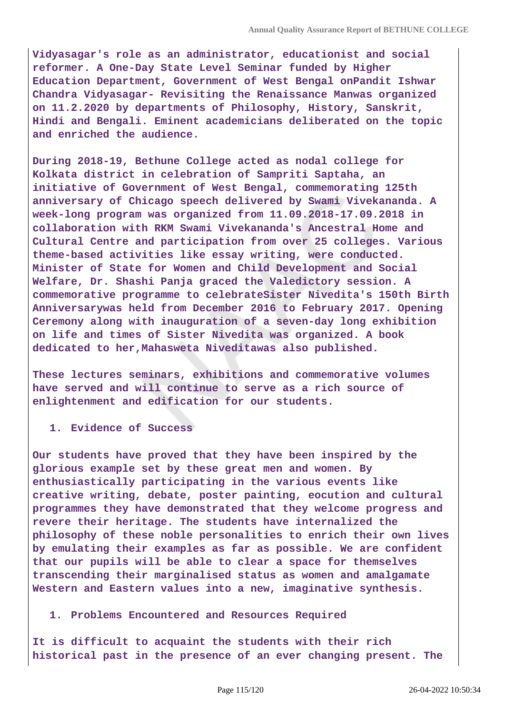**Vidyasagar's role as an administrator, educationist and social reformer. A One-Day State Level Seminar funded by Higher Education Department, Government of West Bengal onPandit Ishwar Chandra Vidyasagar- Revisiting the Renaissance Manwas organized on 11.2.2020 by departments of Philosophy, History, Sanskrit, Hindi and Bengali. Eminent academicians deliberated on the topic and enriched the audience.**

**During 2018-19, Bethune College acted as nodal college for Kolkata district in celebration of Sampriti Saptaha, an initiative of Government of West Bengal, commemorating 125th anniversary of Chicago speech delivered by Swami Vivekananda. A week-long program was organized from 11.09.2018-17.09.2018 in collaboration with RKM Swami Vivekananda's Ancestral Home and Cultural Centre and participation from over 25 colleges. Various theme-based activities like essay writing, were conducted. Minister of State for Women and Child Development and Social Welfare, Dr. Shashi Panja graced the Valedictory session. A commemorative programme to celebrateSister Nivedita's 150th Birth Anniversarywas held from December 2016 to February 2017. Opening Ceremony along with inauguration of a seven-day long exhibition on life and times of Sister Nivedita was organized. A book dedicated to her,Mahasweta Niveditawas also published.**

**These lectures seminars, exhibitions and commemorative volumes have served and will continue to serve as a rich source of enlightenment and edification for our students.**

**1. Evidence of Success**

**Our students have proved that they have been inspired by the glorious example set by these great men and women. By enthusiastically participating in the various events like creative writing, debate, poster painting, eocution and cultural programmes they have demonstrated that they welcome progress and revere their heritage. The students have internalized the philosophy of these noble personalities to enrich their own lives by emulating their examples as far as possible. We are confident that our pupils will be able to clear a space for themselves transcending their marginalised status as women and amalgamate Western and Eastern values into a new, imaginative synthesis.**

#### **1. Problems Encountered and Resources Required**

**It is difficult to acquaint the students with their rich historical past in the presence of an ever changing present. The**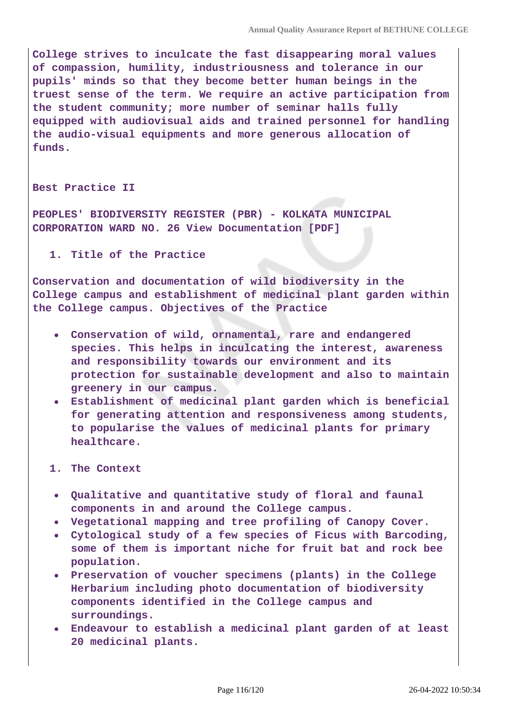**College strives to inculcate the fast disappearing moral values of compassion, humility, industriousness and tolerance in our pupils' minds so that they become better human beings in the truest sense of the term. We require an active participation from the student community; more number of seminar halls fully equipped with audiovisual aids and trained personnel for handling the audio-visual equipments and more generous allocation of funds.**

#### **Best Practice II**

**PEOPLES' BIODIVERSITY REGISTER (PBR) - KOLKATA MUNICIPAL CORPORATION WARD NO. 26 View Documentation [PDF]**

**1. Title of the Practice**

**Conservation and documentation of wild biodiversity in the College campus and establishment of medicinal plant garden within the College campus. Objectives of the Practice**

- **Conservation of wild, ornamental, rare and endangered species. This helps in inculcating the interest, awareness and responsibility towards our environment and its protection for sustainable development and also to maintain greenery in our campus.**
- **Establishment of medicinal plant garden which is beneficial for generating attention and responsiveness among students, to popularise the values of medicinal plants for primary healthcare.**
- **1. The Context**
	- **Qualitative and quantitative study of floral and faunal components in and around the College campus.**
	- **Vegetational mapping and tree profiling of Canopy Cover.**
	- **Cytological study of a few species of Ficus with Barcoding, some of them is important niche for fruit bat and rock bee population.**
	- **Preservation of voucher specimens (plants) in the College Herbarium including photo documentation of biodiversity components identified in the College campus and surroundings.**
	- **Endeavour to establish a medicinal plant garden of at least 20 medicinal plants.**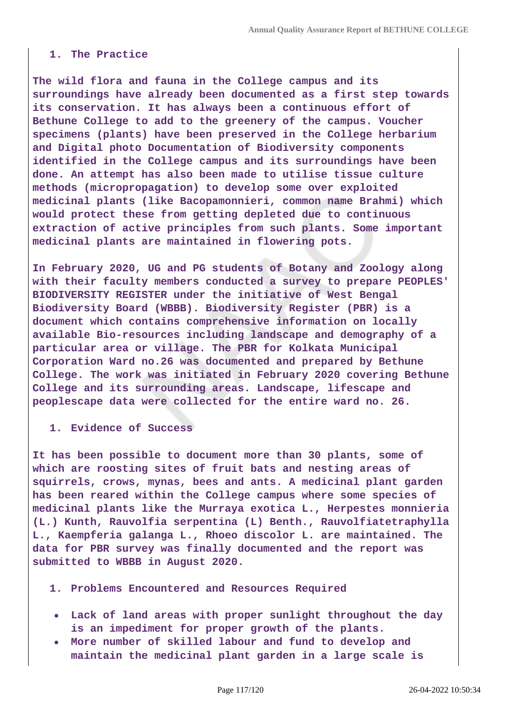### **1. The Practice**

**The wild flora and fauna in the College campus and its surroundings have already been documented as a first step towards its conservation. It has always been a continuous effort of Bethune College to add to the greenery of the campus. Voucher specimens (plants) have been preserved in the College herbarium and Digital photo Documentation of Biodiversity components identified in the College campus and its surroundings have been done. An attempt has also been made to utilise tissue culture methods (micropropagation) to develop some over exploited medicinal plants (like Bacopamonnieri, common name Brahmi) which would protect these from getting depleted due to continuous extraction of active principles from such plants. Some important medicinal plants are maintained in flowering pots.**

**In February 2020, UG and PG students of Botany and Zoology along with their faculty members conducted a survey to prepare PEOPLES' BIODIVERSITY REGISTER under the initiative of West Bengal Biodiversity Board (WBBB). Biodiversity Register (PBR) is a document which contains comprehensive information on locally available Bio-resources including landscape and demography of a particular area or village. The PBR for Kolkata Municipal Corporation Ward no.26 was documented and prepared by Bethune College. The work was initiated in February 2020 covering Bethune College and its surrounding areas. Landscape, lifescape and peoplescape data were collected for the entire ward no. 26.**

**1. Evidence of Success**

**It has been possible to document more than 30 plants, some of which are roosting sites of fruit bats and nesting areas of squirrels, crows, mynas, bees and ants. A medicinal plant garden has been reared within the College campus where some species of medicinal plants like the Murraya exotica L., Herpestes monnieria (L.) Kunth, Rauvolfia serpentina (L) Benth., Rauvolfiatetraphylla L., Kaempferia galanga L., Rhoeo discolor L. are maintained. The data for PBR survey was finally documented and the report was submitted to WBBB in August 2020.**

**1. Problems Encountered and Resources Required**

- **Lack of land areas with proper sunlight throughout the day is an impediment for proper growth of the plants.**
- **More number of skilled labour and fund to develop and maintain the medicinal plant garden in a large scale is**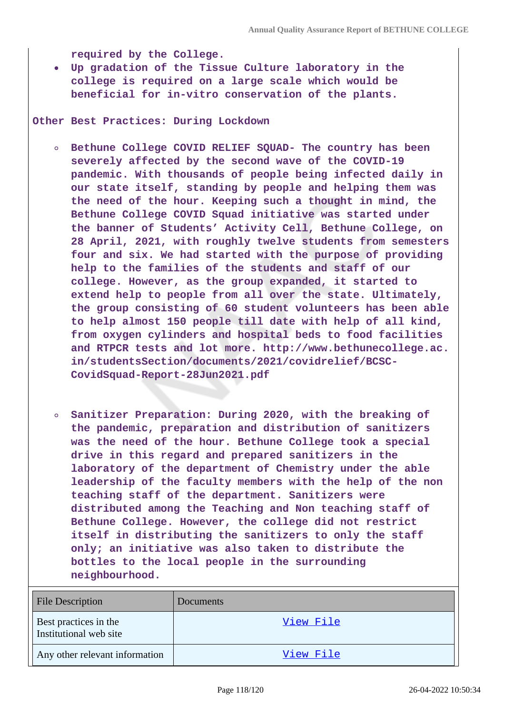**required by the College.**

**Up gradation of the Tissue Culture laboratory in the college is required on a large scale which would be beneficial for in-vitro conservation of the plants.**

**Other Best Practices: During Lockdown**

- **Bethune College COVID RELIEF SQUAD- The country has been severely affected by the second wave of the COVID-19 pandemic. With thousands of people being infected daily in our state itself, standing by people and helping them was the need of the hour. Keeping such a thought in mind, the Bethune College COVID Squad initiative was started under the banner of Students' Activity Cell, Bethune College, on 28 April, 2021, with roughly twelve students from semesters four and six. We had started with the purpose of providing help to the families of the students and staff of our college. However, as the group expanded, it started to extend help to people from all over the state. Ultimately, the group consisting of 60 student volunteers has been able to help almost 150 people till date with help of all kind, from oxygen cylinders and hospital beds to food facilities and RTPCR tests and lot more. http://www.bethunecollege.ac. in/studentsSection/documents/2021/covidrelief/BCSC-CovidSquad-Report-28Jun2021.pdf**
- **Sanitizer Preparation: During 2020, with the breaking of the pandemic, preparation and distribution of sanitizers was the need of the hour. Bethune College took a special drive in this regard and prepared sanitizers in the laboratory of the department of Chemistry under the able leadership of the faculty members with the help of the non teaching staff of the department. Sanitizers were distributed among the Teaching and Non teaching staff of Bethune College. However, the college did not restrict itself in distributing the sanitizers to only the staff only; an initiative was also taken to distribute the bottles to the local people in the surrounding neighbourhood.**

| <b>File Description</b>                         | <b>Documents</b> |
|-------------------------------------------------|------------------|
| Best practices in the<br>Institutional web site | View File        |
| Any other relevant information                  | <u>View File</u> |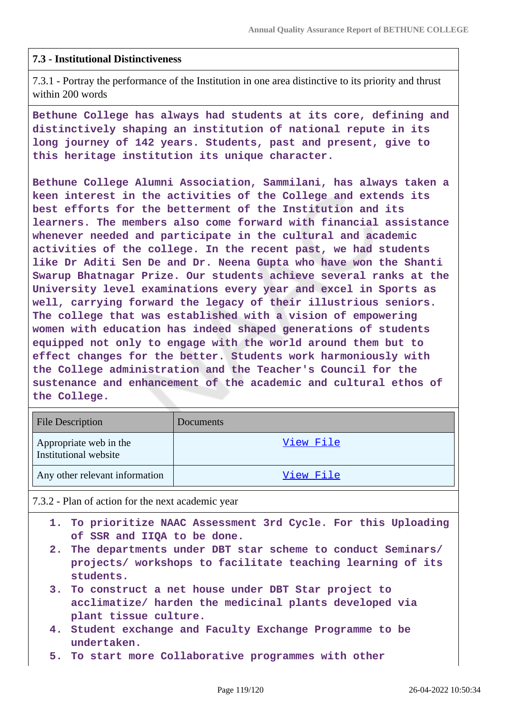## **7.3 - Institutional Distinctiveness**

7.3.1 - Portray the performance of the Institution in one area distinctive to its priority and thrust within 200 words

**Bethune College has always had students at its core, defining and distinctively shaping an institution of national repute in its long journey of 142 years. Students, past and present, give to this heritage institution its unique character.**

**Bethune College Alumni Association, Sammilani, has always taken a keen interest in the activities of the College and extends its best efforts for the betterment of the Institution and its learners. The members also come forward with financial assistance whenever needed and participate in the cultural and academic activities of the college. In the recent past, we had students like Dr Aditi Sen De and Dr. Neena Gupta who have won the Shanti Swarup Bhatnagar Prize. Our students achieve several ranks at the University level examinations every year and excel in Sports as well, carrying forward the legacy of their illustrious seniors. The college that was established with a vision of empowering women with education has indeed shaped generations of students equipped not only to engage with the world around them but to effect changes for the better. Students work harmoniously with the College administration and the Teacher's Council for the sustenance and enhancement of the academic and cultural ethos of the College.**

| <b>File Description</b>                         | <b>Documents</b> |
|-------------------------------------------------|------------------|
| Appropriate web in the<br>Institutional website | View File        |
| Any other relevant information                  | View File        |

7.3.2 - Plan of action for the next academic year

- **1. To prioritize NAAC Assessment 3rd Cycle. For this Uploading of SSR and IIQA to be done.**
- **2. The departments under DBT star scheme to conduct Seminars/ projects/ workshops to facilitate teaching learning of its students.**
- **3. To construct a net house under DBT Star project to acclimatize/ harden the medicinal plants developed via plant tissue culture.**
- **4. Student exchange and Faculty Exchange Programme to be undertaken.**
- **5. To start more Collaborative programmes with other**